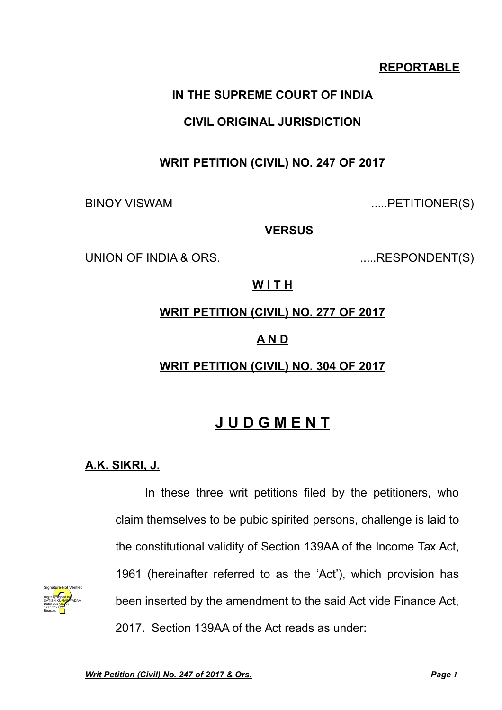## **REPORTABLE**

## **IN THE SUPREME COURT OF INDIA**

## **CIVIL ORIGINAL JURISDICTION**

### **WRIT PETITION (CIVIL) NO. 247 OF 2017**

BINOY VISWAM .....PETITIONER(S)

#### **VERSUS**

UNION OF INDIA & ORS. .....RESPONDENT(S)

### **W I T H**

### **WRIT PETITION (CIVIL) NO. 277 OF 2017**

## **A N D**

## **WRIT PETITION (CIVIL) NO. 304 OF 2017**

# **J U D G M E N T**

## **A.K. SIKRI, J.**

In these three writ petitions filed by the petitioners, who claim themselves to be pubic spirited persons, challenge is laid to the constitutional validity of Section 139AA of the Income Tax Act, 1961 (hereinafter referred to as the 'Act'), which provision has been inserted by the amendment to the said Act vide Finance Act, 2017. Section 139AA of the Act reads as under:

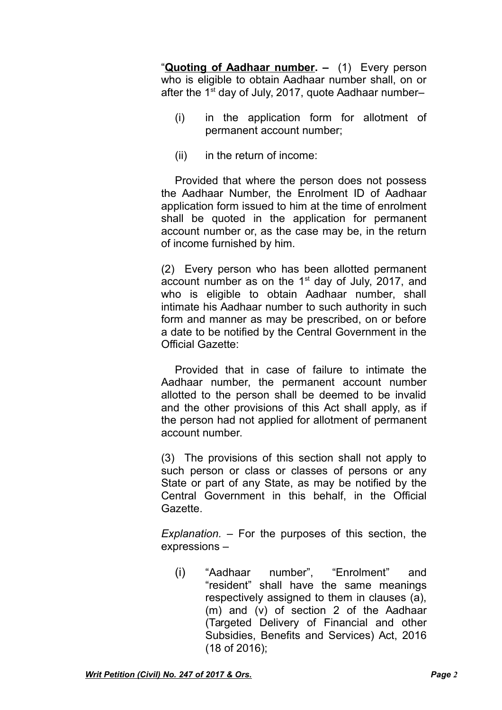"**Quoting of Aadhaar number. –** (1) Every person who is eligible to obtain Aadhaar number shall, on or after the  $1<sup>st</sup>$  day of July, 2017, quote Aadhaar number–

- (i) in the application form for allotment of permanent account number;
- (ii) in the return of income:

Provided that where the person does not possess the Aadhaar Number, the Enrolment ID of Aadhaar application form issued to him at the time of enrolment shall be quoted in the application for permanent account number or, as the case may be, in the return of income furnished by him.

(2) Every person who has been allotted permanent account number as on the  $1<sup>st</sup>$  day of July, 2017, and who is eligible to obtain Aadhaar number, shall intimate his Aadhaar number to such authority in such form and manner as may be prescribed, on or before a date to be notified by the Central Government in the Official Gazette:

Provided that in case of failure to intimate the Aadhaar number, the permanent account number allotted to the person shall be deemed to be invalid and the other provisions of this Act shall apply, as if the person had not applied for allotment of permanent account number.

(3) The provisions of this section shall not apply to such person or class or classes of persons or any State or part of any State, as may be notified by the Central Government in this behalf, in the Official Gazette.

*Explanation. –* For the purposes of this section, the expressions –

(i) "Aadhaar number", "Enrolment" and "resident" shall have the same meanings respectively assigned to them in clauses (a), (m) and (v) of section 2 of the Aadhaar (Targeted Delivery of Financial and other Subsidies, Benefits and Services) Act, 2016 (18 of 2016);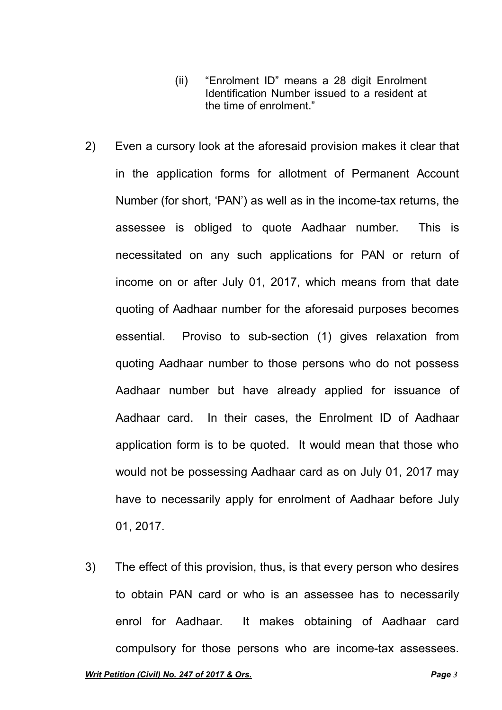- (ii) "Enrolment ID" means a 28 digit Enrolment Identification Number issued to a resident at the time of enrolment."
- 2) Even a cursory look at the aforesaid provision makes it clear that in the application forms for allotment of Permanent Account Number (for short, 'PAN') as well as in the income-tax returns, the assessee is obliged to quote Aadhaar number. This is necessitated on any such applications for PAN or return of income on or after July 01, 2017, which means from that date quoting of Aadhaar number for the aforesaid purposes becomes essential. Proviso to sub-section (1) gives relaxation from quoting Aadhaar number to those persons who do not possess Aadhaar number but have already applied for issuance of Aadhaar card. In their cases, the Enrolment ID of Aadhaar application form is to be quoted. It would mean that those who would not be possessing Aadhaar card as on July 01, 2017 may have to necessarily apply for enrolment of Aadhaar before July 01, 2017.
- 3) The effect of this provision, thus, is that every person who desires to obtain PAN card or who is an assessee has to necessarily enrol for Aadhaar. It makes obtaining of Aadhaar card compulsory for those persons who are income-tax assessees.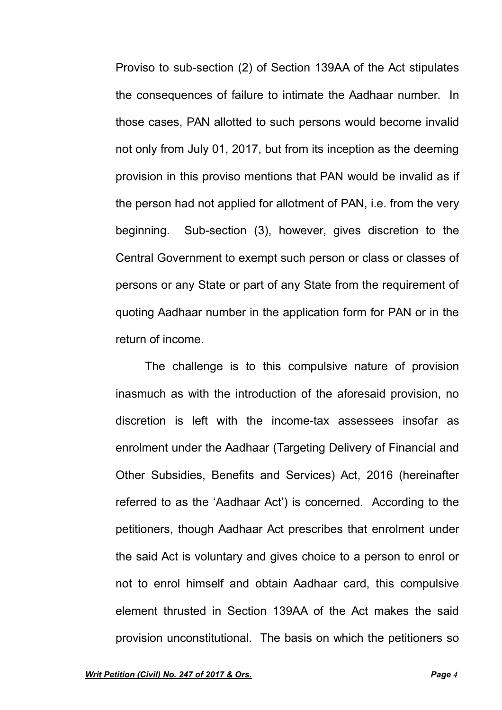Proviso to sub-section (2) of Section 139AA of the Act stipulates the consequences of failure to intimate the Aadhaar number. In those cases, PAN allotted to such persons would become invalid not only from July 01, 2017, but from its inception as the deeming provision in this proviso mentions that PAN would be invalid as if the person had not applied for allotment of PAN, i.e. from the very beginning. Sub-section (3), however, gives discretion to the Central Government to exempt such person or class or classes of persons or any State or part of any State from the requirement of quoting Aadhaar number in the application form for PAN or in the return of income.

The challenge is to this compulsive nature of provision inasmuch as with the introduction of the aforesaid provision, no discretion is left with the income-tax assessees insofar as enrolment under the Aadhaar (Targeting Delivery of Financial and Other Subsidies, Benefits and Services) Act, 2016 (hereinafter referred to as the 'Aadhaar Act') is concerned. According to the petitioners, though Aadhaar Act prescribes that enrolment under the said Act is voluntary and gives choice to a person to enrol or not to enrol himself and obtain Aadhaar card, this compulsive element thrusted in Section 139AA of the Act makes the said provision unconstitutional. The basis on which the petitioners so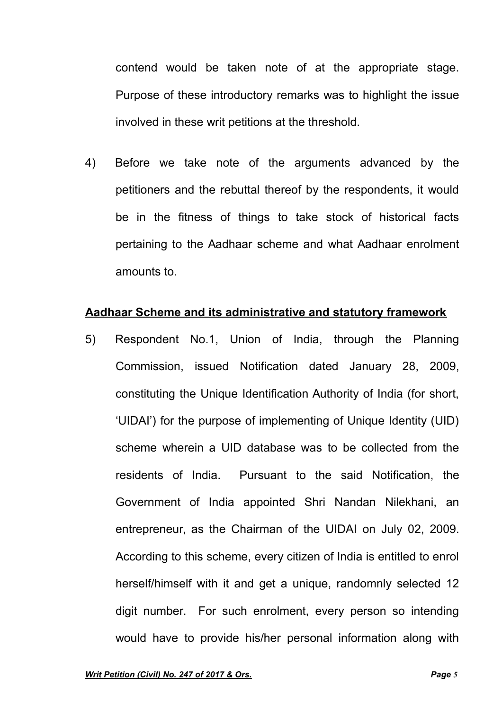contend would be taken note of at the appropriate stage. Purpose of these introductory remarks was to highlight the issue involved in these writ petitions at the threshold.

4) Before we take note of the arguments advanced by the petitioners and the rebuttal thereof by the respondents, it would be in the fitness of things to take stock of historical facts pertaining to the Aadhaar scheme and what Aadhaar enrolment amounts to.

#### **Aadhaar Scheme and its administrative and statutory framework**

5) Respondent No.1, Union of India, through the Planning Commission, issued Notification dated January 28, 2009, constituting the Unique Identification Authority of India (for short, 'UIDAI') for the purpose of implementing of Unique Identity (UID) scheme wherein a UID database was to be collected from the residents of India. Pursuant to the said Notification, the Government of India appointed Shri Nandan Nilekhani, an entrepreneur, as the Chairman of the UIDAI on July 02, 2009. According to this scheme, every citizen of India is entitled to enrol herself/himself with it and get a unique, randomnly selected 12 digit number. For such enrolment, every person so intending would have to provide his/her personal information along with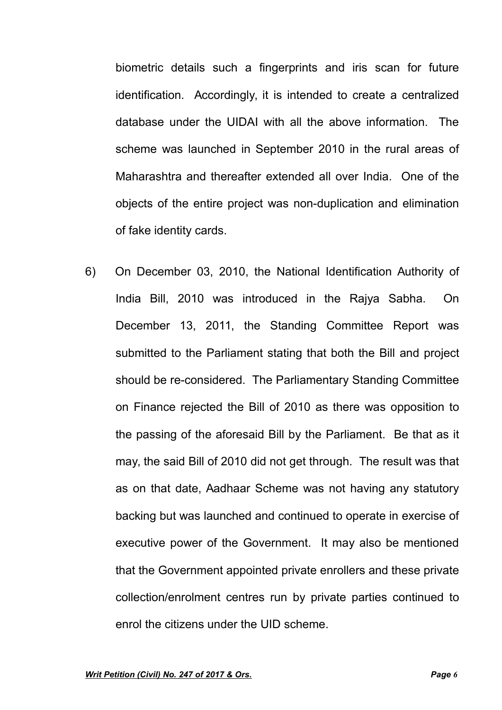biometric details such a fingerprints and iris scan for future identification. Accordingly, it is intended to create a centralized database under the UIDAI with all the above information. The scheme was launched in September 2010 in the rural areas of Maharashtra and thereafter extended all over India. One of the objects of the entire project was non-duplication and elimination of fake identity cards.

6) On December 03, 2010, the National Identification Authority of India Bill, 2010 was introduced in the Rajya Sabha. On December 13, 2011, the Standing Committee Report was submitted to the Parliament stating that both the Bill and project should be re-considered. The Parliamentary Standing Committee on Finance rejected the Bill of 2010 as there was opposition to the passing of the aforesaid Bill by the Parliament. Be that as it may, the said Bill of 2010 did not get through. The result was that as on that date, Aadhaar Scheme was not having any statutory backing but was launched and continued to operate in exercise of executive power of the Government. It may also be mentioned that the Government appointed private enrollers and these private collection/enrolment centres run by private parties continued to enrol the citizens under the UID scheme.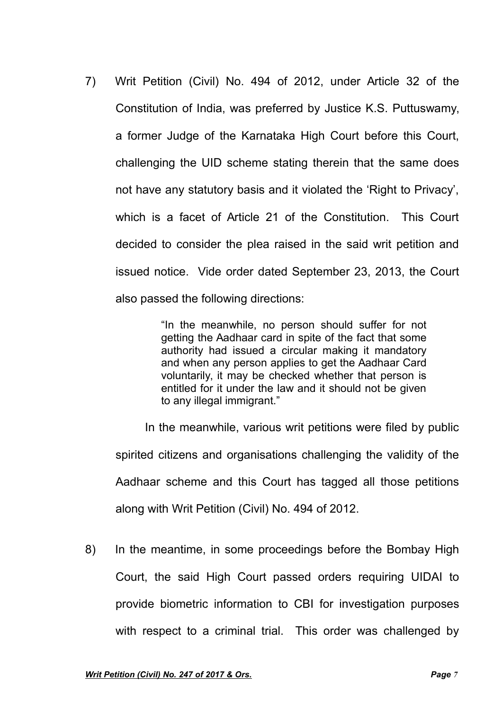7) Writ Petition (Civil) No. 494 of 2012, under Article 32 of the Constitution of India, was preferred by Justice K.S. Puttuswamy, a former Judge of the Karnataka High Court before this Court, challenging the UID scheme stating therein that the same does not have any statutory basis and it violated the 'Right to Privacy', which is a facet of Article 21 of the Constitution. This Court decided to consider the plea raised in the said writ petition and issued notice. Vide order dated September 23, 2013, the Court also passed the following directions:

> "In the meanwhile, no person should suffer for not getting the Aadhaar card in spite of the fact that some authority had issued a circular making it mandatory and when any person applies to get the Aadhaar Card voluntarily, it may be checked whether that person is entitled for it under the law and it should not be given to any illegal immigrant."

In the meanwhile, various writ petitions were filed by public spirited citizens and organisations challenging the validity of the Aadhaar scheme and this Court has tagged all those petitions along with Writ Petition (Civil) No. 494 of 2012.

8) In the meantime, in some proceedings before the Bombay High Court, the said High Court passed orders requiring UIDAI to provide biometric information to CBI for investigation purposes with respect to a criminal trial. This order was challenged by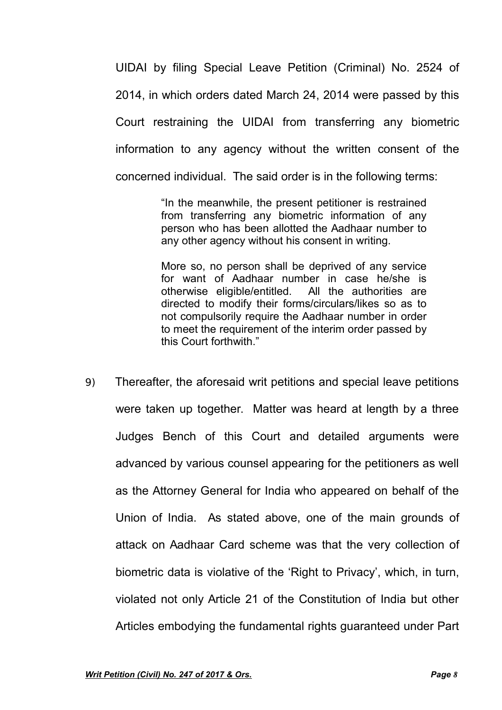UIDAI by filing Special Leave Petition (Criminal) No. 2524 of 2014, in which orders dated March 24, 2014 were passed by this Court restraining the UIDAI from transferring any biometric information to any agency without the written consent of the concerned individual. The said order is in the following terms:

> "In the meanwhile, the present petitioner is restrained from transferring any biometric information of any person who has been allotted the Aadhaar number to any other agency without his consent in writing.

> More so, no person shall be deprived of any service for want of Aadhaar number in case he/she is otherwise eligible/entitled. All the authorities are directed to modify their forms/circulars/likes so as to not compulsorily require the Aadhaar number in order to meet the requirement of the interim order passed by this Court forthwith."

9) Thereafter, the aforesaid writ petitions and special leave petitions were taken up together. Matter was heard at length by a three Judges Bench of this Court and detailed arguments were advanced by various counsel appearing for the petitioners as well as the Attorney General for India who appeared on behalf of the Union of India. As stated above, one of the main grounds of attack on Aadhaar Card scheme was that the very collection of biometric data is violative of the 'Right to Privacy', which, in turn, violated not only Article 21 of the Constitution of India but other Articles embodying the fundamental rights guaranteed under Part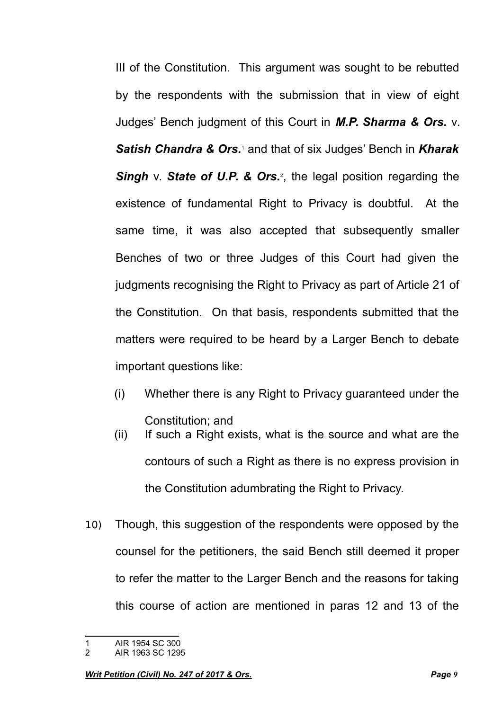III of the Constitution. This argument was sought to be rebutted by the respondents with the submission that in view of eight Judges' Bench judgment of this Court in *M.P. Sharma & Ors.* v. *Satish Chandra & Ors.*[1](#page-8-0) and that of six Judges' Bench in *Kharak* **Singh** v. **State of U.P. & Ors.**<sup>[2](#page-8-1)</sup>, the legal position regarding the existence of fundamental Right to Privacy is doubtful. At the same time, it was also accepted that subsequently smaller Benches of two or three Judges of this Court had given the judgments recognising the Right to Privacy as part of Article 21 of the Constitution. On that basis, respondents submitted that the matters were required to be heard by a Larger Bench to debate important questions like:

(i) Whether there is any Right to Privacy guaranteed under the

Constitution; and

- (ii) If such a Right exists, what is the source and what are the contours of such a Right as there is no express provision in the Constitution adumbrating the Right to Privacy.
- 10) Though, this suggestion of the respondents were opposed by the counsel for the petitioners, the said Bench still deemed it proper to refer the matter to the Larger Bench and the reasons for taking this course of action are mentioned in paras 12 and 13 of the

<span id="page-8-0"></span><sup>1</sup> AIR 1954 SC 300

<span id="page-8-1"></span><sup>2</sup> AIR 1963 SC 1295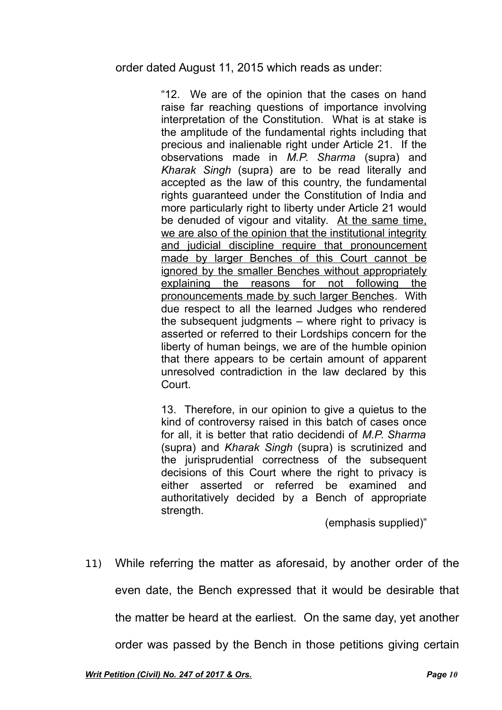### order dated August 11, 2015 which reads as under:

"12. We are of the opinion that the cases on hand raise far reaching questions of importance involving interpretation of the Constitution. What is at stake is the amplitude of the fundamental rights including that precious and inalienable right under Article 21. If the observations made in *M.P. Sharma* (supra) and *Kharak Singh* (supra) are to be read literally and accepted as the law of this country, the fundamental rights guaranteed under the Constitution of India and more particularly right to liberty under Article 21 would be denuded of vigour and vitality. At the same time, we are also of the opinion that the institutional integrity and judicial discipline require that pronouncement made by larger Benches of this Court cannot be ignored by the smaller Benches without appropriately explaining the reasons for not following the pronouncements made by such larger Benches. With due respect to all the learned Judges who rendered the subsequent judgments – where right to privacy is asserted or referred to their Lordships concern for the liberty of human beings, we are of the humble opinion that there appears to be certain amount of apparent unresolved contradiction in the law declared by this Court.

13. Therefore, in our opinion to give a quietus to the kind of controversy raised in this batch of cases once for all, it is better that ratio decidendi of *M.P. Sharma* (supra) and *Kharak Singh* (supra) is scrutinized and the jurisprudential correctness of the subsequent decisions of this Court where the right to privacy is either asserted or referred be examined and authoritatively decided by a Bench of appropriate strength.

(emphasis supplied)"

11) While referring the matter as aforesaid, by another order of the even date, the Bench expressed that it would be desirable that the matter be heard at the earliest. On the same day, yet another

order was passed by the Bench in those petitions giving certain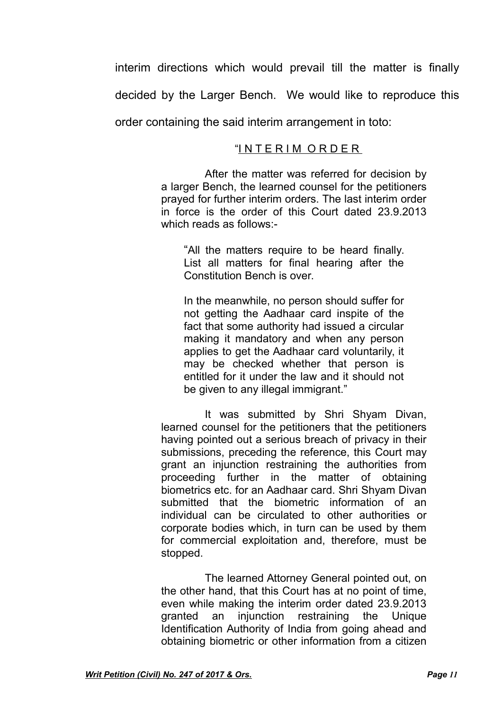interim directions which would prevail till the matter is finally decided by the Larger Bench. We would like to reproduce this

order containing the said interim arrangement in toto:

## "I N T E R I M O R D E R

After the matter was referred for decision by a larger Bench, the learned counsel for the petitioners prayed for further interim orders. The last interim order in force is the order of this Court dated 23.9.2013 which reads as follows:-

"All the matters require to be heard finally. List all matters for final hearing after the Constitution Bench is over.

In the meanwhile, no person should suffer for not getting the Aadhaar card inspite of the fact that some authority had issued a circular making it mandatory and when any person applies to get the Aadhaar card voluntarily, it may be checked whether that person is entitled for it under the law and it should not be given to any illegal immigrant."

It was submitted by Shri Shyam Divan, learned counsel for the petitioners that the petitioners having pointed out a serious breach of privacy in their submissions, preceding the reference, this Court may grant an injunction restraining the authorities from proceeding further in the matter of obtaining biometrics etc. for an Aadhaar card. Shri Shyam Divan submitted that the biometric information of an individual can be circulated to other authorities or corporate bodies which, in turn can be used by them for commercial exploitation and, therefore, must be stopped.

The learned Attorney General pointed out, on the other hand, that this Court has at no point of time, even while making the interim order dated 23.9.2013 granted an injunction restraining the Unique Identification Authority of India from going ahead and obtaining biometric or other information from a citizen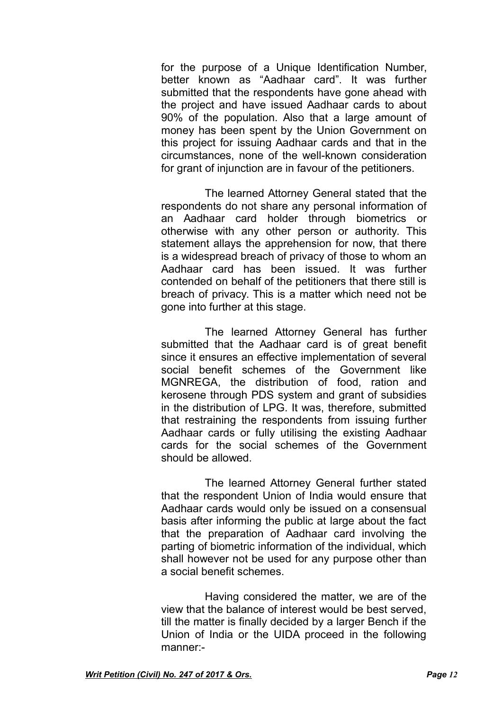for the purpose of a Unique Identification Number, better known as "Aadhaar card". It was further submitted that the respondents have gone ahead with the project and have issued Aadhaar cards to about 90% of the population. Also that a large amount of money has been spent by the Union Government on this project for issuing Aadhaar cards and that in the circumstances, none of the well-known consideration for grant of injunction are in favour of the petitioners.

The learned Attorney General stated that the respondents do not share any personal information of an Aadhaar card holder through biometrics or otherwise with any other person or authority. This statement allays the apprehension for now, that there is a widespread breach of privacy of those to whom an Aadhaar card has been issued. It was further contended on behalf of the petitioners that there still is breach of privacy. This is a matter which need not be gone into further at this stage.

The learned Attorney General has further submitted that the Aadhaar card is of great benefit since it ensures an effective implementation of several social benefit schemes of the Government like MGNREGA, the distribution of food, ration and kerosene through PDS system and grant of subsidies in the distribution of LPG. It was, therefore, submitted that restraining the respondents from issuing further Aadhaar cards or fully utilising the existing Aadhaar cards for the social schemes of the Government should be allowed.

The learned Attorney General further stated that the respondent Union of India would ensure that Aadhaar cards would only be issued on a consensual basis after informing the public at large about the fact that the preparation of Aadhaar card involving the parting of biometric information of the individual, which shall however not be used for any purpose other than a social benefit schemes.

Having considered the matter, we are of the view that the balance of interest would be best served, till the matter is finally decided by a larger Bench if the Union of India or the UIDA proceed in the following manner:-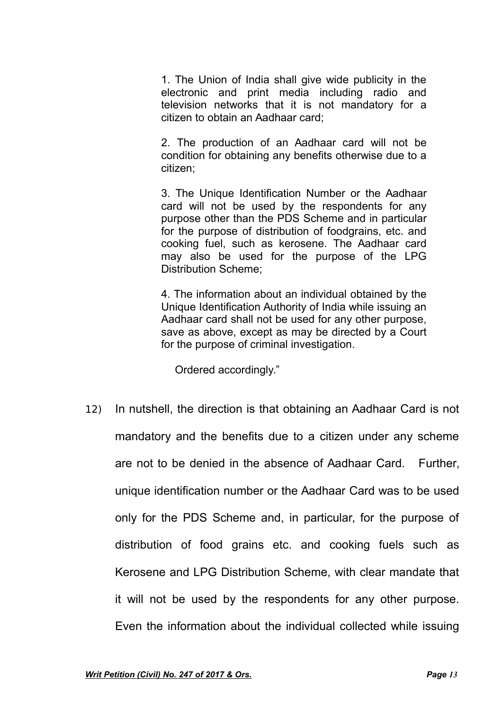1. The Union of India shall give wide publicity in the electronic and print media including radio and television networks that it is not mandatory for a citizen to obtain an Aadhaar card;

2. The production of an Aadhaar card will not be condition for obtaining any benefits otherwise due to a citizen;

3. The Unique Identification Number or the Aadhaar card will not be used by the respondents for any purpose other than the PDS Scheme and in particular for the purpose of distribution of foodgrains, etc. and cooking fuel, such as kerosene. The Aadhaar card may also be used for the purpose of the LPG Distribution Scheme;

4. The information about an individual obtained by the Unique Identification Authority of India while issuing an Aadhaar card shall not be used for any other purpose, save as above, except as may be directed by a Court for the purpose of criminal investigation.

Ordered accordingly."

12) In nutshell, the direction is that obtaining an Aadhaar Card is not mandatory and the benefits due to a citizen under any scheme are not to be denied in the absence of Aadhaar Card. Further, unique identification number or the Aadhaar Card was to be used only for the PDS Scheme and, in particular, for the purpose of distribution of food grains etc. and cooking fuels such as Kerosene and LPG Distribution Scheme, with clear mandate that it will not be used by the respondents for any other purpose. Even the information about the individual collected while issuing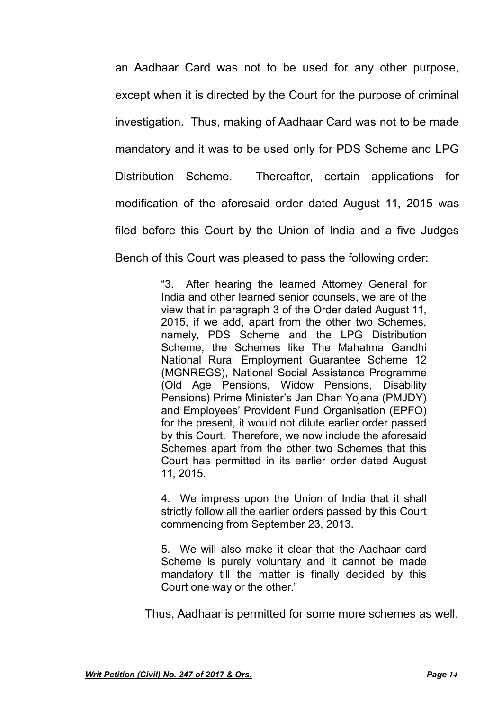an Aadhaar Card was not to be used for any other purpose, except when it is directed by the Court for the purpose of criminal investigation. Thus, making of Aadhaar Card was not to be made mandatory and it was to be used only for PDS Scheme and LPG Distribution Scheme. Thereafter, certain applications for modification of the aforesaid order dated August 11, 2015 was filed before this Court by the Union of India and a five Judges Bench of this Court was pleased to pass the following order:

> "3. After hearing the learned Attorney General for India and other learned senior counsels, we are of the view that in paragraph 3 of the Order dated August 11, 2015, if we add, apart from the other two Schemes, namely, PDS Scheme and the LPG Distribution Scheme, the Schemes like The Mahatma Gandhi National Rural Employment Guarantee Scheme 12 (MGNREGS), National Social Assistance Programme (Old Age Pensions, Widow Pensions, Disability Pensions) Prime Minister's Jan Dhan Yojana (PMJDY) and Employees' Provident Fund Organisation (EPFO) for the present, it would not dilute earlier order passed by this Court. Therefore, we now include the aforesaid Schemes apart from the other two Schemes that this Court has permitted in its earlier order dated August 11, 2015.

> 4. We impress upon the Union of India that it shall strictly follow all the earlier orders passed by this Court commencing from September 23, 2013.

> 5. We will also make it clear that the Aadhaar card Scheme is purely voluntary and it cannot be made mandatory till the matter is finally decided by this Court one way or the other."

Thus, Aadhaar is permitted for some more schemes as well.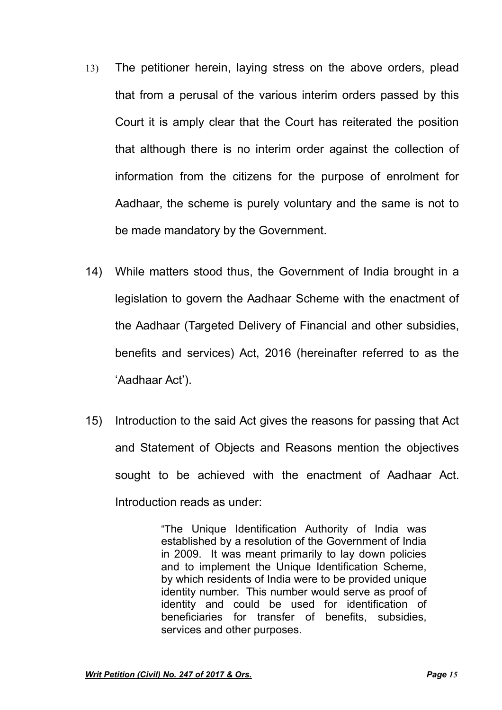- 13) The petitioner herein, laying stress on the above orders, plead that from a perusal of the various interim orders passed by this Court it is amply clear that the Court has reiterated the position that although there is no interim order against the collection of information from the citizens for the purpose of enrolment for Aadhaar, the scheme is purely voluntary and the same is not to be made mandatory by the Government.
- 14) While matters stood thus, the Government of India brought in a legislation to govern the Aadhaar Scheme with the enactment of the Aadhaar (Targeted Delivery of Financial and other subsidies, benefits and services) Act, 2016 (hereinafter referred to as the 'Aadhaar Act').
- 15) Introduction to the said Act gives the reasons for passing that Act and Statement of Objects and Reasons mention the objectives sought to be achieved with the enactment of Aadhaar Act. Introduction reads as under:

"The Unique Identification Authority of India was established by a resolution of the Government of India in 2009. It was meant primarily to lay down policies and to implement the Unique Identification Scheme, by which residents of India were to be provided unique identity number. This number would serve as proof of identity and could be used for identification of beneficiaries for transfer of benefits, subsidies, services and other purposes.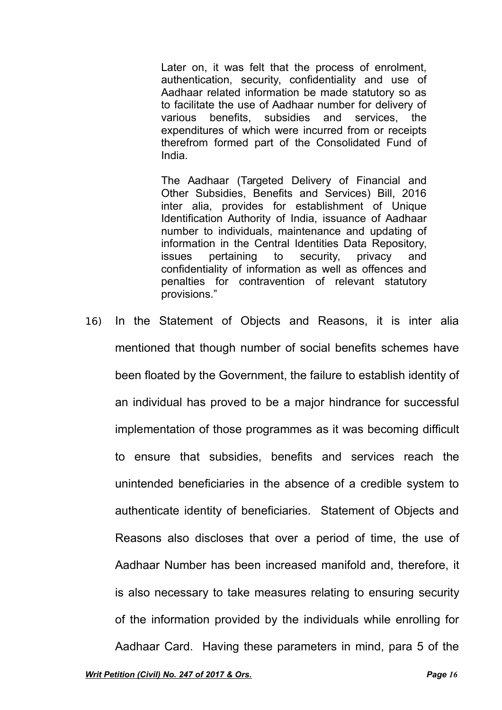Later on, it was felt that the process of enrolment, authentication, security, confidentiality and use of Aadhaar related information be made statutory so as to facilitate the use of Aadhaar number for delivery of various benefits, subsidies and services, the expenditures of which were incurred from or receipts therefrom formed part of the Consolidated Fund of India.

The Aadhaar (Targeted Delivery of Financial and Other Subsidies, Benefits and Services) Bill, 2016 inter alia, provides for establishment of Unique Identification Authority of India, issuance of Aadhaar number to individuals, maintenance and updating of information in the Central Identities Data Repository, issues pertaining to security, privacy and confidentiality of information as well as offences and penalties for contravention of relevant statutory provisions."

16) In the Statement of Objects and Reasons, it is inter alia mentioned that though number of social benefits schemes have been floated by the Government, the failure to establish identity of an individual has proved to be a major hindrance for successful implementation of those programmes as it was becoming difficult to ensure that subsidies, benefits and services reach the unintended beneficiaries in the absence of a credible system to authenticate identity of beneficiaries. Statement of Objects and Reasons also discloses that over a period of time, the use of Aadhaar Number has been increased manifold and, therefore, it is also necessary to take measures relating to ensuring security of the information provided by the individuals while enrolling for Aadhaar Card. Having these parameters in mind, para 5 of the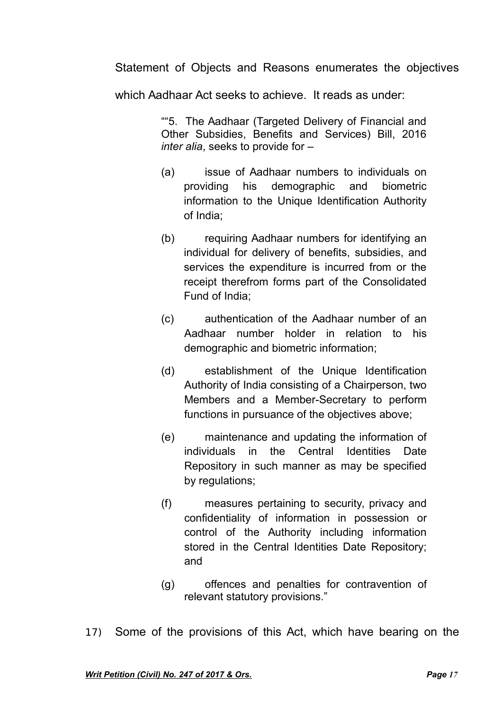Statement of Objects and Reasons enumerates the objectives

which Aadhaar Act seeks to achieve. It reads as under:

""5. The Aadhaar (Targeted Delivery of Financial and Other Subsidies, Benefits and Services) Bill, 2016 *inter alia*, seeks to provide for –

- (a) issue of Aadhaar numbers to individuals on providing his demographic and biometric information to the Unique Identification Authority of India;
- (b) requiring Aadhaar numbers for identifying an individual for delivery of benefits, subsidies, and services the expenditure is incurred from or the receipt therefrom forms part of the Consolidated Fund of India;
- (c) authentication of the Aadhaar number of an Aadhaar number holder in relation to his demographic and biometric information;
- (d) establishment of the Unique Identification Authority of India consisting of a Chairperson, two Members and a Member-Secretary to perform functions in pursuance of the objectives above;
- (e) maintenance and updating the information of individuals in the Central Identities Date Repository in such manner as may be specified by regulations;
- (f) measures pertaining to security, privacy and confidentiality of information in possession or control of the Authority including information stored in the Central Identities Date Repository; and
- (g) offences and penalties for contravention of relevant statutory provisions."
- 17) Some of the provisions of this Act, which have bearing on the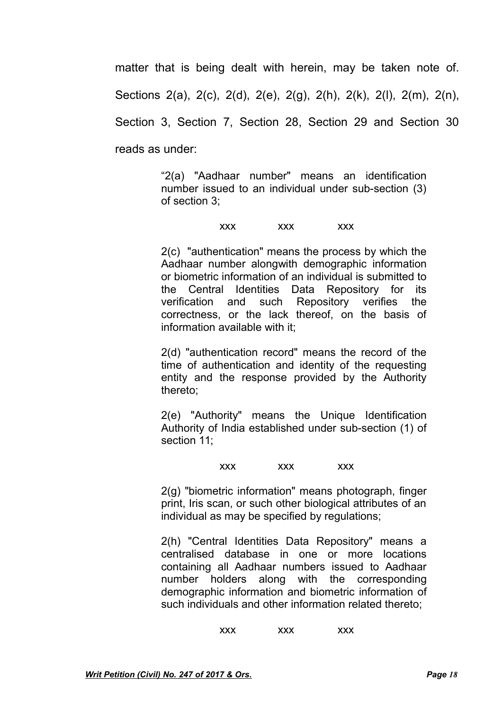matter that is being dealt with herein, may be taken note of. Sections 2(a), 2(c), 2(d), 2(e), 2(g), 2(h), 2(k), 2(l), 2(m), 2(n), Section 3, Section 7, Section 28, Section 29 and Section 30 reads as under:

> "2(a) "Aadhaar number" means an identification number issued to an individual under sub-section (3) of section 3;

#### xxx xxx xxx

2(c) "authentication" means the process by which the Aadhaar number alongwith demographic information or biometric information of an individual is submitted to the Central Identities Data Repository for its verification and such Repository verifies the correctness, or the lack thereof, on the basis of information available with it;

2(d) "authentication record" means the record of the time of authentication and identity of the requesting entity and the response provided by the Authority thereto;

2(e) "Authority" means the Unique Identification Authority of India established under sub-section (1) of section 11;

#### xxx xxx xxx

2(g) "biometric information" means photograph, finger print, Iris scan, or such other biological attributes of an individual as may be specified by regulations;

2(h) "Central Identities Data Repository" means a centralised database in one or more locations containing all Aadhaar numbers issued to Aadhaar number holders along with the corresponding demographic information and biometric information of such individuals and other information related thereto;

xxx xxx xxx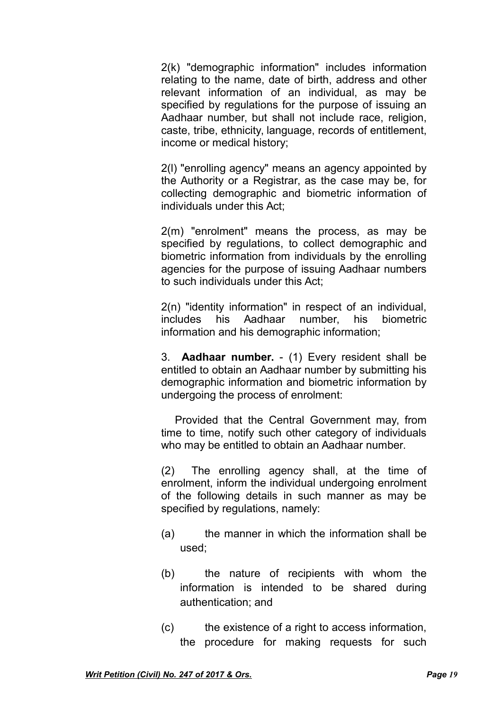2(k) "demographic information" includes information relating to the name, date of birth, address and other relevant information of an individual, as may be specified by regulations for the purpose of issuing an Aadhaar number, but shall not include race, religion, caste, tribe, ethnicity, language, records of entitlement, income or medical history;

2(l) "enrolling agency" means an agency appointed by the Authority or a Registrar, as the case may be, for collecting demographic and biometric information of individuals under this Act;

2(m) "enrolment" means the process, as may be specified by regulations, to collect demographic and biometric information from individuals by the enrolling agencies for the purpose of issuing Aadhaar numbers to such individuals under this Act;

2(n) "identity information" in respect of an individual, includes his Aadhaar number, his biometric information and his demographic information;

3. **Aadhaar number.** - (1) Every resident shall be entitled to obtain an Aadhaar number by submitting his demographic information and biometric information by undergoing the process of enrolment:

Provided that the Central Government may, from time to time, notify such other category of individuals who may be entitled to obtain an Aadhaar number.

(2) The enrolling agency shall, at the time of enrolment, inform the individual undergoing enrolment of the following details in such manner as may be specified by regulations, namely:

- (a) the manner in which the information shall be used;
- (b) the nature of recipients with whom the information is intended to be shared during authentication; and
- (c) the existence of a right to access information, the procedure for making requests for such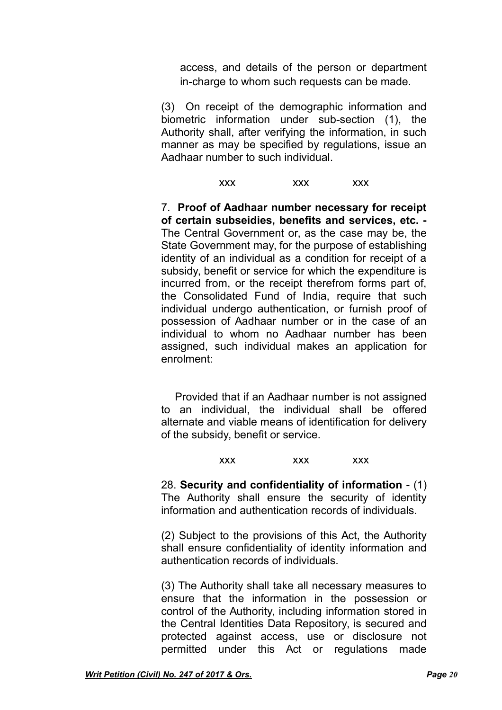access, and details of the person or department in-charge to whom such requests can be made.

(3) On receipt of the demographic information and biometric information under sub-section (1), the Authority shall, after verifying the information, in such manner as may be specified by regulations, issue an Aadhaar number to such individual.

### xxx xxx xxx

7. **Proof of Aadhaar number necessary for receipt of certain subseidies, benefits and services, etc. -** The Central Government or, as the case may be, the State Government may, for the purpose of establishing identity of an individual as a condition for receipt of a subsidy, benefit or service for which the expenditure is incurred from, or the receipt therefrom forms part of. the Consolidated Fund of India, require that such individual undergo authentication, or furnish proof of possession of Aadhaar number or in the case of an individual to whom no Aadhaar number has been assigned, such individual makes an application for enrolment:

Provided that if an Aadhaar number is not assigned to an individual, the individual shall be offered alternate and viable means of identification for delivery of the subsidy, benefit or service.

#### xxx xxx xxx

28. **Security and confidentiality of information** - (1) The Authority shall ensure the security of identity information and authentication records of individuals.

(2) Subject to the provisions of this Act, the Authority shall ensure confidentiality of identity information and authentication records of individuals.

(3) The Authority shall take all necessary measures to ensure that the information in the possession or control of the Authority, including information stored in the Central Identities Data Repository, is secured and protected against access, use or disclosure not permitted under this Act or regulations made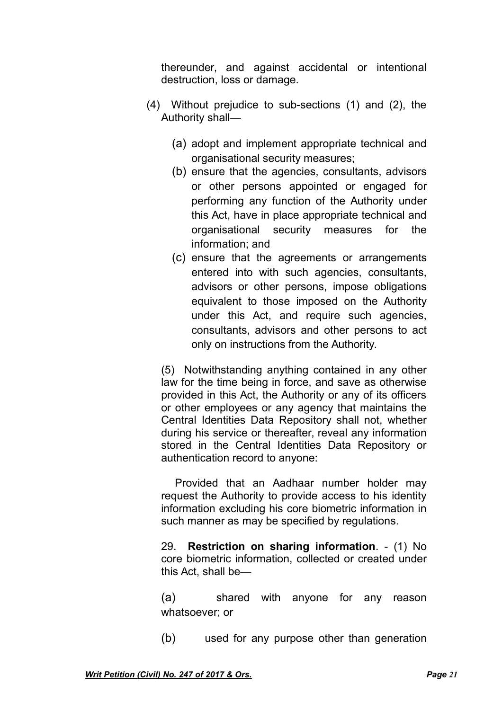thereunder, and against accidental or intentional destruction, loss or damage.

- (4) Without prejudice to sub-sections (1) and (2), the Authority shall—
	- (a) adopt and implement appropriate technical and organisational security measures;
	- (b) ensure that the agencies, consultants, advisors or other persons appointed or engaged for performing any function of the Authority under this Act, have in place appropriate technical and organisational security measures for the information; and
	- (c) ensure that the agreements or arrangements entered into with such agencies, consultants, advisors or other persons, impose obligations equivalent to those imposed on the Authority under this Act, and require such agencies, consultants, advisors and other persons to act only on instructions from the Authority.

(5) Notwithstanding anything contained in any other law for the time being in force, and save as otherwise provided in this Act, the Authority or any of its officers or other employees or any agency that maintains the Central Identities Data Repository shall not, whether during his service or thereafter, reveal any information stored in the Central Identities Data Repository or authentication record to anyone:

Provided that an Aadhaar number holder may request the Authority to provide access to his identity information excluding his core biometric information in such manner as may be specified by regulations.

29. **Restriction on sharing information**. - (1) No core biometric information, collected or created under this Act, shall be—

(a) shared with anyone for any reason whatsoever; or

(b) used for any purpose other than generation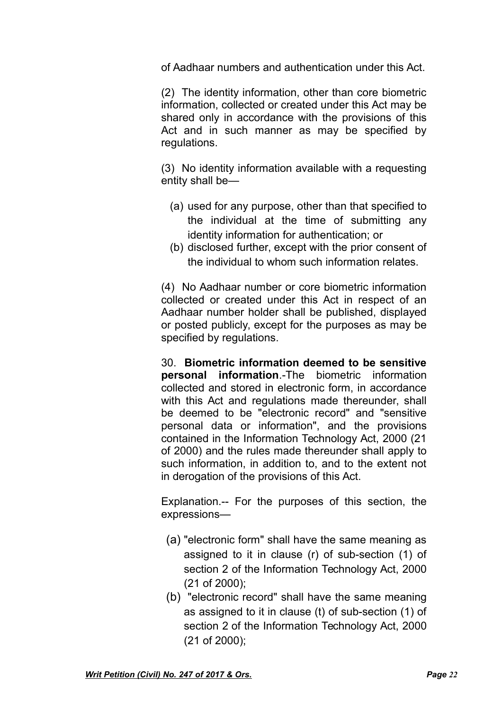of Aadhaar numbers and authentication under this Act.

(2) The identity information, other than core biometric information, collected or created under this Act may be shared only in accordance with the provisions of this Act and in such manner as may be specified by regulations.

(3) No identity information available with a requesting entity shall be—

- (a) used for any purpose, other than that specified to the individual at the time of submitting any identity information for authentication; or
- (b) disclosed further, except with the prior consent of the individual to whom such information relates.

(4) No Aadhaar number or core biometric information collected or created under this Act in respect of an Aadhaar number holder shall be published, displayed or posted publicly, except for the purposes as may be specified by regulations.

30. **Biometric information deemed to be sensitive personal information**.-The biometric information collected and stored in electronic form, in accordance with this Act and regulations made thereunder, shall be deemed to be "electronic record" and "sensitive personal data or information", and the provisions contained in the Information Technology Act, 2000 (21 of 2000) and the rules made thereunder shall apply to such information, in addition to, and to the extent not in derogation of the provisions of this Act.

Explanation.-- For the purposes of this section, the expressions—

- (a) "electronic form" shall have the same meaning as assigned to it in clause (r) of sub-section (1) of section 2 of the Information Technology Act, 2000 (21 of 2000);
- (b) "electronic record" shall have the same meaning as assigned to it in clause (t) of sub-section (1) of section 2 of the Information Technology Act, 2000 (21 of 2000);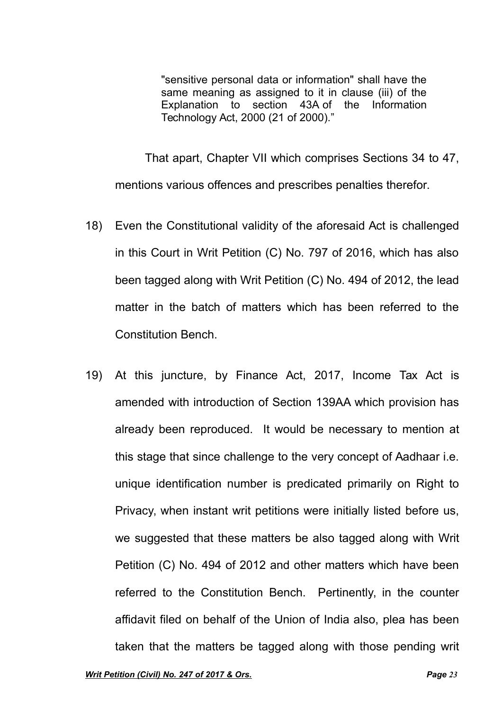"sensitive personal data or information" shall have the same meaning as assigned to it in clause (iii) of the Explanation to section 43A of the Information Technology Act, 2000 (21 of 2000)."

That apart, Chapter VII which comprises Sections 34 to 47, mentions various offences and prescribes penalties therefor.

- 18) Even the Constitutional validity of the aforesaid Act is challenged in this Court in Writ Petition (C) No. 797 of 2016, which has also been tagged along with Writ Petition (C) No. 494 of 2012, the lead matter in the batch of matters which has been referred to the Constitution Bench.
- 19) At this juncture, by Finance Act, 2017, Income Tax Act is amended with introduction of Section 139AA which provision has already been reproduced. It would be necessary to mention at this stage that since challenge to the very concept of Aadhaar i.e. unique identification number is predicated primarily on Right to Privacy, when instant writ petitions were initially listed before us, we suggested that these matters be also tagged along with Writ Petition (C) No. 494 of 2012 and other matters which have been referred to the Constitution Bench. Pertinently, in the counter affidavit filed on behalf of the Union of India also, plea has been taken that the matters be tagged along with those pending writ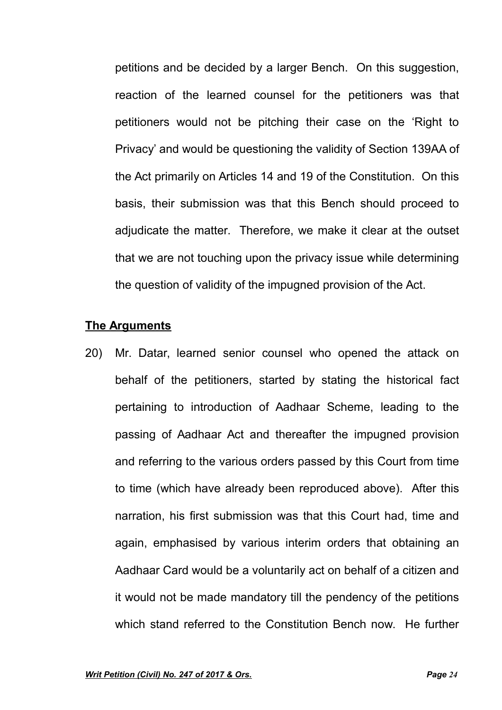petitions and be decided by a larger Bench. On this suggestion, reaction of the learned counsel for the petitioners was that petitioners would not be pitching their case on the 'Right to Privacy' and would be questioning the validity of Section 139AA of the Act primarily on Articles 14 and 19 of the Constitution. On this basis, their submission was that this Bench should proceed to adjudicate the matter. Therefore, we make it clear at the outset that we are not touching upon the privacy issue while determining the question of validity of the impugned provision of the Act.

#### **The Arguments**

20) Mr. Datar, learned senior counsel who opened the attack on behalf of the petitioners, started by stating the historical fact pertaining to introduction of Aadhaar Scheme, leading to the passing of Aadhaar Act and thereafter the impugned provision and referring to the various orders passed by this Court from time to time (which have already been reproduced above). After this narration, his first submission was that this Court had, time and again, emphasised by various interim orders that obtaining an Aadhaar Card would be a voluntarily act on behalf of a citizen and it would not be made mandatory till the pendency of the petitions which stand referred to the Constitution Bench now. He further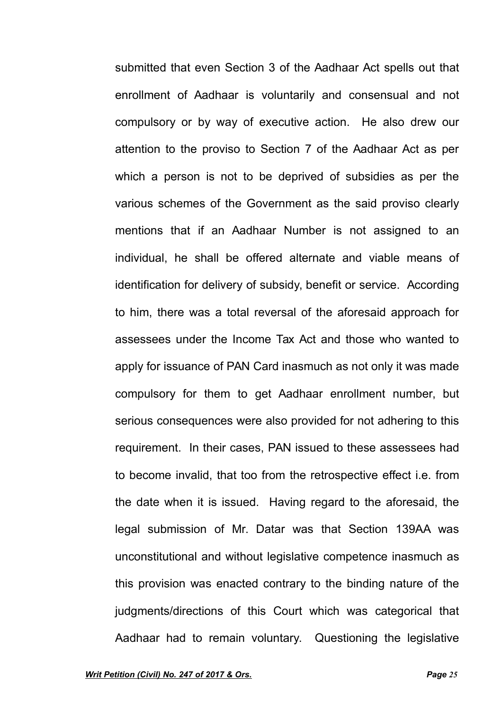submitted that even Section 3 of the Aadhaar Act spells out that enrollment of Aadhaar is voluntarily and consensual and not compulsory or by way of executive action. He also drew our attention to the proviso to Section 7 of the Aadhaar Act as per which a person is not to be deprived of subsidies as per the various schemes of the Government as the said proviso clearly mentions that if an Aadhaar Number is not assigned to an individual, he shall be offered alternate and viable means of identification for delivery of subsidy, benefit or service. According to him, there was a total reversal of the aforesaid approach for assessees under the Income Tax Act and those who wanted to apply for issuance of PAN Card inasmuch as not only it was made compulsory for them to get Aadhaar enrollment number, but serious consequences were also provided for not adhering to this requirement. In their cases, PAN issued to these assessees had to become invalid, that too from the retrospective effect i.e. from the date when it is issued. Having regard to the aforesaid, the legal submission of Mr. Datar was that Section 139AA was unconstitutional and without legislative competence inasmuch as this provision was enacted contrary to the binding nature of the judgments/directions of this Court which was categorical that Aadhaar had to remain voluntary. Questioning the legislative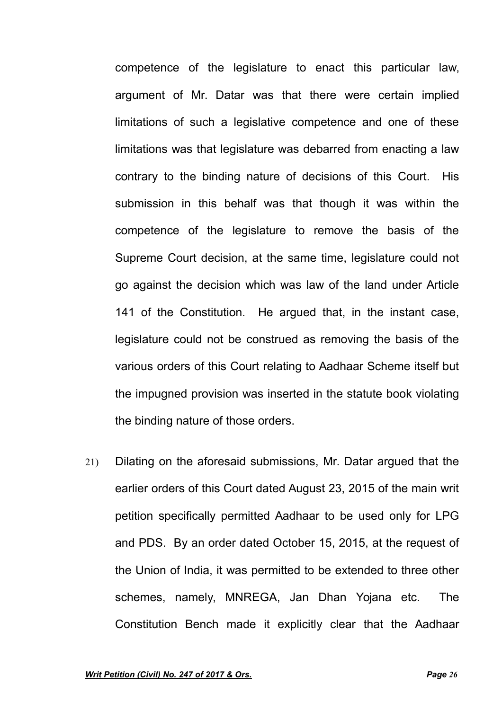competence of the legislature to enact this particular law, argument of Mr. Datar was that there were certain implied limitations of such a legislative competence and one of these limitations was that legislature was debarred from enacting a law contrary to the binding nature of decisions of this Court. His submission in this behalf was that though it was within the competence of the legislature to remove the basis of the Supreme Court decision, at the same time, legislature could not go against the decision which was law of the land under Article 141 of the Constitution. He argued that, in the instant case, legislature could not be construed as removing the basis of the various orders of this Court relating to Aadhaar Scheme itself but the impugned provision was inserted in the statute book violating the binding nature of those orders.

21) Dilating on the aforesaid submissions, Mr. Datar argued that the earlier orders of this Court dated August 23, 2015 of the main writ petition specifically permitted Aadhaar to be used only for LPG and PDS. By an order dated October 15, 2015, at the request of the Union of India, it was permitted to be extended to three other schemes, namely, MNREGA, Jan Dhan Yojana etc. The Constitution Bench made it explicitly clear that the Aadhaar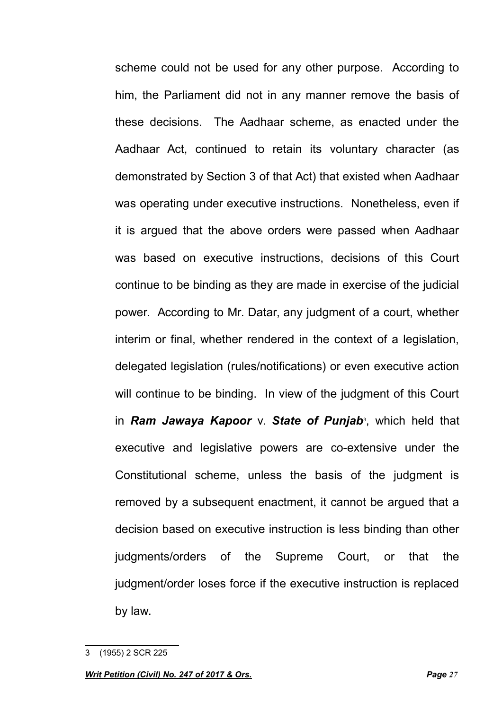scheme could not be used for any other purpose. According to him, the Parliament did not in any manner remove the basis of these decisions. The Aadhaar scheme, as enacted under the Aadhaar Act, continued to retain its voluntary character (as demonstrated by Section 3 of that Act) that existed when Aadhaar was operating under executive instructions. Nonetheless, even if it is argued that the above orders were passed when Aadhaar was based on executive instructions, decisions of this Court continue to be binding as they are made in exercise of the judicial power. According to Mr. Datar, any judgment of a court, whether interim or final, whether rendered in the context of a legislation, delegated legislation (rules/notifications) or even executive action will continue to be binding. In view of the judgment of this Court in *Ram Jawaya Kapoor* v. State of Punjab<sup>[3](#page-26-0)</sup>, which held that executive and legislative powers are co-extensive under the Constitutional scheme, unless the basis of the judgment is removed by a subsequent enactment, it cannot be argued that a decision based on executive instruction is less binding than other judgments/orders of the Supreme Court, or that the judgment/order loses force if the executive instruction is replaced by law.

<span id="page-26-0"></span><sup>(1955) 2</sup> SCR 225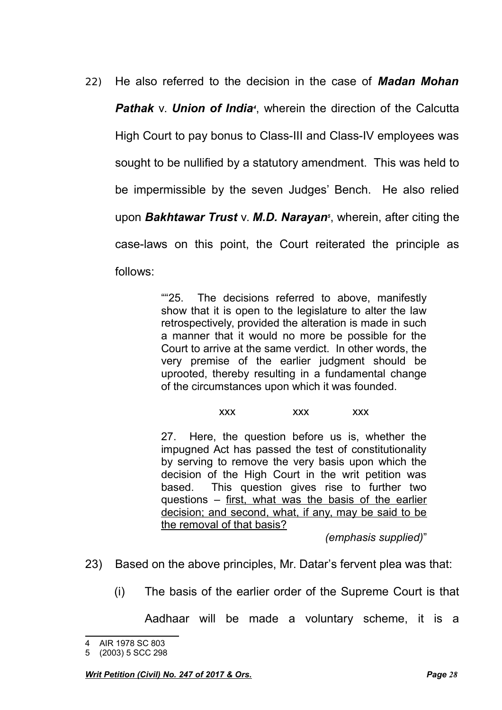22) He also referred to the decision in the case of *Madan Mohan* **Pathak** v. **Union of India**<sup>[4](#page-27-0)</sup>, wherein the direction of the Calcutta High Court to pay bonus to Class-III and Class-IV employees was sought to be nullified by a statutory amendment. This was held to be impermissible by the seven Judges' Bench. He also relied upon *Bakhtawar Trust* v. *M.D. Narayan[5](#page-27-1)* , wherein, after citing the case-laws on this point, the Court reiterated the principle as follows:

> ""25. The decisions referred to above, manifestly show that it is open to the legislature to alter the law retrospectively, provided the alteration is made in such a manner that it would no more be possible for the Court to arrive at the same verdict. In other words, the very premise of the earlier judgment should be uprooted, thereby resulting in a fundamental change of the circumstances upon which it was founded.

#### xxx xxx xxx

27. Here, the question before us is, whether the impugned Act has passed the test of constitutionality by serving to remove the very basis upon which the decision of the High Court in the writ petition was based. This question gives rise to further two questions – first, what was the basis of the earlier decision; and second, what, if any, may be said to be the removal of that basis?

*(emphasis supplied)*"

- 23) Based on the above principles, Mr. Datar's fervent plea was that:
	- (i) The basis of the earlier order of the Supreme Court is that

Aadhaar will be made a voluntary scheme, it is a

*Writ Petition (Civil) No. 247 of 2017 & Ors. Page 28*

<span id="page-27-0"></span><sup>4</sup> AIR 1978 SC 803

<span id="page-27-1"></span><sup>5</sup> (2003) 5 SCC 298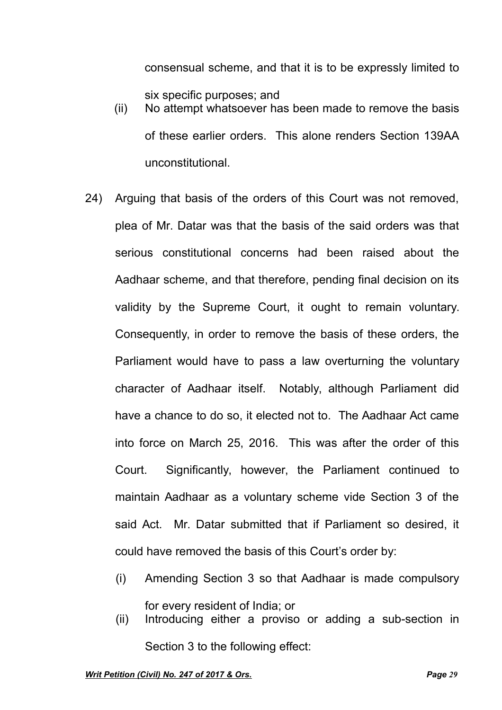consensual scheme, and that it is to be expressly limited to six specific purposes; and (ii) No attempt whatsoever has been made to remove the basis

- of these earlier orders. This alone renders Section 139AA unconstitutional.
- 24) Arguing that basis of the orders of this Court was not removed, plea of Mr. Datar was that the basis of the said orders was that serious constitutional concerns had been raised about the Aadhaar scheme, and that therefore, pending final decision on its validity by the Supreme Court, it ought to remain voluntary. Consequently, in order to remove the basis of these orders, the Parliament would have to pass a law overturning the voluntary character of Aadhaar itself. Notably, although Parliament did have a chance to do so, it elected not to. The Aadhaar Act came into force on March 25, 2016. This was after the order of this Court. Significantly, however, the Parliament continued to maintain Aadhaar as a voluntary scheme vide Section 3 of the said Act. Mr. Datar submitted that if Parliament so desired, it could have removed the basis of this Court's order by:
	- (i) Amending Section 3 so that Aadhaar is made compulsory for every resident of India; or
	- (ii) Introducing either a proviso or adding a sub-section in Section 3 to the following effect:

*Writ Petition (Civil) No. 247 of 2017 & Ors. Page 29*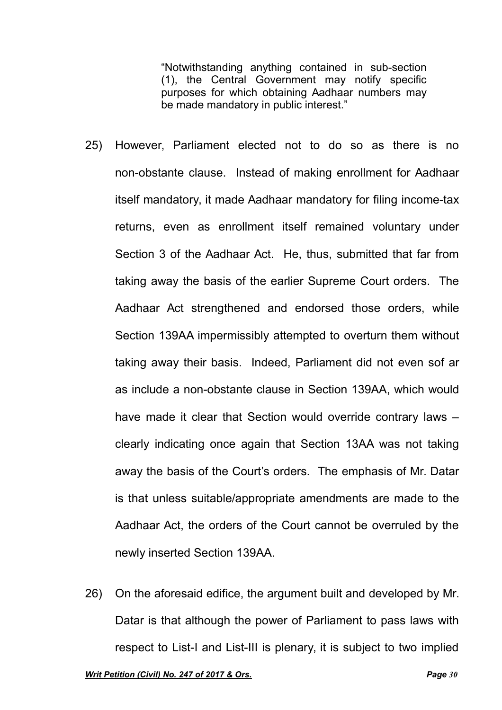"Notwithstanding anything contained in sub-section (1), the Central Government may notify specific purposes for which obtaining Aadhaar numbers may be made mandatory in public interest."

- 25) However, Parliament elected not to do so as there is no non-obstante clause. Instead of making enrollment for Aadhaar itself mandatory, it made Aadhaar mandatory for filing income-tax returns, even as enrollment itself remained voluntary under Section 3 of the Aadhaar Act. He, thus, submitted that far from taking away the basis of the earlier Supreme Court orders. The Aadhaar Act strengthened and endorsed those orders, while Section 139AA impermissibly attempted to overturn them without taking away their basis. Indeed, Parliament did not even sof ar as include a non-obstante clause in Section 139AA, which would have made it clear that Section would override contrary laws – clearly indicating once again that Section 13AA was not taking away the basis of the Court's orders. The emphasis of Mr. Datar is that unless suitable/appropriate amendments are made to the Aadhaar Act, the orders of the Court cannot be overruled by the newly inserted Section 139AA.
- 26) On the aforesaid edifice, the argument built and developed by Mr. Datar is that although the power of Parliament to pass laws with respect to List-I and List-III is plenary, it is subject to two implied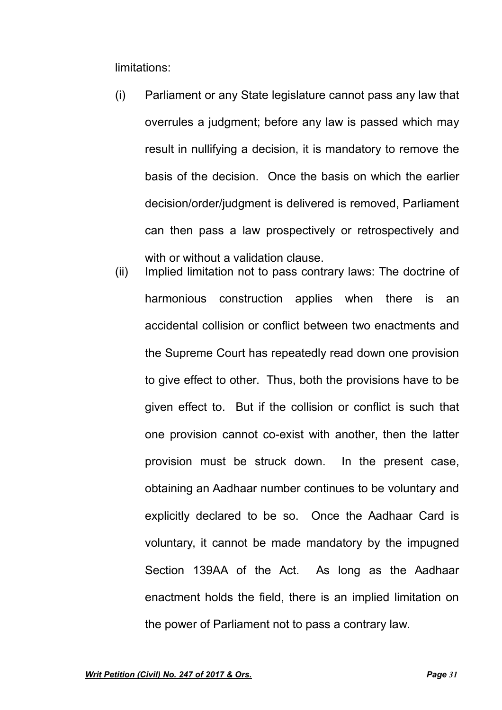limitations:

- (i) Parliament or any State legislature cannot pass any law that overrules a judgment; before any law is passed which may result in nullifying a decision, it is mandatory to remove the basis of the decision. Once the basis on which the earlier decision/order/judgment is delivered is removed, Parliament can then pass a law prospectively or retrospectively and with or without a validation clause.
- (ii) Implied limitation not to pass contrary laws: The doctrine of harmonious construction applies when there is an accidental collision or conflict between two enactments and the Supreme Court has repeatedly read down one provision to give effect to other. Thus, both the provisions have to be given effect to. But if the collision or conflict is such that one provision cannot co-exist with another, then the latter provision must be struck down. In the present case, obtaining an Aadhaar number continues to be voluntary and explicitly declared to be so. Once the Aadhaar Card is voluntary, it cannot be made mandatory by the impugned Section 139AA of the Act. As long as the Aadhaar enactment holds the field, there is an implied limitation on the power of Parliament not to pass a contrary law.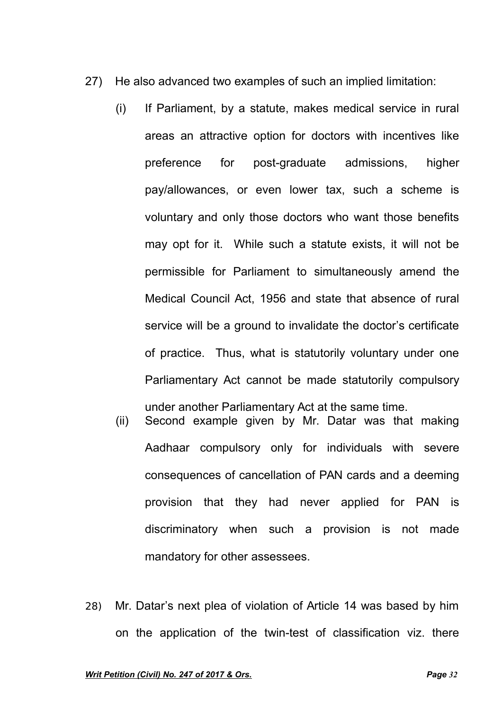- 27) He also advanced two examples of such an implied limitation:
	- (i) If Parliament, by a statute, makes medical service in rural areas an attractive option for doctors with incentives like preference for post-graduate admissions, higher pay/allowances, or even lower tax, such a scheme is voluntary and only those doctors who want those benefits may opt for it. While such a statute exists, it will not be permissible for Parliament to simultaneously amend the Medical Council Act, 1956 and state that absence of rural service will be a ground to invalidate the doctor's certificate of practice. Thus, what is statutorily voluntary under one Parliamentary Act cannot be made statutorily compulsory under another Parliamentary Act at the same time.
	- (ii) Second example given by Mr. Datar was that making Aadhaar compulsory only for individuals with severe consequences of cancellation of PAN cards and a deeming provision that they had never applied for PAN is discriminatory when such a provision is not made mandatory for other assessees.
- 28) Mr. Datar's next plea of violation of Article 14 was based by him on the application of the twin-test of classification viz. there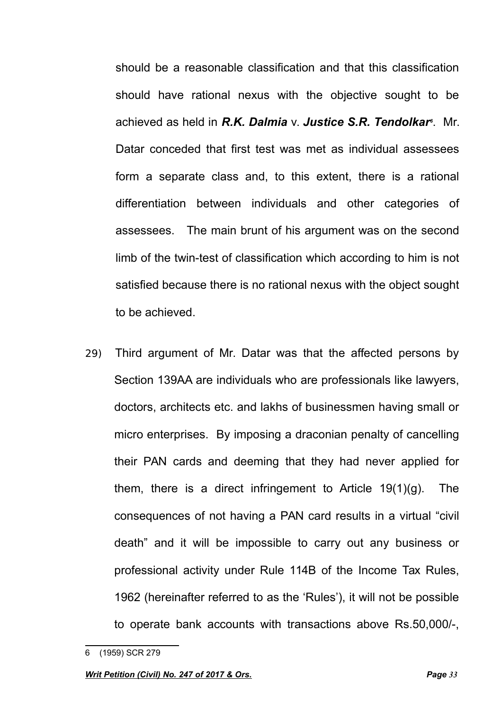should be a reasonable classification and that this classification should have rational nexus with the objective sought to be achieved as held in *R.K. Dalmia* v. *Justice S.R. Tendolkar[6](#page-32-0)* . Mr. Datar conceded that first test was met as individual assessees form a separate class and, to this extent, there is a rational differentiation between individuals and other categories of assessees. The main brunt of his argument was on the second limb of the twin-test of classification which according to him is not satisfied because there is no rational nexus with the object sought to be achieved.

29) Third argument of Mr. Datar was that the affected persons by Section 139AA are individuals who are professionals like lawyers, doctors, architects etc. and lakhs of businessmen having small or micro enterprises. By imposing a draconian penalty of cancelling their PAN cards and deeming that they had never applied for them, there is a direct infringement to Article 19(1)(g). The consequences of not having a PAN card results in a virtual "civil death" and it will be impossible to carry out any business or professional activity under Rule 114B of the Income Tax Rules, 1962 (hereinafter referred to as the 'Rules'), it will not be possible to operate bank accounts with transactions above Rs.50,000/-,

<span id="page-32-0"></span><sup>6</sup> (1959) SCR 279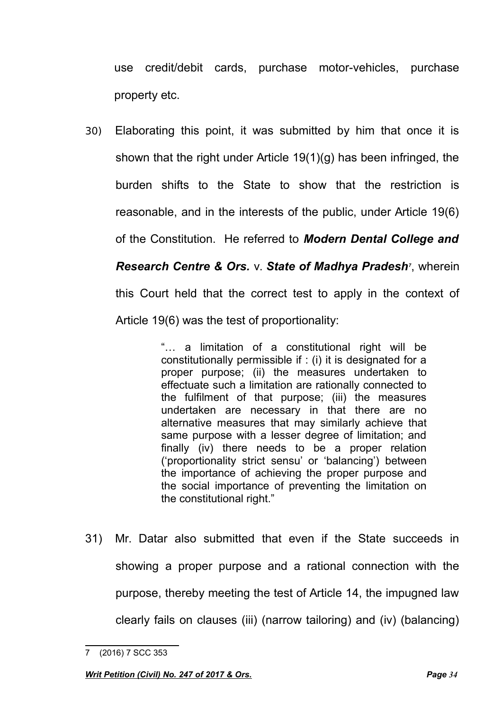use credit/debit cards, purchase motor-vehicles, purchase property etc.

30) Elaborating this point, it was submitted by him that once it is shown that the right under Article 19(1)(g) has been infringed, the burden shifts to the State to show that the restriction is reasonable, and in the interests of the public, under Article 19(6) of the Constitution. He referred to *Modern Dental College and*

*Research Centre & Ors.* v. *State of Madhya Pradesh[7](#page-33-0)* , wherein

this Court held that the correct test to apply in the context of

Article 19(6) was the test of proportionality:

"… a limitation of a constitutional right will be constitutionally permissible if : (i) it is designated for a proper purpose; (ii) the measures undertaken to effectuate such a limitation are rationally connected to the fulfilment of that purpose; (iii) the measures undertaken are necessary in that there are no alternative measures that may similarly achieve that same purpose with a lesser degree of limitation; and finally (iv) there needs to be a proper relation ('proportionality strict sensu' or 'balancing') between the importance of achieving the proper purpose and the social importance of preventing the limitation on the constitutional right."

31) Mr. Datar also submitted that even if the State succeeds in showing a proper purpose and a rational connection with the purpose, thereby meeting the test of Article 14, the impugned law clearly fails on clauses (iii) (narrow tailoring) and (iv) (balancing)

<span id="page-33-0"></span><sup>7</sup> (2016) 7 SCC 353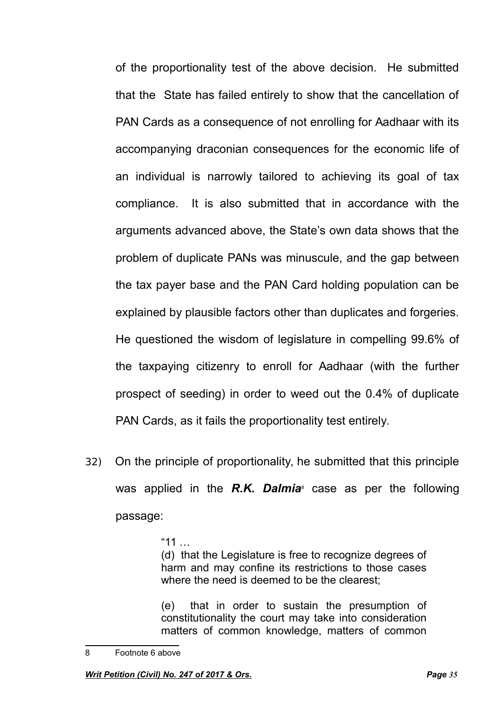of the proportionality test of the above decision. He submitted that the State has failed entirely to show that the cancellation of PAN Cards as a consequence of not enrolling for Aadhaar with its accompanying draconian consequences for the economic life of an individual is narrowly tailored to achieving its goal of tax compliance. It is also submitted that in accordance with the arguments advanced above, the State's own data shows that the problem of duplicate PANs was minuscule, and the gap between the tax payer base and the PAN Card holding population can be explained by plausible factors other than duplicates and forgeries. He questioned the wisdom of legislature in compelling 99.6% of the taxpaying citizenry to enroll for Aadhaar (with the further prospect of seeding) in order to weed out the 0.4% of duplicate PAN Cards, as it fails the proportionality test entirely.

32) On the principle of proportionality, he submitted that this principle was applied in the *R.K. Dalmia*<sup>[8](#page-34-0)</sup> case as per the following passage:

> "11 … (d) that the Legislature is free to recognize degrees of harm and may confine its restrictions to those cases where the need is deemed to be the clearest;

> (e) that in order to sustain the presumption of constitutionality the court may take into consideration matters of common knowledge, matters of common

<span id="page-34-0"></span><sup>8</sup> Footnote 6 above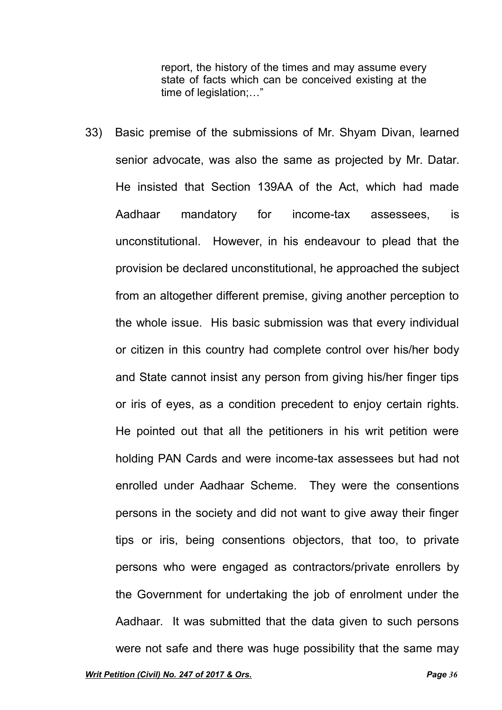report, the history of the times and may assume every state of facts which can be conceived existing at the time of legislation;…"

33) Basic premise of the submissions of Mr. Shyam Divan, learned senior advocate, was also the same as projected by Mr. Datar. He insisted that Section 139AA of the Act, which had made Aadhaar mandatory for income-tax assessees, is unconstitutional. However, in his endeavour to plead that the provision be declared unconstitutional, he approached the subject from an altogether different premise, giving another perception to the whole issue. His basic submission was that every individual or citizen in this country had complete control over his/her body and State cannot insist any person from giving his/her finger tips or iris of eyes, as a condition precedent to enjoy certain rights. He pointed out that all the petitioners in his writ petition were holding PAN Cards and were income-tax assessees but had not enrolled under Aadhaar Scheme. They were the consentions persons in the society and did not want to give away their finger tips or iris, being consentions objectors, that too, to private persons who were engaged as contractors/private enrollers by the Government for undertaking the job of enrolment under the Aadhaar. It was submitted that the data given to such persons were not safe and there was huge possibility that the same may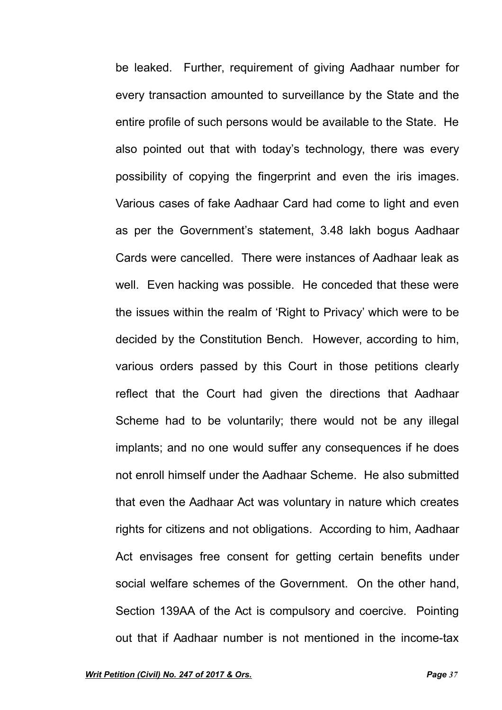be leaked. Further, requirement of giving Aadhaar number for every transaction amounted to surveillance by the State and the entire profile of such persons would be available to the State. He also pointed out that with today's technology, there was every possibility of copying the fingerprint and even the iris images. Various cases of fake Aadhaar Card had come to light and even as per the Government's statement, 3.48 lakh bogus Aadhaar Cards were cancelled. There were instances of Aadhaar leak as well. Even hacking was possible. He conceded that these were the issues within the realm of 'Right to Privacy' which were to be decided by the Constitution Bench. However, according to him, various orders passed by this Court in those petitions clearly reflect that the Court had given the directions that Aadhaar Scheme had to be voluntarily; there would not be any illegal implants; and no one would suffer any consequences if he does not enroll himself under the Aadhaar Scheme. He also submitted that even the Aadhaar Act was voluntary in nature which creates rights for citizens and not obligations. According to him, Aadhaar Act envisages free consent for getting certain benefits under social welfare schemes of the Government. On the other hand, Section 139AA of the Act is compulsory and coercive. Pointing out that if Aadhaar number is not mentioned in the income-tax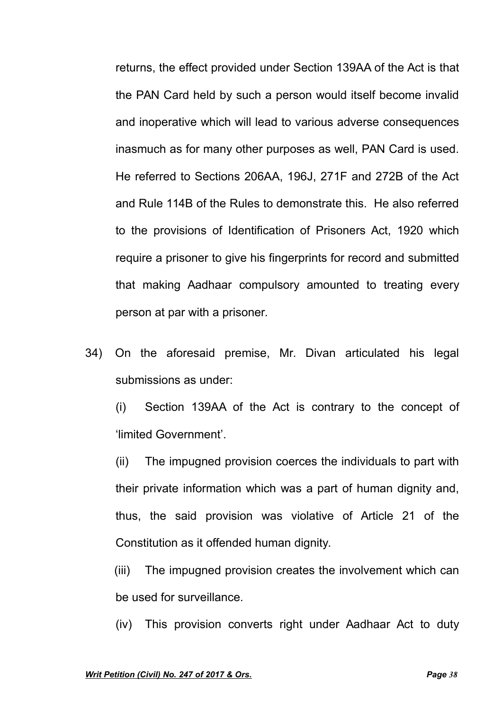returns, the effect provided under Section 139AA of the Act is that the PAN Card held by such a person would itself become invalid and inoperative which will lead to various adverse consequences inasmuch as for many other purposes as well, PAN Card is used. He referred to Sections 206AA, 196J, 271F and 272B of the Act and Rule 114B of the Rules to demonstrate this. He also referred to the provisions of Identification of Prisoners Act, 1920 which require a prisoner to give his fingerprints for record and submitted that making Aadhaar compulsory amounted to treating every person at par with a prisoner.

34) On the aforesaid premise, Mr. Divan articulated his legal submissions as under:

(i) Section 139AA of the Act is contrary to the concept of 'limited Government'.

(ii) The impugned provision coerces the individuals to part with their private information which was a part of human dignity and, thus, the said provision was violative of Article 21 of the Constitution as it offended human dignity.

(iii) The impugned provision creates the involvement which can be used for surveillance.

(iv) This provision converts right under Aadhaar Act to duty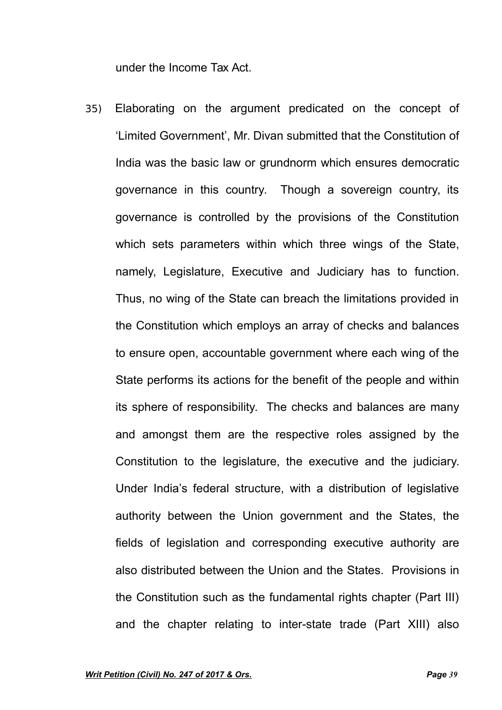under the Income Tax Act.

35) Elaborating on the argument predicated on the concept of 'Limited Government', Mr. Divan submitted that the Constitution of India was the basic law or grundnorm which ensures democratic governance in this country. Though a sovereign country, its governance is controlled by the provisions of the Constitution which sets parameters within which three wings of the State, namely, Legislature, Executive and Judiciary has to function. Thus, no wing of the State can breach the limitations provided in the Constitution which employs an array of checks and balances to ensure open, accountable government where each wing of the State performs its actions for the benefit of the people and within its sphere of responsibility. The checks and balances are many and amongst them are the respective roles assigned by the Constitution to the legislature, the executive and the judiciary. Under India's federal structure, with a distribution of legislative authority between the Union government and the States, the fields of legislation and corresponding executive authority are also distributed between the Union and the States. Provisions in the Constitution such as the fundamental rights chapter (Part III) and the chapter relating to inter-state trade (Part XIII) also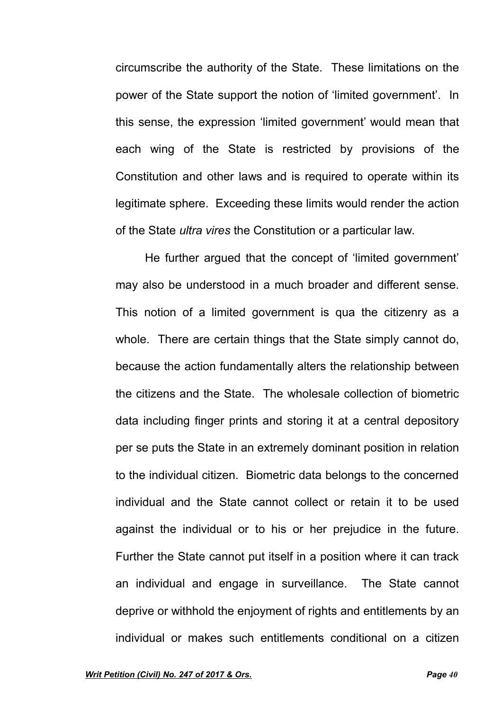circumscribe the authority of the State. These limitations on the power of the State support the notion of 'limited government'. In this sense, the expression 'limited government' would mean that each wing of the State is restricted by provisions of the Constitution and other laws and is required to operate within its legitimate sphere. Exceeding these limits would render the action of the State *ultra vires* the Constitution or a particular law.

He further argued that the concept of 'limited government' may also be understood in a much broader and different sense. This notion of a limited government is qua the citizenry as a whole. There are certain things that the State simply cannot do, because the action fundamentally alters the relationship between the citizens and the State. The wholesale collection of biometric data including finger prints and storing it at a central depository per se puts the State in an extremely dominant position in relation to the individual citizen. Biometric data belongs to the concerned individual and the State cannot collect or retain it to be used against the individual or to his or her prejudice in the future. Further the State cannot put itself in a position where it can track an individual and engage in surveillance. The State cannot deprive or withhold the enjoyment of rights and entitlements by an individual or makes such entitlements conditional on a citizen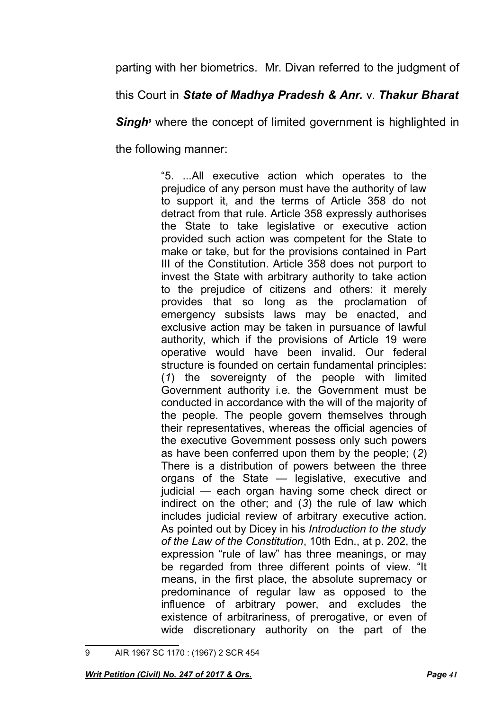parting with her biometrics. Mr. Divan referred to the judgment of

this Court in *State of Madhya Pradesh & Anr.* v. *Thakur Bharat*

Singh<sup>[9](#page-40-0)</sup> where the concept of limited government is highlighted in

the following manner:

"5. ...All executive action which operates to the prejudice of any person must have the authority of law to support it, and the terms of Article 358 do not detract from that rule. Article 358 expressly authorises the State to take legislative or executive action provided such action was competent for the State to make or take, but for the provisions contained in Part III of the Constitution. Article 358 does not purport to invest the State with arbitrary authority to take action to the prejudice of citizens and others: it merely provides that so long as the proclamation of emergency subsists laws may be enacted, and exclusive action may be taken in pursuance of lawful authority, which if the provisions of Article 19 were operative would have been invalid. Our federal structure is founded on certain fundamental principles: (*1*) the sovereignty of the people with limited Government authority i.e. the Government must be conducted in accordance with the will of the majority of the people. The people govern themselves through their representatives, whereas the official agencies of the executive Government possess only such powers as have been conferred upon them by the people; (*2*) There is a distribution of powers between the three organs of the State — legislative, executive and judicial — each organ having some check direct or indirect on the other; and (*3*) the rule of law which includes judicial review of arbitrary executive action. As pointed out by Dicey in his *Introduction to the study of the Law of the Constitution*, 10th Edn., at p. 202, the expression "rule of law" has three meanings, or may be regarded from three different points of view. "It means, in the first place, the absolute supremacy or predominance of regular law as opposed to the influence of arbitrary power, and excludes the existence of arbitrariness, of prerogative, or even of wide discretionary authority on the part of the

<span id="page-40-0"></span><sup>9</sup> AIR 1967 SC 1170 : (1967) 2 SCR 454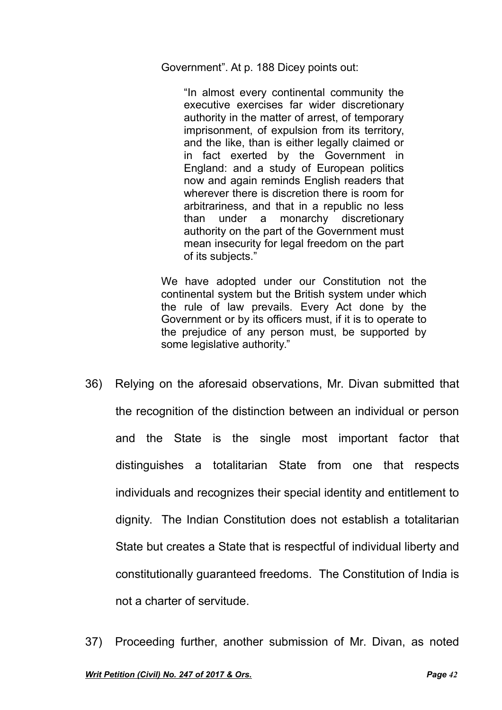Government". At p. 188 Dicey points out:

"In almost every continental community the executive exercises far wider discretionary authority in the matter of arrest, of temporary imprisonment, of expulsion from its territory, and the like, than is either legally claimed or in fact exerted by the Government in England: and a study of European politics now and again reminds English readers that wherever there is discretion there is room for arbitrariness, and that in a republic no less than under a monarchy discretionary authority on the part of the Government must mean insecurity for legal freedom on the part of its subjects."

We have adopted under our Constitution not the continental system but the British system under which the rule of law prevails. Every Act done by the Government or by its officers must, if it is to operate to the prejudice of any person must, be supported by some legislative authority."

- 36) Relying on the aforesaid observations, Mr. Divan submitted that the recognition of the distinction between an individual or person and the State is the single most important factor that distinguishes a totalitarian State from one that respects individuals and recognizes their special identity and entitlement to dignity. The Indian Constitution does not establish a totalitarian State but creates a State that is respectful of individual liberty and constitutionally guaranteed freedoms. The Constitution of India is not a charter of servitude.
- 37) Proceeding further, another submission of Mr. Divan, as noted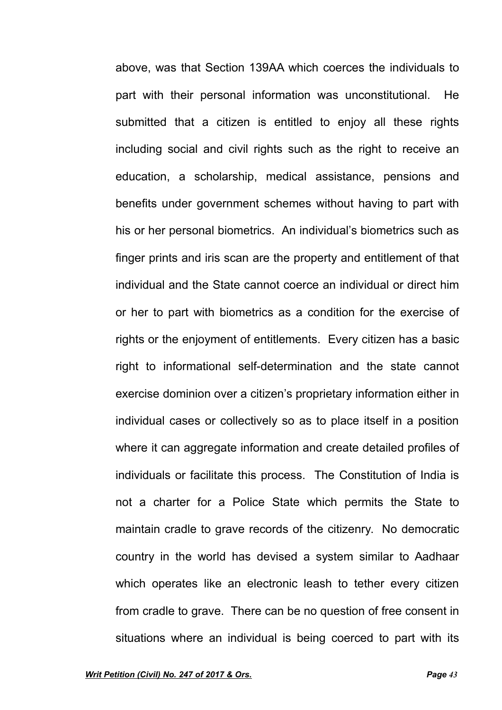above, was that Section 139AA which coerces the individuals to part with their personal information was unconstitutional. He submitted that a citizen is entitled to enjoy all these rights including social and civil rights such as the right to receive an education, a scholarship, medical assistance, pensions and benefits under government schemes without having to part with his or her personal biometrics. An individual's biometrics such as finger prints and iris scan are the property and entitlement of that individual and the State cannot coerce an individual or direct him or her to part with biometrics as a condition for the exercise of rights or the enjoyment of entitlements. Every citizen has a basic right to informational self-determination and the state cannot exercise dominion over a citizen's proprietary information either in individual cases or collectively so as to place itself in a position where it can aggregate information and create detailed profiles of individuals or facilitate this process. The Constitution of India is not a charter for a Police State which permits the State to maintain cradle to grave records of the citizenry. No democratic country in the world has devised a system similar to Aadhaar which operates like an electronic leash to tether every citizen from cradle to grave. There can be no question of free consent in situations where an individual is being coerced to part with its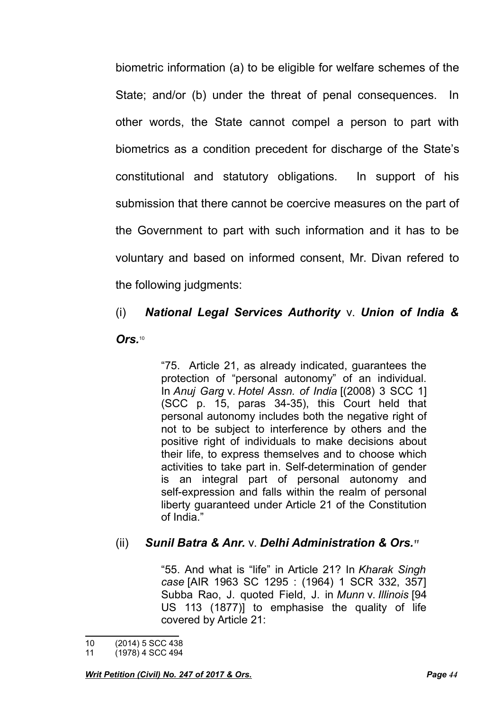biometric information (a) to be eligible for welfare schemes of the State; and/or (b) under the threat of penal consequences. In other words, the State cannot compel a person to part with biometrics as a condition precedent for discharge of the State's constitutional and statutory obligations. In support of his submission that there cannot be coercive measures on the part of the Government to part with such information and it has to be voluntary and based on informed consent, Mr. Divan refered to the following judgments:

# (i) *National Legal Services Authority* v. *Union of India &*

## *Ors.*[10](#page-43-0)

"75. Article 21, as already indicated, guarantees the protection of "personal autonomy" of an individual. In *Anuj Garg* v. *Hotel Assn. of India* [(2008) 3 SCC 1] (SCC p. 15, paras 34-35), this Court held that personal autonomy includes both the negative right of not to be subject to interference by others and the positive right of individuals to make decisions about their life, to express themselves and to choose which activities to take part in. Self-determination of gender is an integral part of personal autonomy and self-expression and falls within the realm of personal liberty guaranteed under Article 21 of the Constitution of India."

# (ii) *Sunil Batra & Anr.* v. *Delhi Administration & Ors.[11](#page-43-1)*

"55. And what is "life" in Article 21? In *Kharak Singh case* [AIR 1963 SC 1295 : (1964) 1 SCR 332, 357] Subba Rao, J. quoted Field, J. in *Munn* v. *Illinois* [94 US 113 (1877)] to emphasise the quality of life covered by Article 21:

<span id="page-43-0"></span><sup>10</sup> (2014) 5 SCC 438

<span id="page-43-1"></span><sup>11</sup> (1978) 4 SCC 494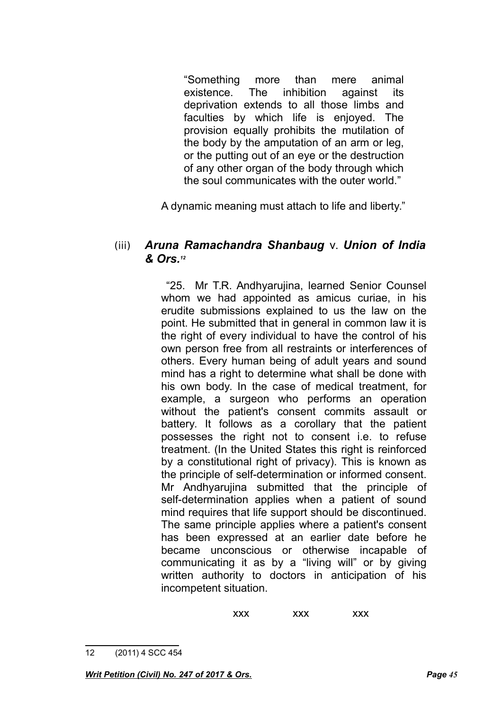"Something more than mere animal existence. The inhibition against its deprivation extends to all those limbs and faculties by which life is enjoyed. The provision equally prohibits the mutilation of the body by the amputation of an arm or leg, or the putting out of an eye or the destruction of any other organ of the body through which the soul communicates with the outer world."

A dynamic meaning must attach to life and liberty."

## (iii) *Aruna Ramachandra Shanbaug* v. *Union of India & Ors.[12](#page-44-0)*

"25. Mr T.R. Andhyarujina, learned Senior Counsel whom we had appointed as amicus curiae, in his erudite submissions explained to us the law on the point. He submitted that in general in common law it is the right of every individual to have the control of his own person free from all restraints or interferences of others. Every human being of adult years and sound mind has a right to determine what shall be done with his own body. In the case of medical treatment, for example, a surgeon who performs an operation without the patient's consent commits assault or battery. It follows as a corollary that the patient possesses the right not to consent i.e. to refuse treatment. (In the United States this right is reinforced by a constitutional right of privacy). This is known as the principle of self-determination or informed consent. Mr Andhyarujina submitted that the principle of self-determination applies when a patient of sound mind requires that life support should be discontinued. The same principle applies where a patient's consent has been expressed at an earlier date before he became unconscious or otherwise incapable of communicating it as by a "living will" or by giving written authority to doctors in anticipation of his incompetent situation.

xxx xxx xxx

<span id="page-44-0"></span><sup>12</sup> (2011) 4 SCC 454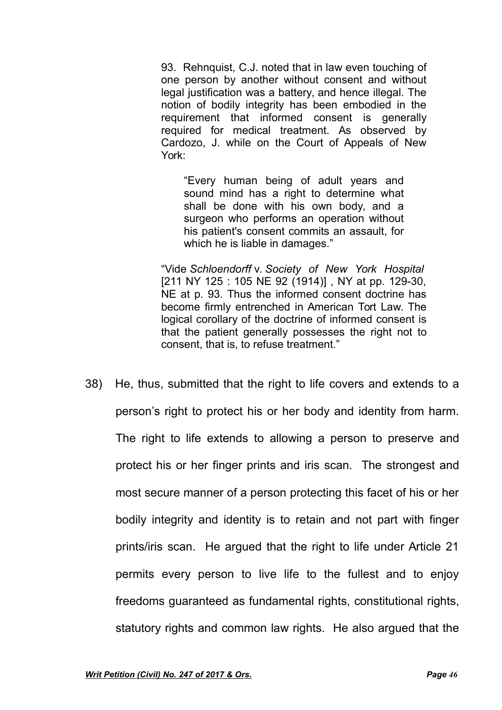93. Rehnquist, C.J. noted that in law even touching of one person by another without consent and without legal justification was a battery, and hence illegal. The notion of bodily integrity has been embodied in the requirement that informed consent is generally required for medical treatment. As observed by Cardozo, J. while on the Court of Appeals of New York:

"Every human being of adult years and sound mind has a right to determine what shall be done with his own body, and a surgeon who performs an operation without his patient's consent commits an assault, for which he is liable in damages."

"Vide *Schloendorff* v. *Society of New York Hospital* [211 NY 125 : 105 NE 92 (1914)] , NY at pp. 129-30, NE at p. 93. Thus the informed consent doctrine has become firmly entrenched in American Tort Law. The logical corollary of the doctrine of informed consent is that the patient generally possesses the right not to consent, that is, to refuse treatment."

38) He, thus, submitted that the right to life covers and extends to a person's right to protect his or her body and identity from harm. The right to life extends to allowing a person to preserve and protect his or her finger prints and iris scan. The strongest and most secure manner of a person protecting this facet of his or her bodily integrity and identity is to retain and not part with finger prints/iris scan. He argued that the right to life under Article 21 permits every person to live life to the fullest and to enjoy freedoms guaranteed as fundamental rights, constitutional rights, statutory rights and common law rights. He also argued that the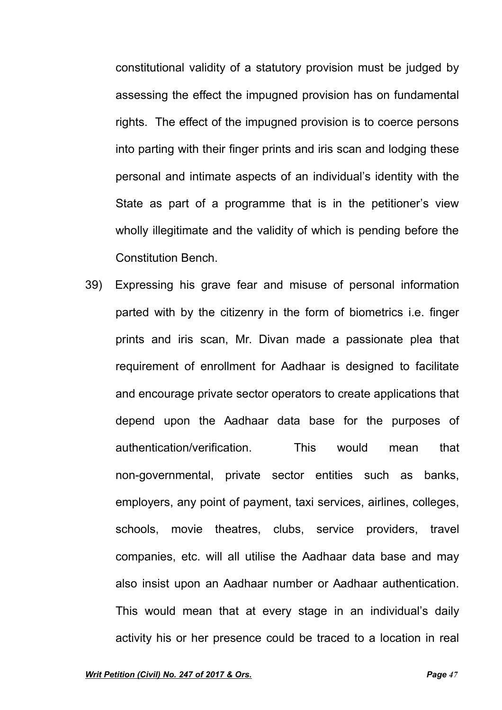constitutional validity of a statutory provision must be judged by assessing the effect the impugned provision has on fundamental rights. The effect of the impugned provision is to coerce persons into parting with their finger prints and iris scan and lodging these personal and intimate aspects of an individual's identity with the State as part of a programme that is in the petitioner's view wholly illegitimate and the validity of which is pending before the Constitution Bench.

39) Expressing his grave fear and misuse of personal information parted with by the citizenry in the form of biometrics i.e. finger prints and iris scan, Mr. Divan made a passionate plea that requirement of enrollment for Aadhaar is designed to facilitate and encourage private sector operators to create applications that depend upon the Aadhaar data base for the purposes of authentication/verification. This would mean that non-governmental, private sector entities such as banks, employers, any point of payment, taxi services, airlines, colleges, schools, movie theatres, clubs, service providers, travel companies, etc. will all utilise the Aadhaar data base and may also insist upon an Aadhaar number or Aadhaar authentication. This would mean that at every stage in an individual's daily activity his or her presence could be traced to a location in real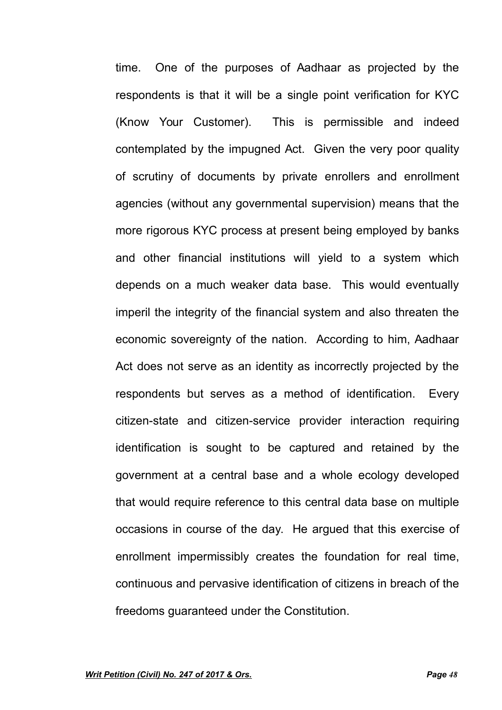time. One of the purposes of Aadhaar as projected by the respondents is that it will be a single point verification for KYC (Know Your Customer). This is permissible and indeed contemplated by the impugned Act. Given the very poor quality of scrutiny of documents by private enrollers and enrollment agencies (without any governmental supervision) means that the more rigorous KYC process at present being employed by banks and other financial institutions will yield to a system which depends on a much weaker data base. This would eventually imperil the integrity of the financial system and also threaten the economic sovereignty of the nation. According to him, Aadhaar Act does not serve as an identity as incorrectly projected by the respondents but serves as a method of identification. Every citizen-state and citizen-service provider interaction requiring identification is sought to be captured and retained by the government at a central base and a whole ecology developed that would require reference to this central data base on multiple occasions in course of the day. He argued that this exercise of enrollment impermissibly creates the foundation for real time, continuous and pervasive identification of citizens in breach of the freedoms guaranteed under the Constitution.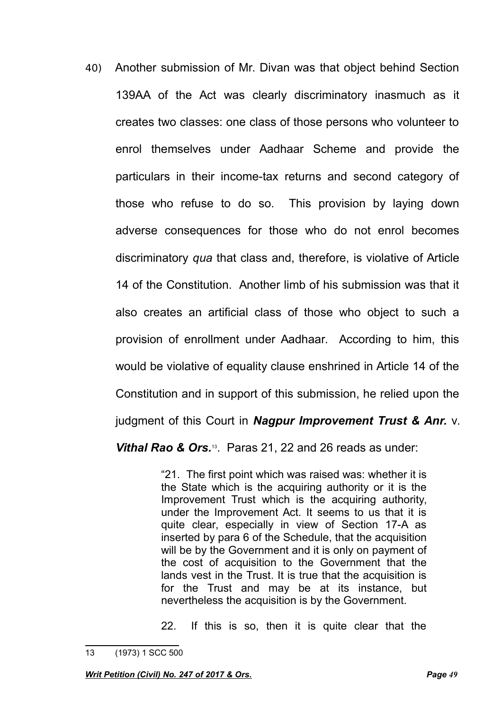40) Another submission of Mr. Divan was that object behind Section 139AA of the Act was clearly discriminatory inasmuch as it creates two classes: one class of those persons who volunteer to enrol themselves under Aadhaar Scheme and provide the particulars in their income-tax returns and second category of those who refuse to do so. This provision by laying down adverse consequences for those who do not enrol becomes discriminatory *qua* that class and, therefore, is violative of Article 14 of the Constitution. Another limb of his submission was that it also creates an artificial class of those who object to such a provision of enrollment under Aadhaar. According to him, this would be violative of equality clause enshrined in Article 14 of the Constitution and in support of this submission, he relied upon the judgment of this Court in *Nagpur Improvement Trust & Anr.* v.

*Vithal Rao & Ors.*[13](#page-48-0). Paras 21, 22 and 26 reads as under:

"21. The first point which was raised was: whether it is the State which is the acquiring authority or it is the Improvement Trust which is the acquiring authority, under the Improvement Act. It seems to us that it is quite clear, especially in view of Section 17-A as inserted by para 6 of the Schedule, that the acquisition will be by the Government and it is only on payment of the cost of acquisition to the Government that the lands vest in the Trust. It is true that the acquisition is for the Trust and may be at its instance, but nevertheless the acquisition is by the Government.

22. If this is so, then it is quite clear that the

<span id="page-48-0"></span><sup>13</sup> (1973) 1 SCC 500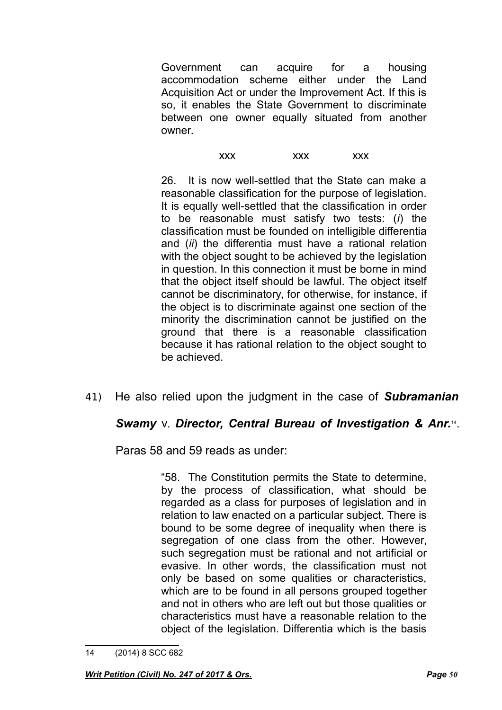Government can acquire for a housing accommodation scheme either under the Land Acquisition Act or under the Improvement Act. If this is so, it enables the State Government to discriminate between one owner equally situated from another owner.

#### xxx xxx xxx

26. It is now well-settled that the State can make a reasonable classification for the purpose of legislation. It is equally well-settled that the classification in order to be reasonable must satisfy two tests: (*i*) the classification must be founded on intelligible differentia and (*ii*) the differentia must have a rational relation with the object sought to be achieved by the legislation in question. In this connection it must be borne in mind that the object itself should be lawful. The object itself cannot be discriminatory, for otherwise, for instance, if the object is to discriminate against one section of the minority the discrimination cannot be justified on the ground that there is a reasonable classification because it has rational relation to the object sought to be achieved.

41) He also relied upon the judgment in the case of *Subramanian*

# Swamy v. Director, Central Bureau of Investigation & Anr.<sup>[14](#page-49-0)</sup>.

Paras 58 and 59 reads as under:

"58. The Constitution permits the State to determine, by the process of classification, what should be regarded as a class for purposes of legislation and in relation to law enacted on a particular subject. There is bound to be some degree of inequality when there is segregation of one class from the other. However, such segregation must be rational and not artificial or evasive. In other words, the classification must not only be based on some qualities or characteristics, which are to be found in all persons grouped together and not in others who are left out but those qualities or characteristics must have a reasonable relation to the object of the legislation. Differentia which is the basis

<span id="page-49-0"></span><sup>14</sup> (2014) 8 SCC 682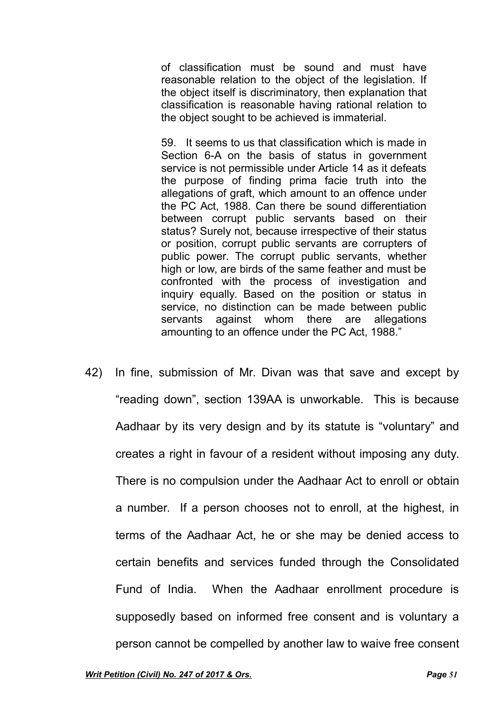of classification must be sound and must have reasonable relation to the object of the legislation. If the object itself is discriminatory, then explanation that classification is reasonable having rational relation to the object sought to be achieved is immaterial.

59. It seems to us that classification which is made in Section 6-A on the basis of status in government service is not permissible under Article 14 as it defeats the purpose of finding prima facie truth into the allegations of graft, which amount to an offence under the PC Act, 1988. Can there be sound differentiation between corrupt public servants based on their status? Surely not, because irrespective of their status or position, corrupt public servants are corrupters of public power. The corrupt public servants, whether high or low, are birds of the same feather and must be confronted with the process of investigation and inquiry equally. Based on the position or status in service, no distinction can be made between public servants against whom there are allegations amounting to an offence under the PC Act, 1988."

42) In fine, submission of Mr. Divan was that save and except by "reading down", section 139AA is unworkable. This is because Aadhaar by its very design and by its statute is "voluntary" and creates a right in favour of a resident without imposing any duty. There is no compulsion under the Aadhaar Act to enroll or obtain a number. If a person chooses not to enroll, at the highest, in terms of the Aadhaar Act, he or she may be denied access to certain benefits and services funded through the Consolidated Fund of India. When the Aadhaar enrollment procedure is supposedly based on informed free consent and is voluntary a person cannot be compelled by another law to waive free consent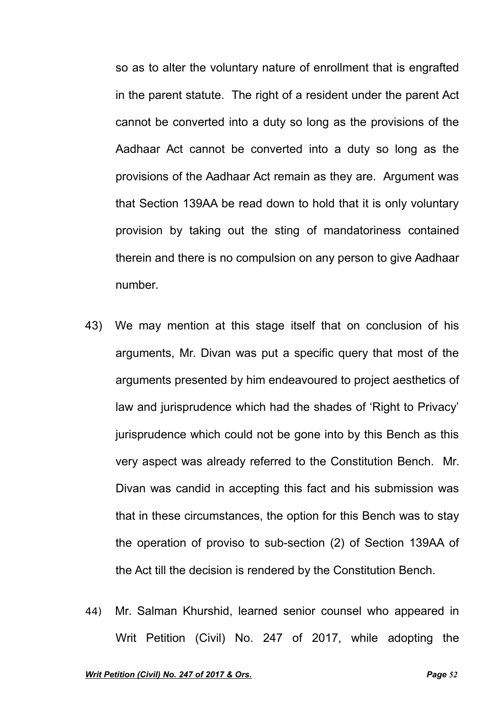so as to alter the voluntary nature of enrollment that is engrafted in the parent statute. The right of a resident under the parent Act cannot be converted into a duty so long as the provisions of the Aadhaar Act cannot be converted into a duty so long as the provisions of the Aadhaar Act remain as they are. Argument was that Section 139AA be read down to hold that it is only voluntary provision by taking out the sting of mandatoriness contained therein and there is no compulsion on any person to give Aadhaar number.

- 43) We may mention at this stage itself that on conclusion of his arguments, Mr. Divan was put a specific query that most of the arguments presented by him endeavoured to project aesthetics of law and jurisprudence which had the shades of 'Right to Privacy' jurisprudence which could not be gone into by this Bench as this very aspect was already referred to the Constitution Bench. Mr. Divan was candid in accepting this fact and his submission was that in these circumstances, the option for this Bench was to stay the operation of proviso to sub-section (2) of Section 139AA of the Act till the decision is rendered by the Constitution Bench.
- 44) Mr. Salman Khurshid, learned senior counsel who appeared in Writ Petition (Civil) No. 247 of 2017, while adopting the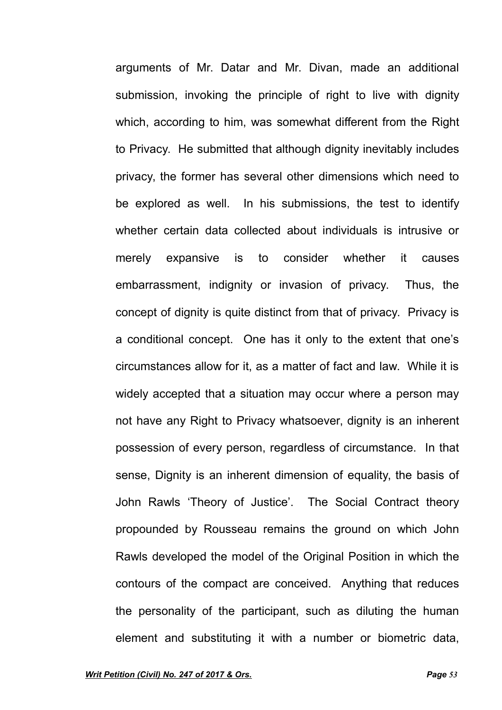arguments of Mr. Datar and Mr. Divan, made an additional submission, invoking the principle of right to live with dignity which, according to him, was somewhat different from the Right to Privacy. He submitted that although dignity inevitably includes privacy, the former has several other dimensions which need to be explored as well. In his submissions, the test to identify whether certain data collected about individuals is intrusive or merely expansive is to consider whether it causes embarrassment, indignity or invasion of privacy. Thus, the concept of dignity is quite distinct from that of privacy. Privacy is a conditional concept. One has it only to the extent that one's circumstances allow for it, as a matter of fact and law. While it is widely accepted that a situation may occur where a person may not have any Right to Privacy whatsoever, dignity is an inherent possession of every person, regardless of circumstance. In that sense, Dignity is an inherent dimension of equality, the basis of John Rawls 'Theory of Justice'. The Social Contract theory propounded by Rousseau remains the ground on which John Rawls developed the model of the Original Position in which the contours of the compact are conceived. Anything that reduces the personality of the participant, such as diluting the human element and substituting it with a number or biometric data,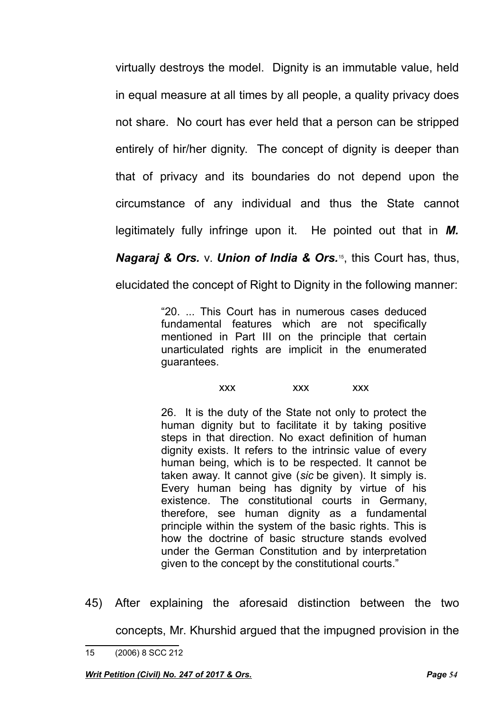virtually destroys the model. Dignity is an immutable value, held in equal measure at all times by all people, a quality privacy does not share. No court has ever held that a person can be stripped entirely of hir/her dignity. The concept of dignity is deeper than that of privacy and its boundaries do not depend upon the circumstance of any individual and thus the State cannot legitimately fully infringe upon it. He pointed out that in *M.*

*Nagaraj & Ors.* v. *Union of India & Ors.*[15](#page-53-0), this Court has, thus,

elucidated the concept of Right to Dignity in the following manner:

"20. ... This Court has in numerous cases deduced fundamental features which are not specifically mentioned in Part III on the principle that certain unarticulated rights are implicit in the enumerated guarantees.

#### xxx xxx xxx

26. It is the duty of the State not only to protect the human dignity but to facilitate it by taking positive steps in that direction. No exact definition of human dignity exists. It refers to the intrinsic value of every human being, which is to be respected. It cannot be taken away. It cannot give (*sic* be given). It simply is. Every human being has dignity by virtue of his existence. The constitutional courts in Germany, therefore, see human dignity as a fundamental principle within the system of the basic rights. This is how the doctrine of basic structure stands evolved under the German Constitution and by interpretation given to the concept by the constitutional courts."

45) After explaining the aforesaid distinction between the two concepts, Mr. Khurshid argued that the impugned provision in the

*Writ Petition (Civil) No. 247 of 2017 & Ors. Page 54*

<span id="page-53-0"></span><sup>15</sup> (2006) 8 SCC 212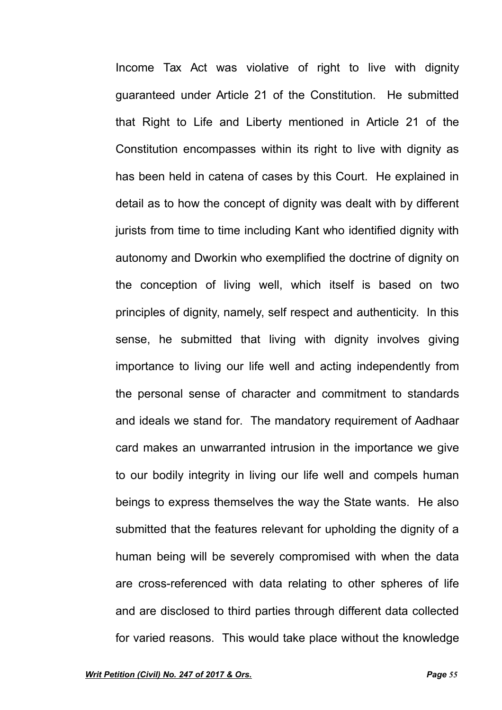Income Tax Act was violative of right to live with dignity guaranteed under Article 21 of the Constitution. He submitted that Right to Life and Liberty mentioned in Article 21 of the Constitution encompasses within its right to live with dignity as has been held in catena of cases by this Court. He explained in detail as to how the concept of dignity was dealt with by different jurists from time to time including Kant who identified dignity with autonomy and Dworkin who exemplified the doctrine of dignity on the conception of living well, which itself is based on two principles of dignity, namely, self respect and authenticity. In this sense, he submitted that living with dignity involves giving importance to living our life well and acting independently from the personal sense of character and commitment to standards and ideals we stand for. The mandatory requirement of Aadhaar card makes an unwarranted intrusion in the importance we give to our bodily integrity in living our life well and compels human beings to express themselves the way the State wants. He also submitted that the features relevant for upholding the dignity of a human being will be severely compromised with when the data are cross-referenced with data relating to other spheres of life and are disclosed to third parties through different data collected for varied reasons. This would take place without the knowledge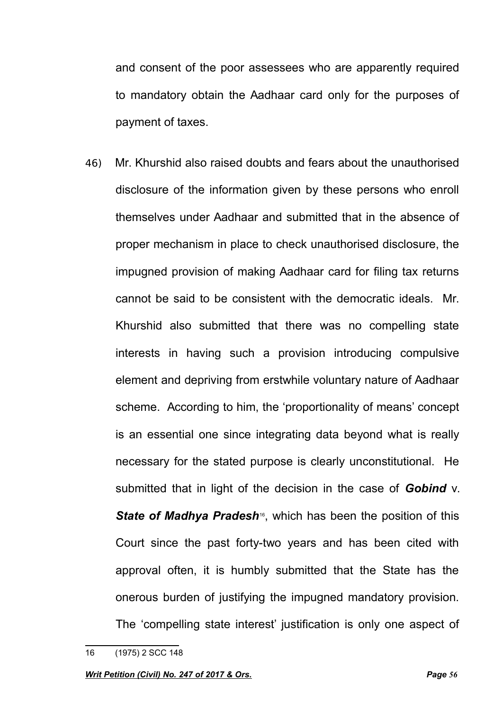and consent of the poor assessees who are apparently required to mandatory obtain the Aadhaar card only for the purposes of payment of taxes.

46) Mr. Khurshid also raised doubts and fears about the unauthorised disclosure of the information given by these persons who enroll themselves under Aadhaar and submitted that in the absence of proper mechanism in place to check unauthorised disclosure, the impugned provision of making Aadhaar card for filing tax returns cannot be said to be consistent with the democratic ideals. Mr. Khurshid also submitted that there was no compelling state interests in having such a provision introducing compulsive element and depriving from erstwhile voluntary nature of Aadhaar scheme. According to him, the 'proportionality of means' concept is an essential one since integrating data beyond what is really necessary for the stated purpose is clearly unconstitutional. He submitted that in light of the decision in the case of *Gobind* v. **State of Madhya Pradesh**<sup>[16](#page-55-0)</sup>, which has been the position of this Court since the past forty-two years and has been cited with approval often, it is humbly submitted that the State has the onerous burden of justifying the impugned mandatory provision. The 'compelling state interest' justification is only one aspect of

<span id="page-55-0"></span><sup>16</sup> (1975) 2 SCC 148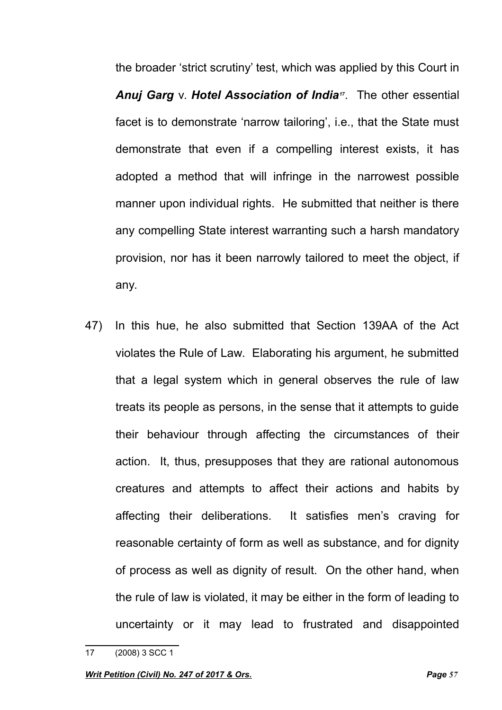the broader 'strict scrutiny' test, which was applied by this Court in *Anuj Garg* v. *Hotel Association of India[17](#page-56-0)*. The other essential facet is to demonstrate 'narrow tailoring', i.e., that the State must demonstrate that even if a compelling interest exists, it has adopted a method that will infringe in the narrowest possible manner upon individual rights. He submitted that neither is there any compelling State interest warranting such a harsh mandatory provision, nor has it been narrowly tailored to meet the object, if any.

47) In this hue, he also submitted that Section 139AA of the Act violates the Rule of Law. Elaborating his argument, he submitted that a legal system which in general observes the rule of law treats its people as persons, in the sense that it attempts to guide their behaviour through affecting the circumstances of their action. It, thus, presupposes that they are rational autonomous creatures and attempts to affect their actions and habits by affecting their deliberations. It satisfies men's craving for reasonable certainty of form as well as substance, and for dignity of process as well as dignity of result. On the other hand, when the rule of law is violated, it may be either in the form of leading to uncertainty or it may lead to frustrated and disappointed

<span id="page-56-0"></span><sup>17</sup> (2008) 3 SCC 1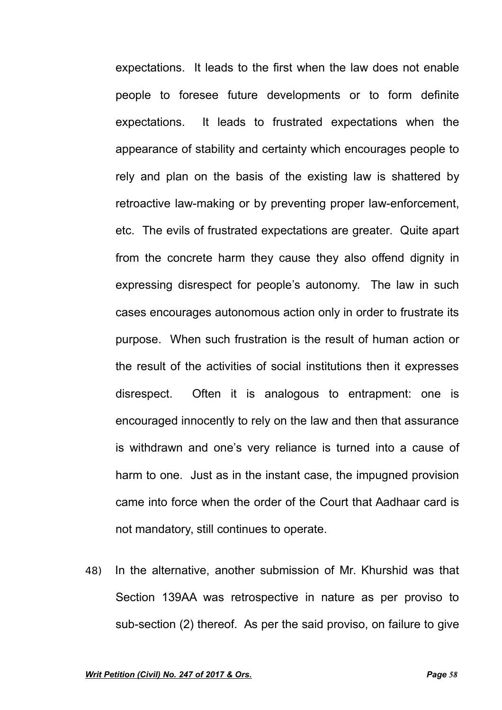expectations. It leads to the first when the law does not enable people to foresee future developments or to form definite expectations. It leads to frustrated expectations when the appearance of stability and certainty which encourages people to rely and plan on the basis of the existing law is shattered by retroactive law-making or by preventing proper law-enforcement, etc. The evils of frustrated expectations are greater. Quite apart from the concrete harm they cause they also offend dignity in expressing disrespect for people's autonomy. The law in such cases encourages autonomous action only in order to frustrate its purpose. When such frustration is the result of human action or the result of the activities of social institutions then it expresses disrespect. Often it is analogous to entrapment: one is encouraged innocently to rely on the law and then that assurance is withdrawn and one's very reliance is turned into a cause of harm to one. Just as in the instant case, the impugned provision came into force when the order of the Court that Aadhaar card is not mandatory, still continues to operate.

48) In the alternative, another submission of Mr. Khurshid was that Section 139AA was retrospective in nature as per proviso to sub-section (2) thereof. As per the said proviso, on failure to give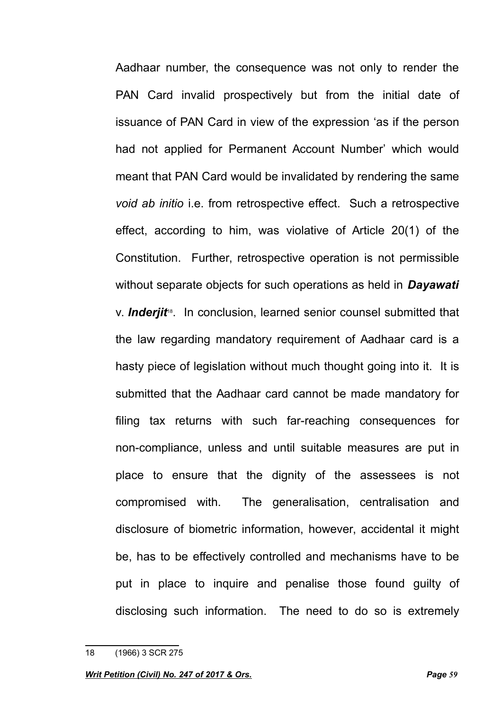Aadhaar number, the consequence was not only to render the PAN Card invalid prospectively but from the initial date of issuance of PAN Card in view of the expression 'as if the person had not applied for Permanent Account Number' which would meant that PAN Card would be invalidated by rendering the same *void ab initio* i.e. from retrospective effect. Such a retrospective effect, according to him, was violative of Article 20(1) of the Constitution. Further, retrospective operation is not permissible without separate objects for such operations as held in *Dayawati* v. *Inderjit*[18](#page-58-0). In conclusion, learned senior counsel submitted that the law regarding mandatory requirement of Aadhaar card is a hasty piece of legislation without much thought going into it. It is submitted that the Aadhaar card cannot be made mandatory for filing tax returns with such far-reaching consequences for non-compliance, unless and until suitable measures are put in place to ensure that the dignity of the assessees is not compromised with. The generalisation, centralisation and disclosure of biometric information, however, accidental it might be, has to be effectively controlled and mechanisms have to be put in place to inquire and penalise those found guilty of disclosing such information. The need to do so is extremely

<span id="page-58-0"></span><sup>18</sup> (1966) 3 SCR 275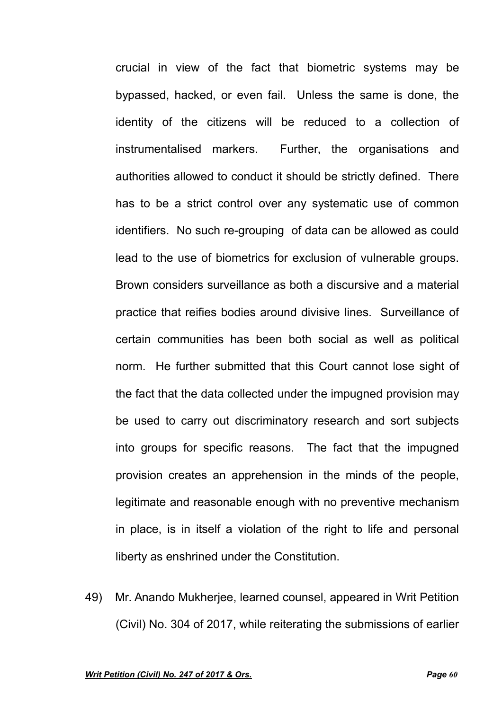crucial in view of the fact that biometric systems may be bypassed, hacked, or even fail. Unless the same is done, the identity of the citizens will be reduced to a collection of instrumentalised markers. Further, the organisations and authorities allowed to conduct it should be strictly defined. There has to be a strict control over any systematic use of common identifiers. No such re-grouping of data can be allowed as could lead to the use of biometrics for exclusion of vulnerable groups. Brown considers surveillance as both a discursive and a material practice that reifies bodies around divisive lines. Surveillance of certain communities has been both social as well as political norm. He further submitted that this Court cannot lose sight of the fact that the data collected under the impugned provision may be used to carry out discriminatory research and sort subjects into groups for specific reasons. The fact that the impugned provision creates an apprehension in the minds of the people, legitimate and reasonable enough with no preventive mechanism in place, is in itself a violation of the right to life and personal liberty as enshrined under the Constitution.

49) Mr. Anando Mukherjee, learned counsel, appeared in Writ Petition (Civil) No. 304 of 2017, while reiterating the submissions of earlier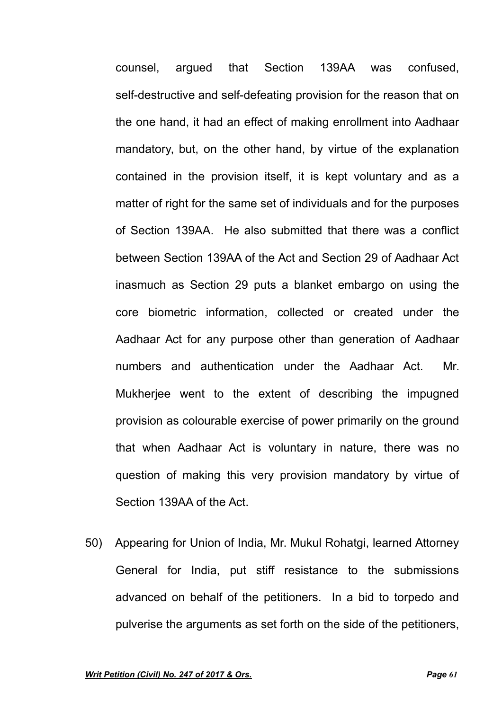counsel, argued that Section 139AA was confused, self-destructive and self-defeating provision for the reason that on the one hand, it had an effect of making enrollment into Aadhaar mandatory, but, on the other hand, by virtue of the explanation contained in the provision itself, it is kept voluntary and as a matter of right for the same set of individuals and for the purposes of Section 139AA. He also submitted that there was a conflict between Section 139AA of the Act and Section 29 of Aadhaar Act inasmuch as Section 29 puts a blanket embargo on using the core biometric information, collected or created under the Aadhaar Act for any purpose other than generation of Aadhaar numbers and authentication under the Aadhaar Act. Mr. Mukherjee went to the extent of describing the impugned provision as colourable exercise of power primarily on the ground that when Aadhaar Act is voluntary in nature, there was no question of making this very provision mandatory by virtue of Section 139AA of the Act.

50) Appearing for Union of India, Mr. Mukul Rohatgi, learned Attorney General for India, put stiff resistance to the submissions advanced on behalf of the petitioners. In a bid to torpedo and pulverise the arguments as set forth on the side of the petitioners,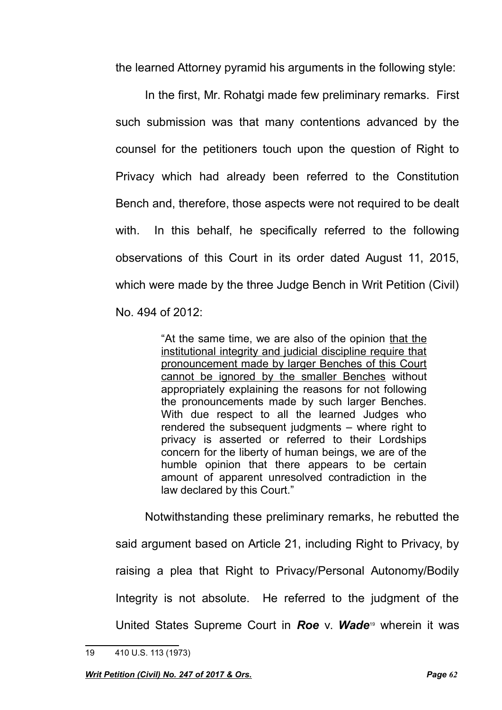the learned Attorney pyramid his arguments in the following style:

In the first, Mr. Rohatgi made few preliminary remarks. First such submission was that many contentions advanced by the counsel for the petitioners touch upon the question of Right to Privacy which had already been referred to the Constitution Bench and, therefore, those aspects were not required to be dealt with. In this behalf, he specifically referred to the following observations of this Court in its order dated August 11, 2015, which were made by the three Judge Bench in Writ Petition (Civil) No. 494 of 2012:

> "At the same time, we are also of the opinion that the institutional integrity and judicial discipline require that pronouncement made by larger Benches of this Court cannot be ignored by the smaller Benches without appropriately explaining the reasons for not following the pronouncements made by such larger Benches. With due respect to all the learned Judges who rendered the subsequent judgments – where right to privacy is asserted or referred to their Lordships concern for the liberty of human beings, we are of the humble opinion that there appears to be certain amount of apparent unresolved contradiction in the law declared by this Court."

Notwithstanding these preliminary remarks, he rebutted the said argument based on Article 21, including Right to Privacy, by raising a plea that Right to Privacy/Personal Autonomy/Bodily Integrity is not absolute. He referred to the judgment of the United States Supreme Court in *Roe* v. *Wade*[19](#page-61-0) wherein it was

<span id="page-61-0"></span><sup>19</sup> 410 U.S. 113 (1973)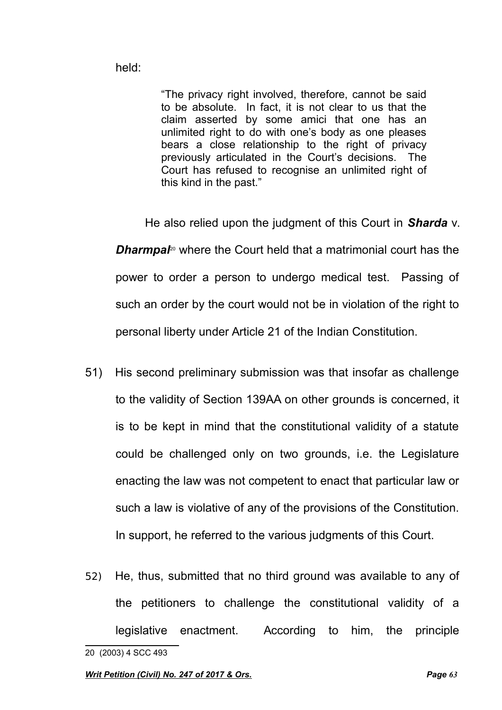held:

"The privacy right involved, therefore, cannot be said to be absolute. In fact, it is not clear to us that the claim asserted by some amici that one has an unlimited right to do with one's body as one pleases bears a close relationship to the right of privacy previously articulated in the Court's decisions. The Court has refused to recognise an unlimited right of this kind in the past."

He also relied upon the judgment of this Court in *Sharda* v. *Dharmpal***<sup>[20](#page-62-0)</sup>** where the Court held that a matrimonial court has the power to order a person to undergo medical test. Passing of such an order by the court would not be in violation of the right to personal liberty under Article 21 of the Indian Constitution.

- 51) His second preliminary submission was that insofar as challenge to the validity of Section 139AA on other grounds is concerned, it is to be kept in mind that the constitutional validity of a statute could be challenged only on two grounds, i.e. the Legislature enacting the law was not competent to enact that particular law or such a law is violative of any of the provisions of the Constitution. In support, he referred to the various judgments of this Court.
- 52) He, thus, submitted that no third ground was available to any of the petitioners to challenge the constitutional validity of a legislative enactment. According to him, the principle

<span id="page-62-0"></span><sup>20</sup> (2003) 4 SCC 493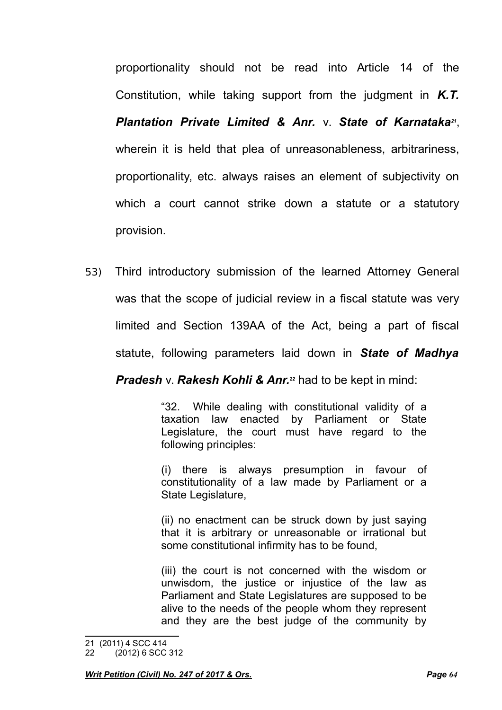proportionality should not be read into Article 14 of the Constitution, while taking support from the judgment in *K.T. Plantation Private Limited & Anr.* v. *State of Karnataka[21](#page-63-0)* , wherein it is held that plea of unreasonableness, arbitrariness, proportionality, etc. always raises an element of subjectivity on which a court cannot strike down a statute or a statutory provision.

53) Third introductory submission of the learned Attorney General was that the scope of judicial review in a fiscal statute was very limited and Section 139AA of the Act, being a part of fiscal statute, following parameters laid down in *State of Madhya*

*Pradesh v. Rakesh Kohli & Anr.* had to be kept in mind:

"32. While dealing with constitutional validity of a taxation law enacted by Parliament or State Legislature, the court must have regard to the following principles:

(i) there is always presumption in favour of constitutionality of a law made by Parliament or a State Legislature,

(ii) no enactment can be struck down by just saying that it is arbitrary or unreasonable or irrational but some constitutional infirmity has to be found,

(iii) the court is not concerned with the wisdom or unwisdom, the justice or injustice of the law as Parliament and State Legislatures are supposed to be alive to the needs of the people whom they represent and they are the best judge of the community by

<span id="page-63-0"></span><sup>21</sup> (2011) 4 SCC 414

<span id="page-63-1"></span><sup>22</sup> (2012) 6 SCC 312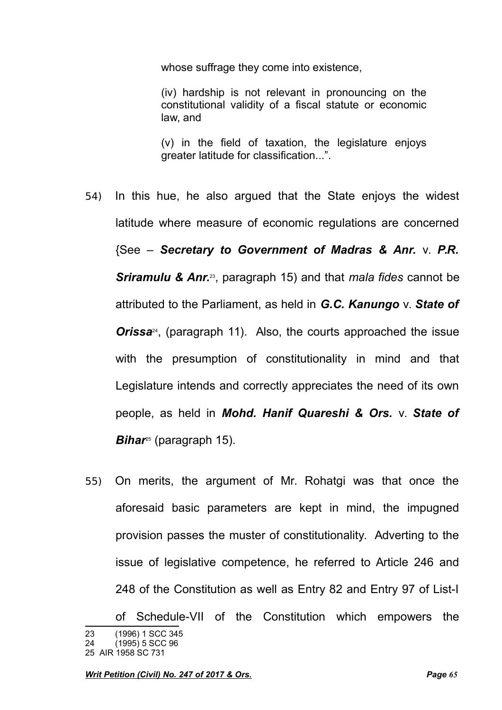whose suffrage they come into existence,

(iv) hardship is not relevant in pronouncing on the constitutional validity of a fiscal statute or economic law, and

(v) in the field of taxation, the legislature enjoys greater latitude for classification...".

- 54) In this hue, he also argued that the State enjoys the widest latitude where measure of economic regulations are concerned {See – *Secretary to Government of Madras & Anr.* v. *P.R. Sriramulu & Anr.*<sup>[23](#page-64-0)</sup>, paragraph 15) and that *mala fides* cannot be attributed to the Parliament, as held in *G.C. Kanungo* v. *State of Orissa*<sup>[24](#page-64-1)</sup>, (paragraph 11). Also, the courts approached the issue with the presumption of constitutionality in mind and that Legislature intends and correctly appreciates the need of its own people, as held in *Mohd. Hanif Quareshi & Ors.* v. *State of Bihar*[25](#page-64-2) (paragraph 15).
- 55) On merits, the argument of Mr. Rohatgi was that once the aforesaid basic parameters are kept in mind, the impugned provision passes the muster of constitutionality. Adverting to the issue of legislative competence, he referred to Article 246 and 248 of the Constitution as well as Entry 82 and Entry 97 of List-I

<span id="page-64-0"></span>of Schedule-VII of the Constitution which empowers the 23 (1996) 1 SCC 345 24 (1995) 5 SCC 96

<span id="page-64-2"></span><span id="page-64-1"></span><sup>25</sup> AIR 1958 SC 731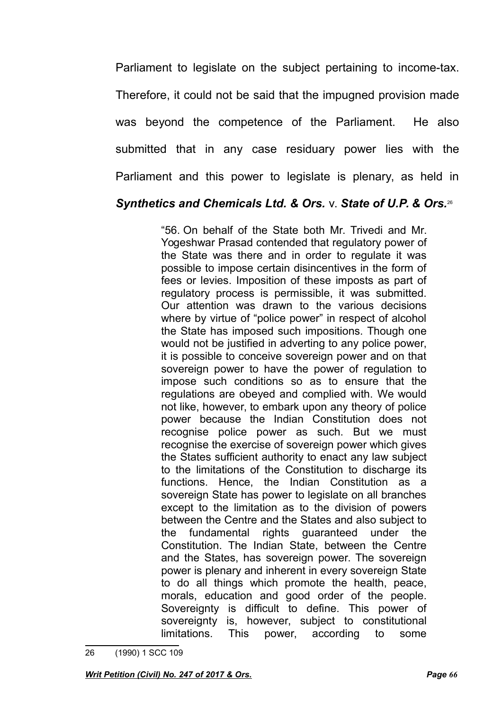Parliament to legislate on the subject pertaining to income-tax. Therefore, it could not be said that the impugned provision made was beyond the competence of the Parliament. He also submitted that in any case residuary power lies with the Parliament and this power to legislate is plenary, as held in

## *Synthetics and Chemicals Ltd. & Ors.* v. *State of U.P. & Ors.*[26](#page-65-0)

"56. On behalf of the State both Mr. Trivedi and Mr. Yogeshwar Prasad contended that regulatory power of the State was there and in order to regulate it was possible to impose certain disincentives in the form of fees or levies. Imposition of these imposts as part of regulatory process is permissible, it was submitted. Our attention was drawn to the various decisions where by virtue of "police power" in respect of alcohol the State has imposed such impositions. Though one would not be justified in adverting to any police power, it is possible to conceive sovereign power and on that sovereign power to have the power of regulation to impose such conditions so as to ensure that the regulations are obeyed and complied with. We would not like, however, to embark upon any theory of police power because the Indian Constitution does not recognise police power as such. But we must recognise the exercise of sovereign power which gives the States sufficient authority to enact any law subject to the limitations of the Constitution to discharge its functions. Hence, the Indian Constitution as a sovereign State has power to legislate on all branches except to the limitation as to the division of powers between the Centre and the States and also subject to the fundamental rights guaranteed under the Constitution. The Indian State, between the Centre and the States, has sovereign power. The sovereign power is plenary and inherent in every sovereign State to do all things which promote the health, peace, morals, education and good order of the people. Sovereignty is difficult to define. This power of sovereignty is, however, subject to constitutional limitations. This power, according to some

<span id="page-65-0"></span><sup>26</sup> (1990) 1 SCC 109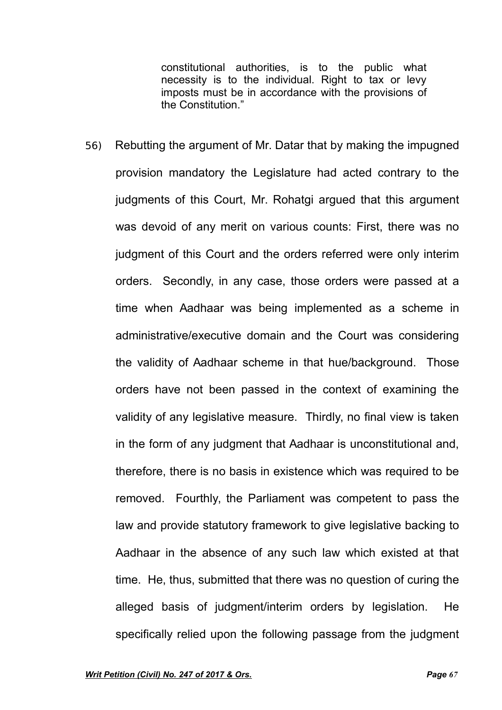constitutional authorities, is to the public what necessity is to the individual. Right to tax or levy imposts must be in accordance with the provisions of the Constitution."

56) Rebutting the argument of Mr. Datar that by making the impugned provision mandatory the Legislature had acted contrary to the judgments of this Court, Mr. Rohatgi argued that this argument was devoid of any merit on various counts: First, there was no judgment of this Court and the orders referred were only interim orders. Secondly, in any case, those orders were passed at a time when Aadhaar was being implemented as a scheme in administrative/executive domain and the Court was considering the validity of Aadhaar scheme in that hue/background. Those orders have not been passed in the context of examining the validity of any legislative measure. Thirdly, no final view is taken in the form of any judgment that Aadhaar is unconstitutional and, therefore, there is no basis in existence which was required to be removed. Fourthly, the Parliament was competent to pass the law and provide statutory framework to give legislative backing to Aadhaar in the absence of any such law which existed at that time. He, thus, submitted that there was no question of curing the alleged basis of judgment/interim orders by legislation. He specifically relied upon the following passage from the judgment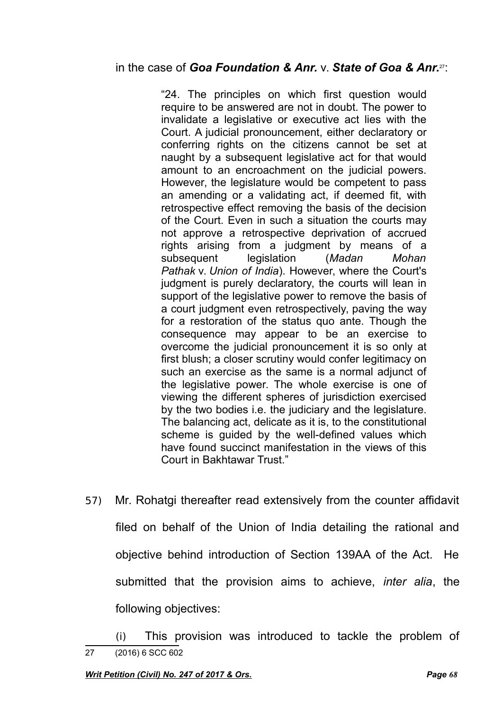# in the case of *Goa Foundation & Anr.* v. *State of Goa & Anr.*[27](#page-67-0):

"24. The principles on which first question would require to be answered are not in doubt. The power to invalidate a legislative or executive act lies with the Court. A judicial pronouncement, either declaratory or conferring rights on the citizens cannot be set at naught by a subsequent legislative act for that would amount to an encroachment on the judicial powers. However, the legislature would be competent to pass an amending or a validating act, if deemed fit, with retrospective effect removing the basis of the decision of the Court. Even in such a situation the courts may not approve a retrospective deprivation of accrued rights arising from a judgment by means of a subsequent legislation (*Madan Mohan Pathak* v. *Union of India*). However, where the Court's judgment is purely declaratory, the courts will lean in support of the legislative power to remove the basis of a court judgment even retrospectively, paving the way for a restoration of the status quo ante. Though the consequence may appear to be an exercise to overcome the judicial pronouncement it is so only at first blush; a closer scrutiny would confer legitimacy on such an exercise as the same is a normal adjunct of the legislative power. The whole exercise is one of viewing the different spheres of jurisdiction exercised by the two bodies i.e. the judiciary and the legislature. The balancing act, delicate as it is, to the constitutional scheme is guided by the well-defined values which have found succinct manifestation in the views of this Court in Bakhtawar Trust."

57) Mr. Rohatgi thereafter read extensively from the counter affidavit filed on behalf of the Union of India detailing the rational and objective behind introduction of Section 139AA of the Act. He submitted that the provision aims to achieve, *inter alia*, the following objectives:

<span id="page-67-0"></span><sup>(</sup>i) This provision was introduced to tackle the problem of 27 (2016) 6 SCC 602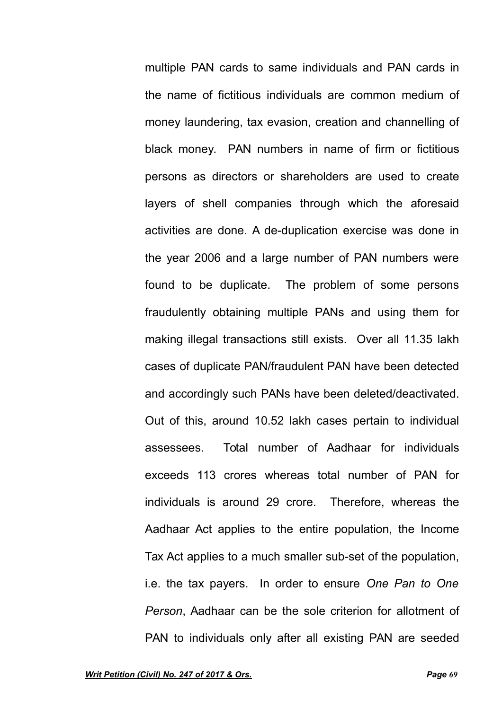multiple PAN cards to same individuals and PAN cards in the name of fictitious individuals are common medium of money laundering, tax evasion, creation and channelling of black money. PAN numbers in name of firm or fictitious persons as directors or shareholders are used to create layers of shell companies through which the aforesaid activities are done. A de-duplication exercise was done in the year 2006 and a large number of PAN numbers were found to be duplicate. The problem of some persons fraudulently obtaining multiple PANs and using them for making illegal transactions still exists. Over all 11.35 lakh cases of duplicate PAN/fraudulent PAN have been detected and accordingly such PANs have been deleted/deactivated. Out of this, around 10.52 lakh cases pertain to individual assessees. Total number of Aadhaar for individuals exceeds 113 crores whereas total number of PAN for individuals is around 29 crore. Therefore, whereas the Aadhaar Act applies to the entire population, the Income Tax Act applies to a much smaller sub-set of the population, i.e. the tax payers. In order to ensure *One Pan to One Person*, Aadhaar can be the sole criterion for allotment of PAN to individuals only after all existing PAN are seeded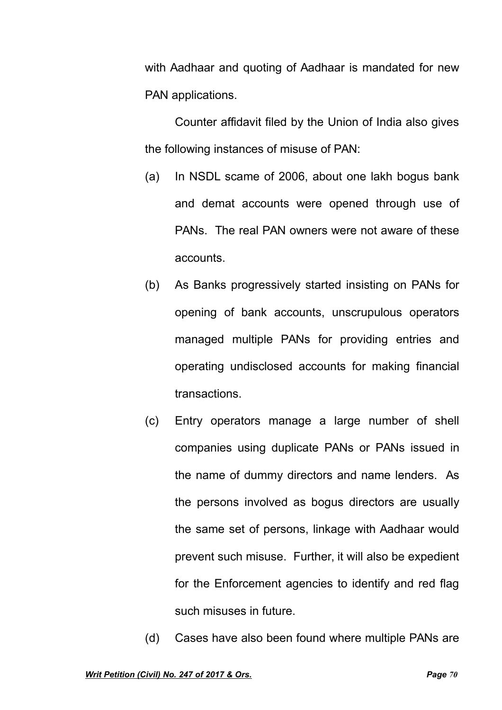with Aadhaar and quoting of Aadhaar is mandated for new PAN applications.

Counter affidavit filed by the Union of India also gives the following instances of misuse of PAN:

- (a) In NSDL scame of 2006, about one lakh bogus bank and demat accounts were opened through use of PANs. The real PAN owners were not aware of these accounts.
- (b) As Banks progressively started insisting on PANs for opening of bank accounts, unscrupulous operators managed multiple PANs for providing entries and operating undisclosed accounts for making financial transactions.
- (c) Entry operators manage a large number of shell companies using duplicate PANs or PANs issued in the name of dummy directors and name lenders. As the persons involved as bogus directors are usually the same set of persons, linkage with Aadhaar would prevent such misuse. Further, it will also be expedient for the Enforcement agencies to identify and red flag such misuses in future.
- (d) Cases have also been found where multiple PANs are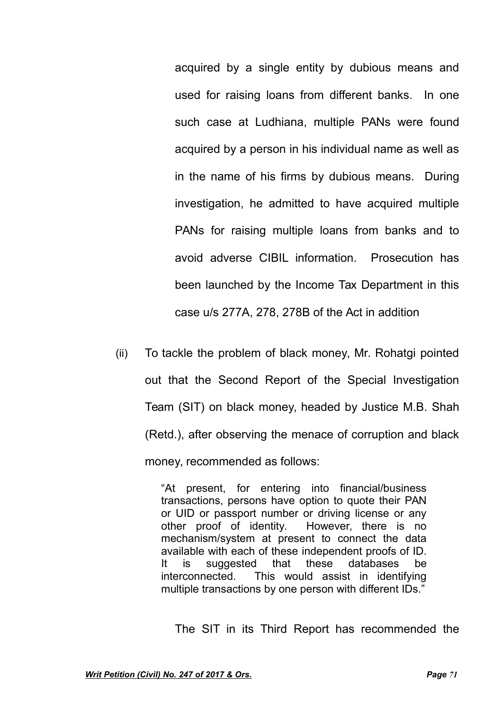acquired by a single entity by dubious means and used for raising loans from different banks. In one such case at Ludhiana, multiple PANs were found acquired by a person in his individual name as well as in the name of his firms by dubious means. During investigation, he admitted to have acquired multiple PANs for raising multiple loans from banks and to avoid adverse CIBIL information. Prosecution has been launched by the Income Tax Department in this case u/s 277A, 278, 278B of the Act in addition

(ii) To tackle the problem of black money, Mr. Rohatgi pointed out that the Second Report of the Special Investigation Team (SIT) on black money, headed by Justice M.B. Shah (Retd.), after observing the menace of corruption and black money, recommended as follows:

> "At present, for entering into financial/business transactions, persons have option to quote their PAN or UID or passport number or driving license or any other proof of identity. However, there is no mechanism/system at present to connect the data available with each of these independent proofs of ID. It is suggested that these databases be interconnected. This would assist in identifying multiple transactions by one person with different IDs."

The SIT in its Third Report has recommended the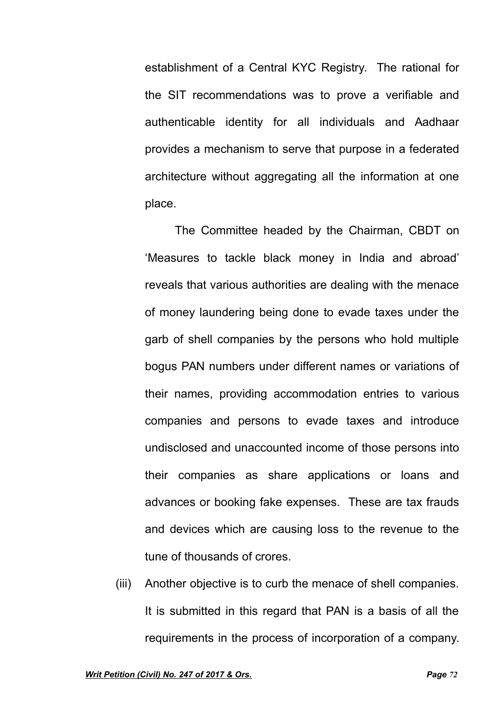establishment of a Central KYC Registry. The rational for the SIT recommendations was to prove a verifiable and authenticable identity for all individuals and Aadhaar provides a mechanism to serve that purpose in a federated architecture without aggregating all the information at one place.

The Committee headed by the Chairman, CBDT on 'Measures to tackle black money in India and abroad' reveals that various authorities are dealing with the menace of money laundering being done to evade taxes under the garb of shell companies by the persons who hold multiple bogus PAN numbers under different names or variations of their names, providing accommodation entries to various companies and persons to evade taxes and introduce undisclosed and unaccounted income of those persons into their companies as share applications or loans and advances or booking fake expenses. These are tax frauds and devices which are causing loss to the revenue to the tune of thousands of crores.

(iii) Another objective is to curb the menace of shell companies. It is submitted in this regard that PAN is a basis of all the requirements in the process of incorporation of a company.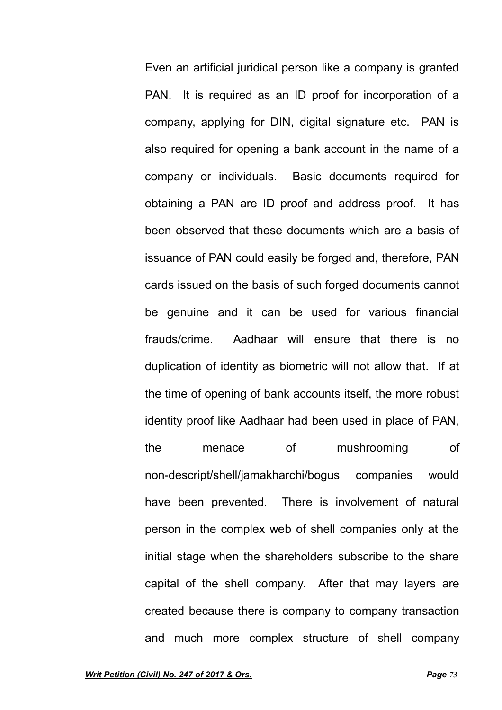Even an artificial juridical person like a company is granted PAN. It is required as an ID proof for incorporation of a company, applying for DIN, digital signature etc. PAN is also required for opening a bank account in the name of a company or individuals. Basic documents required for obtaining a PAN are ID proof and address proof. It has been observed that these documents which are a basis of issuance of PAN could easily be forged and, therefore, PAN cards issued on the basis of such forged documents cannot be genuine and it can be used for various financial frauds/crime. Aadhaar will ensure that there is no duplication of identity as biometric will not allow that. If at the time of opening of bank accounts itself, the more robust identity proof like Aadhaar had been used in place of PAN, the menace of mushrooming of non-descript/shell/jamakharchi/bogus companies would have been prevented. There is involvement of natural person in the complex web of shell companies only at the initial stage when the shareholders subscribe to the share capital of the shell company. After that may layers are created because there is company to company transaction and much more complex structure of shell company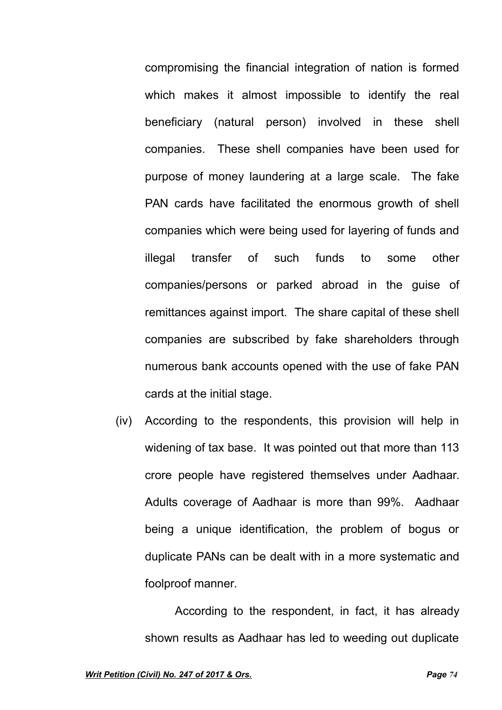compromising the financial integration of nation is formed which makes it almost impossible to identify the real beneficiary (natural person) involved in these shell companies. These shell companies have been used for purpose of money laundering at a large scale. The fake PAN cards have facilitated the enormous growth of shell companies which were being used for layering of funds and illegal transfer of such funds to some other companies/persons or parked abroad in the guise of remittances against import. The share capital of these shell companies are subscribed by fake shareholders through numerous bank accounts opened with the use of fake PAN cards at the initial stage.

(iv) According to the respondents, this provision will help in widening of tax base. It was pointed out that more than 113 crore people have registered themselves under Aadhaar. Adults coverage of Aadhaar is more than 99%. Aadhaar being a unique identification, the problem of bogus or duplicate PANs can be dealt with in a more systematic and foolproof manner.

According to the respondent, in fact, it has already shown results as Aadhaar has led to weeding out duplicate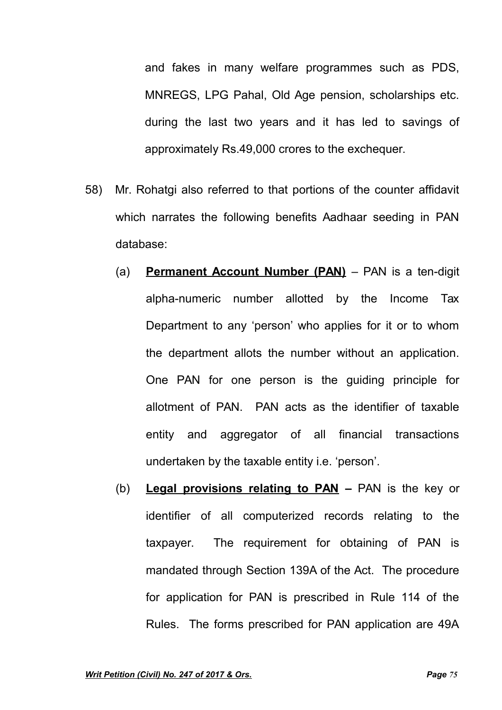and fakes in many welfare programmes such as PDS, MNREGS, LPG Pahal, Old Age pension, scholarships etc. during the last two years and it has led to savings of approximately Rs.49,000 crores to the exchequer.

- 58) Mr. Rohatgi also referred to that portions of the counter affidavit which narrates the following benefits Aadhaar seeding in PAN database:
	- (a) **Permanent Account Number (PAN)** PAN is a ten-digit alpha-numeric number allotted by the Income Tax Department to any 'person' who applies for it or to whom the department allots the number without an application. One PAN for one person is the guiding principle for allotment of PAN. PAN acts as the identifier of taxable entity and aggregator of all financial transactions undertaken by the taxable entity i.e. 'person'.
	- (b) **Legal provisions relating to PAN** PAN is the key or identifier of all computerized records relating to the taxpayer. The requirement for obtaining of PAN is mandated through Section 139A of the Act. The procedure for application for PAN is prescribed in Rule 114 of the Rules. The forms prescribed for PAN application are 49A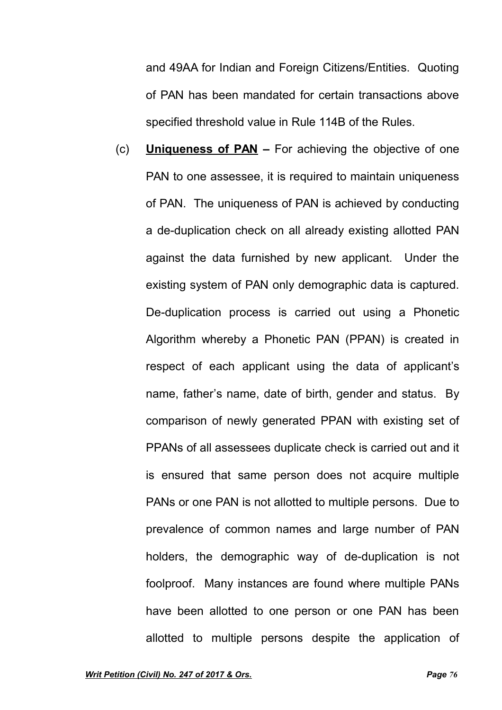and 49AA for Indian and Foreign Citizens/Entities. Quoting of PAN has been mandated for certain transactions above specified threshold value in Rule 114B of the Rules.

(c) **Uniqueness of PAN –** For achieving the objective of one PAN to one assessee, it is required to maintain uniqueness of PAN. The uniqueness of PAN is achieved by conducting a de-duplication check on all already existing allotted PAN against the data furnished by new applicant. Under the existing system of PAN only demographic data is captured. De-duplication process is carried out using a Phonetic Algorithm whereby a Phonetic PAN (PPAN) is created in respect of each applicant using the data of applicant's name, father's name, date of birth, gender and status. By comparison of newly generated PPAN with existing set of PPANs of all assessees duplicate check is carried out and it is ensured that same person does not acquire multiple PANs or one PAN is not allotted to multiple persons. Due to prevalence of common names and large number of PAN holders, the demographic way of de-duplication is not foolproof. Many instances are found where multiple PANs have been allotted to one person or one PAN has been allotted to multiple persons despite the application of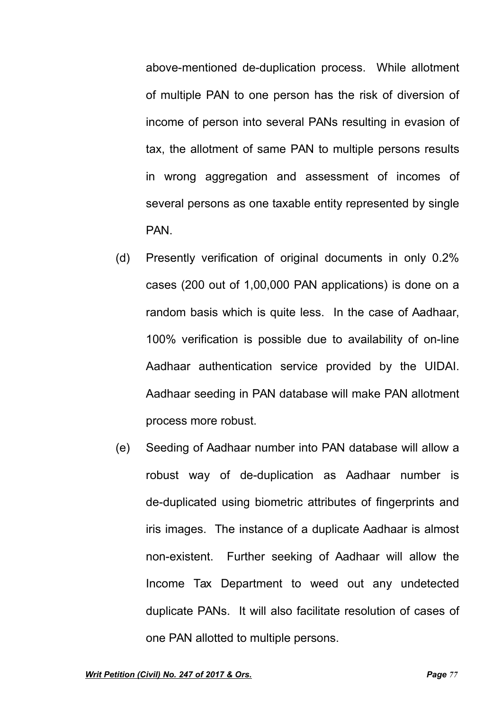above-mentioned de-duplication process. While allotment of multiple PAN to one person has the risk of diversion of income of person into several PANs resulting in evasion of tax, the allotment of same PAN to multiple persons results in wrong aggregation and assessment of incomes of several persons as one taxable entity represented by single **PAN.** 

- (d) Presently verification of original documents in only 0.2% cases (200 out of 1,00,000 PAN applications) is done on a random basis which is quite less. In the case of Aadhaar, 100% verification is possible due to availability of on-line Aadhaar authentication service provided by the UIDAI. Aadhaar seeding in PAN database will make PAN allotment process more robust.
- (e) Seeding of Aadhaar number into PAN database will allow a robust way of de-duplication as Aadhaar number is de-duplicated using biometric attributes of fingerprints and iris images. The instance of a duplicate Aadhaar is almost non-existent. Further seeking of Aadhaar will allow the Income Tax Department to weed out any undetected duplicate PANs. It will also facilitate resolution of cases of one PAN allotted to multiple persons.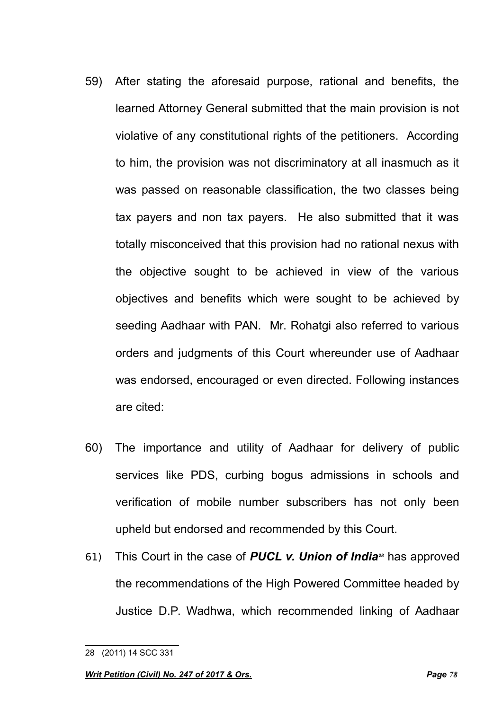- 59) After stating the aforesaid purpose, rational and benefits, the learned Attorney General submitted that the main provision is not violative of any constitutional rights of the petitioners. According to him, the provision was not discriminatory at all inasmuch as it was passed on reasonable classification, the two classes being tax payers and non tax payers. He also submitted that it was totally misconceived that this provision had no rational nexus with the objective sought to be achieved in view of the various objectives and benefits which were sought to be achieved by seeding Aadhaar with PAN. Mr. Rohatgi also referred to various orders and judgments of this Court whereunder use of Aadhaar was endorsed, encouraged or even directed. Following instances are cited:
- 60) The importance and utility of Aadhaar for delivery of public services like PDS, curbing bogus admissions in schools and verification of mobile number subscribers has not only been upheld but endorsed and recommended by this Court.
- 61) This Court in the case of *PUCL v. Union of India[28](#page-77-0)* has approved the recommendations of the High Powered Committee headed by Justice D.P. Wadhwa, which recommended linking of Aadhaar

<span id="page-77-0"></span><sup>28</sup> (2011) 14 SCC 331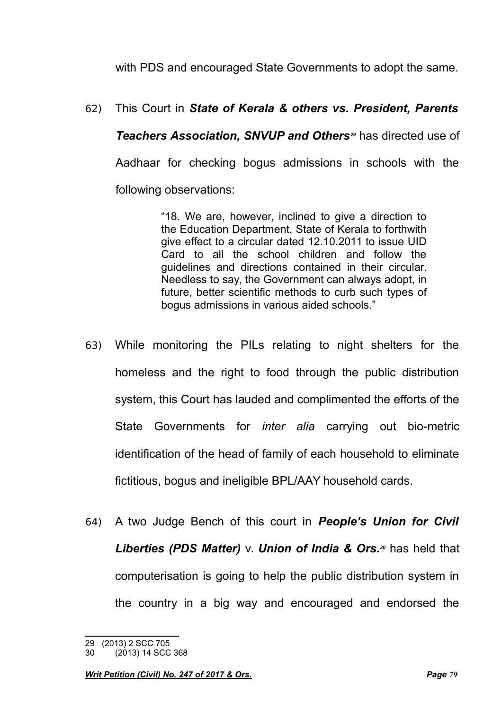with PDS and encouraged State Governments to adopt the same.

# 62) This Court in *State of Kerala & others vs. President, Parents*

*Teachers Association, SNVUP and Others[29](#page-78-0)* has directed use of

Aadhaar for checking bogus admissions in schools with the

following observations:

"18. We are, however, inclined to give a direction to the Education Department, State of Kerala to forthwith give effect to a circular dated 12.10.2011 to issue UID Card to all the school children and follow the guidelines and directions contained in their circular. Needless to say, the Government can always adopt, in future, better scientific methods to curb such types of bogus admissions in various aided schools."

- 63) While monitoring the PILs relating to night shelters for the homeless and the right to food through the public distribution system, this Court has lauded and complimented the efforts of the State Governments for *inter alia* carrying out bio-metric identification of the head of family of each household to eliminate fictitious, bogus and ineligible BPL/AAY household cards.
- 64) A two Judge Bench of this court in *People's Union for Civil Liberties (PDS Matter)* v. *Union of India & Ors.[30](#page-78-1)* has held that computerisation is going to help the public distribution system in the country in a big way and encouraged and endorsed the

<span id="page-78-0"></span><sup>29</sup> (2013) 2 SCC 705

<span id="page-78-1"></span><sup>30</sup> (2013) 14 SCC 368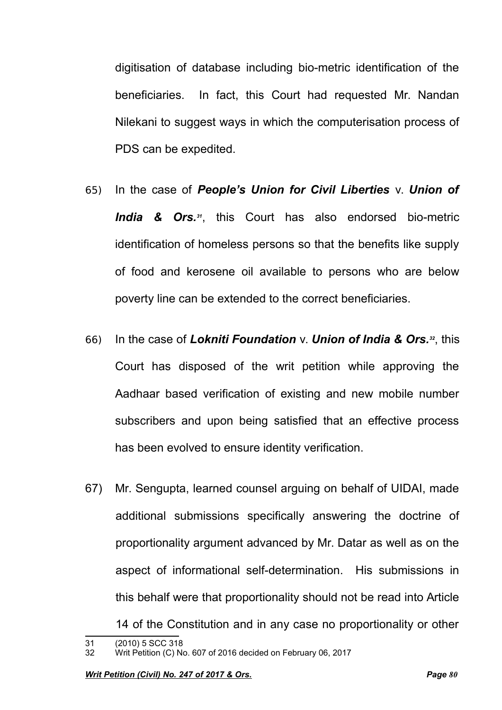digitisation of database including bio-metric identification of the beneficiaries. In fact, this Court had requested Mr. Nandan Nilekani to suggest ways in which the computerisation process of PDS can be expedited.

- 65) In the case of *People's Union for Civil Liberties* v. *Union of India & Ors.[31](#page-79-0)*, this Court has also endorsed bio-metric identification of homeless persons so that the benefits like supply of food and kerosene oil available to persons who are below poverty line can be extended to the correct beneficiaries.
- 66) In the case of *Lokniti Foundation* v. *Union of India & Ors.[32](#page-79-1)*, this Court has disposed of the writ petition while approving the Aadhaar based verification of existing and new mobile number subscribers and upon being satisfied that an effective process has been evolved to ensure identity verification.
- 67) Mr. Sengupta, learned counsel arguing on behalf of UIDAI, made additional submissions specifically answering the doctrine of proportionality argument advanced by Mr. Datar as well as on the aspect of informational self-determination. His submissions in this behalf were that proportionality should not be read into Article

<sup>14</sup> of the Constitution and in any case no proportionality or other

<span id="page-79-0"></span><sup>31</sup> (2010) 5 SCC 318

<span id="page-79-1"></span><sup>32</sup> Writ Petition (C) No. 607 of 2016 decided on February 06, 2017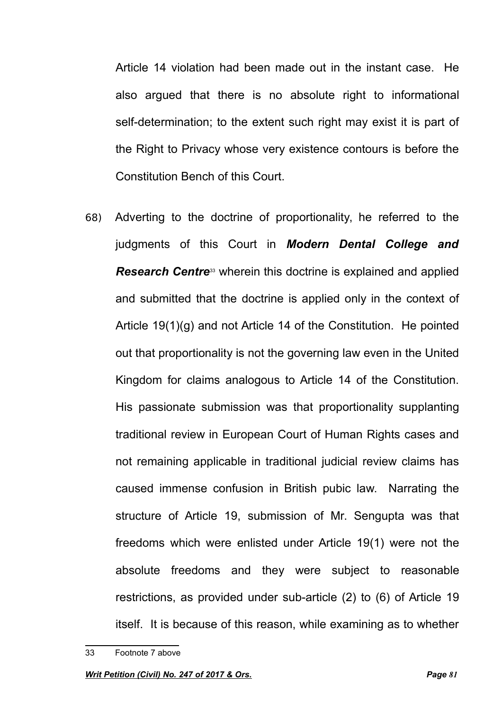Article 14 violation had been made out in the instant case. He also argued that there is no absolute right to informational self-determination; to the extent such right may exist it is part of the Right to Privacy whose very existence contours is before the Constitution Bench of this Court.

68) Adverting to the doctrine of proportionality, he referred to the judgments of this Court in *Modern Dental College and Research Centre*<sup>[33](#page-80-0)</sup> wherein this doctrine is explained and applied and submitted that the doctrine is applied only in the context of Article 19(1)(g) and not Article 14 of the Constitution. He pointed out that proportionality is not the governing law even in the United Kingdom for claims analogous to Article 14 of the Constitution. His passionate submission was that proportionality supplanting traditional review in European Court of Human Rights cases and not remaining applicable in traditional judicial review claims has caused immense confusion in British pubic law. Narrating the structure of Article 19, submission of Mr. Sengupta was that freedoms which were enlisted under Article 19(1) were not the absolute freedoms and they were subject to reasonable restrictions, as provided under sub-article (2) to (6) of Article 19 itself. It is because of this reason, while examining as to whether

<span id="page-80-0"></span><sup>33</sup> Footnote 7 above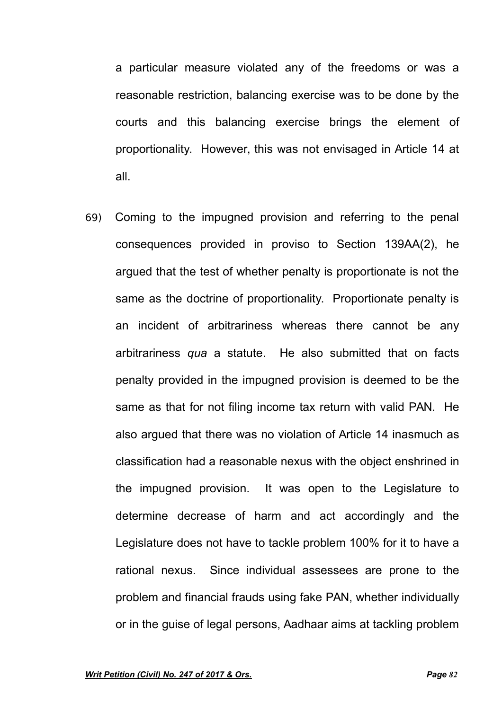a particular measure violated any of the freedoms or was a reasonable restriction, balancing exercise was to be done by the courts and this balancing exercise brings the element of proportionality. However, this was not envisaged in Article 14 at all.

69) Coming to the impugned provision and referring to the penal consequences provided in proviso to Section 139AA(2), he argued that the test of whether penalty is proportionate is not the same as the doctrine of proportionality. Proportionate penalty is an incident of arbitrariness whereas there cannot be any arbitrariness *qua* a statute. He also submitted that on facts penalty provided in the impugned provision is deemed to be the same as that for not filing income tax return with valid PAN. He also argued that there was no violation of Article 14 inasmuch as classification had a reasonable nexus with the object enshrined in the impugned provision. It was open to the Legislature to determine decrease of harm and act accordingly and the Legislature does not have to tackle problem 100% for it to have a rational nexus. Since individual assessees are prone to the problem and financial frauds using fake PAN, whether individually or in the guise of legal persons, Aadhaar aims at tackling problem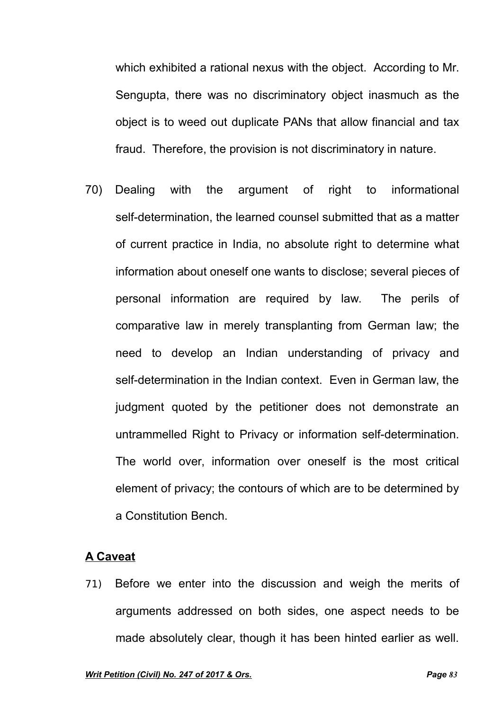which exhibited a rational nexus with the object. According to Mr. Sengupta, there was no discriminatory object inasmuch as the object is to weed out duplicate PANs that allow financial and tax fraud. Therefore, the provision is not discriminatory in nature.

70) Dealing with the argument of right to informational self-determination, the learned counsel submitted that as a matter of current practice in India, no absolute right to determine what information about oneself one wants to disclose; several pieces of personal information are required by law. The perils of comparative law in merely transplanting from German law; the need to develop an Indian understanding of privacy and self-determination in the Indian context. Even in German law, the judgment quoted by the petitioner does not demonstrate an untrammelled Right to Privacy or information self-determination. The world over, information over oneself is the most critical element of privacy; the contours of which are to be determined by a Constitution Bench.

## **A Caveat**

71) Before we enter into the discussion and weigh the merits of arguments addressed on both sides, one aspect needs to be made absolutely clear, though it has been hinted earlier as well.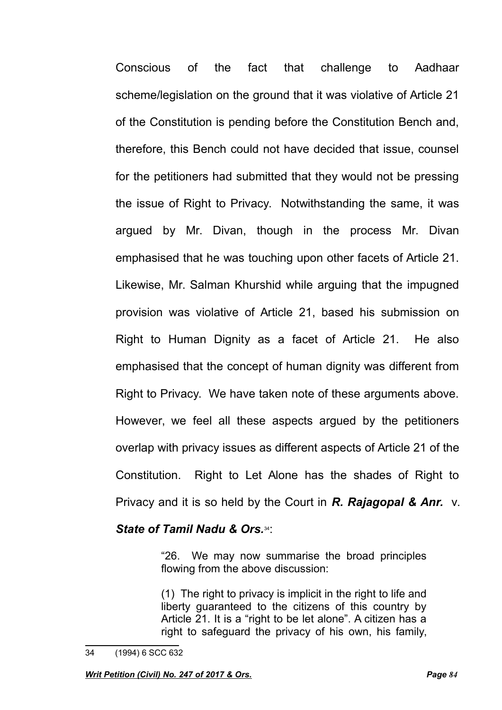Conscious of the fact that challenge to Aadhaar scheme/legislation on the ground that it was violative of Article 21 of the Constitution is pending before the Constitution Bench and, therefore, this Bench could not have decided that issue, counsel for the petitioners had submitted that they would not be pressing the issue of Right to Privacy. Notwithstanding the same, it was argued by Mr. Divan, though in the process Mr. Divan emphasised that he was touching upon other facets of Article 21. Likewise, Mr. Salman Khurshid while arguing that the impugned provision was violative of Article 21, based his submission on Right to Human Dignity as a facet of Article 21. He also emphasised that the concept of human dignity was different from Right to Privacy. We have taken note of these arguments above. However, we feel all these aspects argued by the petitioners overlap with privacy issues as different aspects of Article 21 of the Constitution. Right to Let Alone has the shades of Right to Privacy and it is so held by the Court in *R. Rajagopal & Anr.* v.

## *State of Tamil Nadu & Ors.*[34](#page-83-0):

"26. We may now summarise the broad principles flowing from the above discussion:

(1) The right to privacy is implicit in the right to life and liberty guaranteed to the citizens of this country by Article 21. It is a "right to be let alone". A citizen has a right to safeguard the privacy of his own, his family,

<span id="page-83-0"></span><sup>34</sup> (1994) 6 SCC 632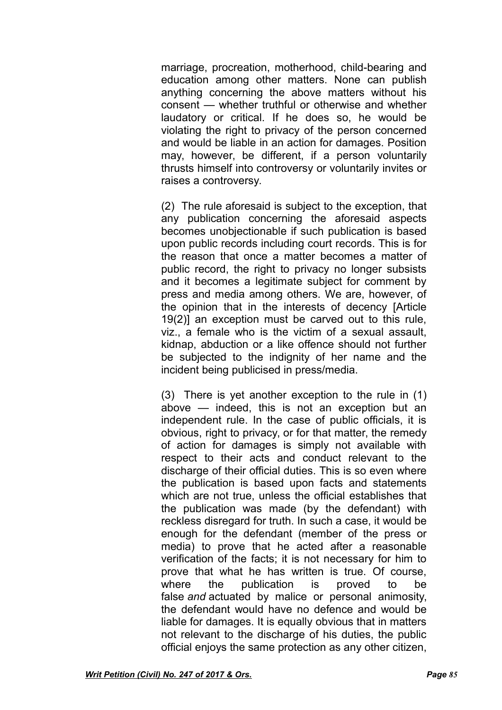marriage, procreation, motherhood, child-bearing and education among other matters. None can publish anything concerning the above matters without his consent — whether truthful or otherwise and whether laudatory or critical. If he does so, he would be violating the right to privacy of the person concerned and would be liable in an action for damages. Position may, however, be different, if a person voluntarily thrusts himself into controversy or voluntarily invites or raises a controversy.

(2) The rule aforesaid is subject to the exception, that any publication concerning the aforesaid aspects becomes unobjectionable if such publication is based upon public records including court records. This is for the reason that once a matter becomes a matter of public record, the right to privacy no longer subsists and it becomes a legitimate subject for comment by press and media among others. We are, however, of the opinion that in the interests of decency [Article 19(2)] an exception must be carved out to this rule, viz., a female who is the victim of a sexual assault, kidnap, abduction or a like offence should not further be subjected to the indignity of her name and the incident being publicised in press/media.

(3) There is yet another exception to the rule in (1) above — indeed, this is not an exception but an independent rule. In the case of public officials, it is obvious, right to privacy, or for that matter, the remedy of action for damages is simply not available with respect to their acts and conduct relevant to the discharge of their official duties. This is so even where the publication is based upon facts and statements which are not true, unless the official establishes that the publication was made (by the defendant) with reckless disregard for truth. In such a case, it would be enough for the defendant (member of the press or media) to prove that he acted after a reasonable verification of the facts; it is not necessary for him to prove that what he has written is true. Of course, where the publication is proved to be false *and* actuated by malice or personal animosity, the defendant would have no defence and would be liable for damages. It is equally obvious that in matters not relevant to the discharge of his duties, the public official enjoys the same protection as any other citizen,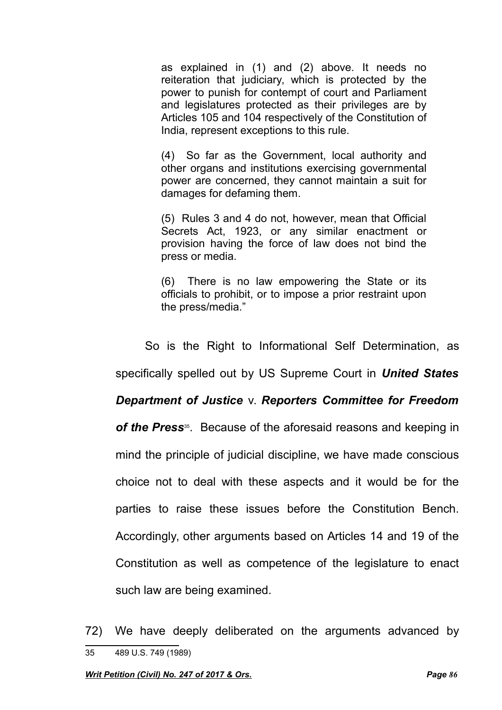as explained in (1) and (2) above. It needs no reiteration that judiciary, which is protected by the power to punish for contempt of court and Parliament and legislatures protected as their privileges are by Articles 105 and 104 respectively of the Constitution of India, represent exceptions to this rule.

(4) So far as the Government, local authority and other organs and institutions exercising governmental power are concerned, they cannot maintain a suit for damages for defaming them.

(5) Rules 3 and 4 do not, however, mean that Official Secrets Act, 1923, or any similar enactment or provision having the force of law does not bind the press or media.

(6) There is no law empowering the State or its officials to prohibit, or to impose a prior restraint upon the press/media."

So is the Right to Informational Self Determination, as specifically spelled out by US Supreme Court in *United States*

*Department of Justice* v. *Reporters Committee for Freedom*

of the Press<sup>[35](#page-85-0)</sup>. Because of the aforesaid reasons and keeping in

mind the principle of judicial discipline, we have made conscious

choice not to deal with these aspects and it would be for the

parties to raise these issues before the Constitution Bench.

Accordingly, other arguments based on Articles 14 and 19 of the Constitution as well as competence of the legislature to enact

such law are being examined.

<sup>72)</sup> We have deeply deliberated on the arguments advanced by

<span id="page-85-0"></span><sup>35</sup> 489 U.S. 749 (1989)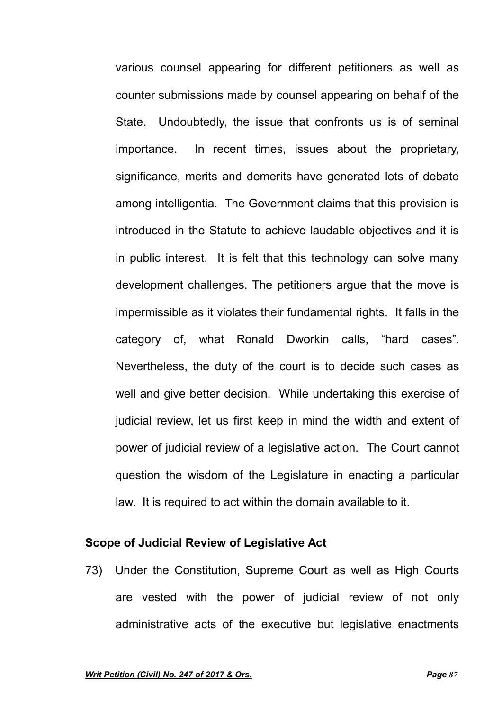various counsel appearing for different petitioners as well as counter submissions made by counsel appearing on behalf of the State. Undoubtedly, the issue that confronts us is of seminal importance. In recent times, issues about the proprietary, significance, merits and demerits have generated lots of debate among intelligentia. The Government claims that this provision is introduced in the Statute to achieve laudable objectives and it is in public interest. It is felt that this technology can solve many development challenges. The petitioners argue that the move is impermissible as it violates their fundamental rights. It falls in the category of, what Ronald Dworkin calls, "hard cases". Nevertheless, the duty of the court is to decide such cases as well and give better decision. While undertaking this exercise of judicial review, let us first keep in mind the width and extent of power of judicial review of a legislative action. The Court cannot question the wisdom of the Legislature in enacting a particular law. It is required to act within the domain available to it.

#### **Scope of Judicial Review of Legislative Act**

73) Under the Constitution, Supreme Court as well as High Courts are vested with the power of judicial review of not only administrative acts of the executive but legislative enactments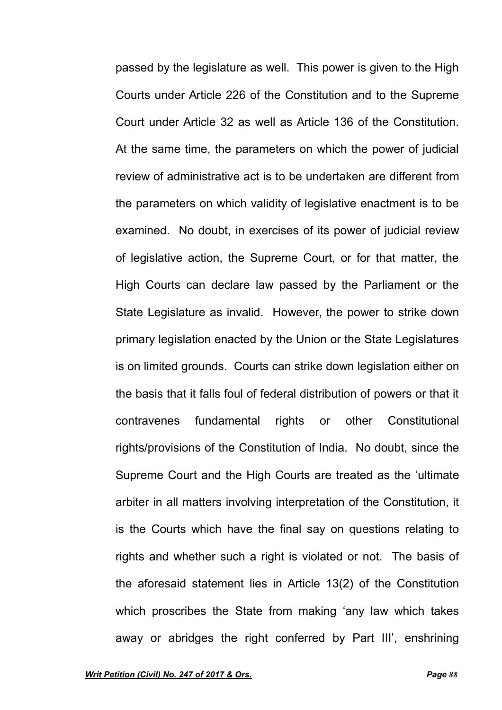passed by the legislature as well. This power is given to the High Courts under Article 226 of the Constitution and to the Supreme Court under Article 32 as well as Article 136 of the Constitution. At the same time, the parameters on which the power of judicial review of administrative act is to be undertaken are different from the parameters on which validity of legislative enactment is to be examined. No doubt, in exercises of its power of judicial review of legislative action, the Supreme Court, or for that matter, the High Courts can declare law passed by the Parliament or the State Legislature as invalid. However, the power to strike down primary legislation enacted by the Union or the State Legislatures is on limited grounds. Courts can strike down legislation either on the basis that it falls foul of federal distribution of powers or that it contravenes fundamental rights or other Constitutional rights/provisions of the Constitution of India. No doubt, since the Supreme Court and the High Courts are treated as the 'ultimate arbiter in all matters involving interpretation of the Constitution, it is the Courts which have the final say on questions relating to rights and whether such a right is violated or not. The basis of the aforesaid statement lies in Article 13(2) of the Constitution which proscribes the State from making 'any law which takes away or abridges the right conferred by Part III', enshrining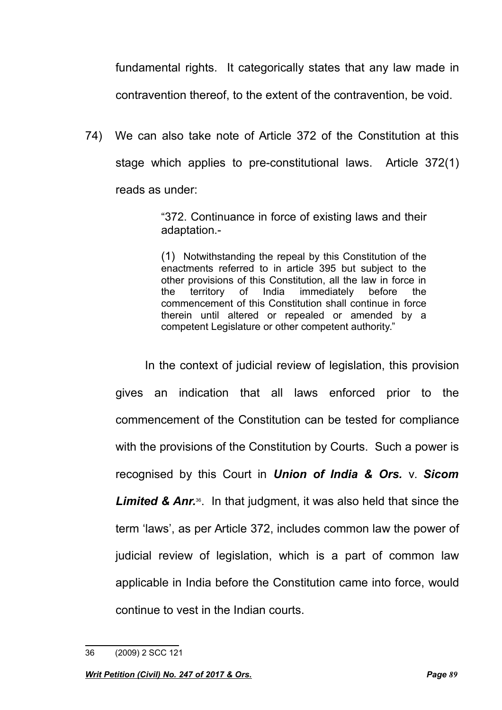fundamental rights. It categorically states that any law made in contravention thereof, to the extent of the contravention, be void.

74) We can also take note of Article 372 of the Constitution at this stage which applies to pre-constitutional laws. Article 372(1) reads as under:

> "372. Continuance in force of existing laws and their adaptation.-

> (1) Notwithstanding the repeal by this Constitution of the enactments referred to in article 395 but subject to the other provisions of this Constitution, all the law in force in the territory of India immediately before the commencement of this Constitution shall continue in force therein until altered or repealed or amended by a competent Legislature or other competent authority."

In the context of judicial review of legislation, this provision gives an indication that all laws enforced prior to the commencement of the Constitution can be tested for compliance with the provisions of the Constitution by Courts. Such a power is recognised by this Court in *Union of India & Ors.* v. *Sicom* Limited & Anr.<sup>[36](#page-88-0)</sup>. In that judgment, it was also held that since the term 'laws', as per Article 372, includes common law the power of judicial review of legislation, which is a part of common law applicable in India before the Constitution came into force, would continue to vest in the Indian courts.

<span id="page-88-0"></span><sup>36</sup> (2009) 2 SCC 121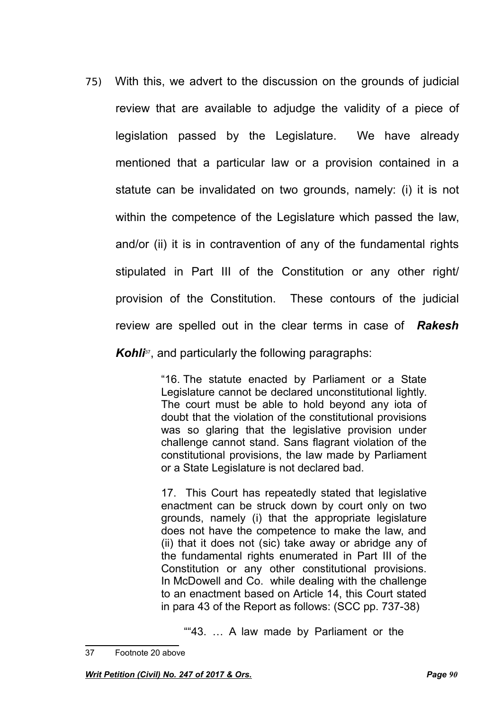75) With this, we advert to the discussion on the grounds of judicial review that are available to adjudge the validity of a piece of legislation passed by the Legislature. We have already mentioned that a particular law or a provision contained in a statute can be invalidated on two grounds, namely: (i) it is not within the competence of the Legislature which passed the law, and/or (ii) it is in contravention of any of the fundamental rights stipulated in Part III of the Constitution or any other right/ provision of the Constitution. These contours of the judicial review are spelled out in the clear terms in case of *Rakesh Kohli*<sup>3</sup>, and particularly the following paragraphs:

> "16. The statute enacted by Parliament or a State Legislature cannot be declared unconstitutional lightly. The court must be able to hold beyond any iota of doubt that the violation of the constitutional provisions was so glaring that the legislative provision under challenge cannot stand. Sans flagrant violation of the constitutional provisions, the law made by Parliament or a State Legislature is not declared bad.

> 17. This Court has repeatedly stated that legislative enactment can be struck down by court only on two grounds, namely (i) that the appropriate legislature does not have the competence to make the law, and (ii) that it does not (sic) take away or abridge any of the fundamental rights enumerated in Part III of the Constitution or any other constitutional provisions. In McDowell and Co. while dealing with the challenge to an enactment based on Article 14, this Court stated in para 43 of the Report as follows: (SCC pp. 737-38)

""43. … A law made by Parliament or the

<span id="page-89-0"></span><sup>37</sup> Footnote 20 above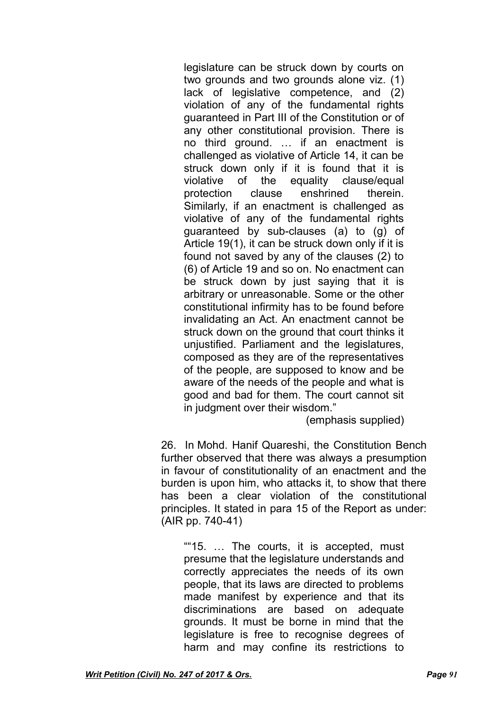legislature can be struck down by courts on two grounds and two grounds alone viz. (1) lack of legislative competence, and (2) violation of any of the fundamental rights guaranteed in Part III of the Constitution or of any other constitutional provision. There is no third ground. … if an enactment is challenged as violative of Article 14, it can be struck down only if it is found that it is violative of the equality clause/equal protection clause enshrined therein. Similarly, if an enactment is challenged as violative of any of the fundamental rights guaranteed by sub-clauses (a) to (g) of Article 19(1), it can be struck down only if it is found not saved by any of the clauses (2) to (6) of Article 19 and so on. No enactment can be struck down by just saying that it is arbitrary or unreasonable. Some or the other constitutional infirmity has to be found before invalidating an Act. An enactment cannot be struck down on the ground that court thinks it unjustified. Parliament and the legislatures, composed as they are of the representatives of the people, are supposed to know and be aware of the needs of the people and what is good and bad for them. The court cannot sit in judgment over their wisdom."

(emphasis supplied)

26. In Mohd. Hanif Quareshi, the Constitution Bench further observed that there was always a presumption in favour of constitutionality of an enactment and the burden is upon him, who attacks it, to show that there has been a clear violation of the constitutional principles. It stated in para 15 of the Report as under: (AIR pp. 740-41)

""15. … The courts, it is accepted, must presume that the legislature understands and correctly appreciates the needs of its own people, that its laws are directed to problems made manifest by experience and that its discriminations are based on adequate grounds. It must be borne in mind that the legislature is free to recognise degrees of harm and may confine its restrictions to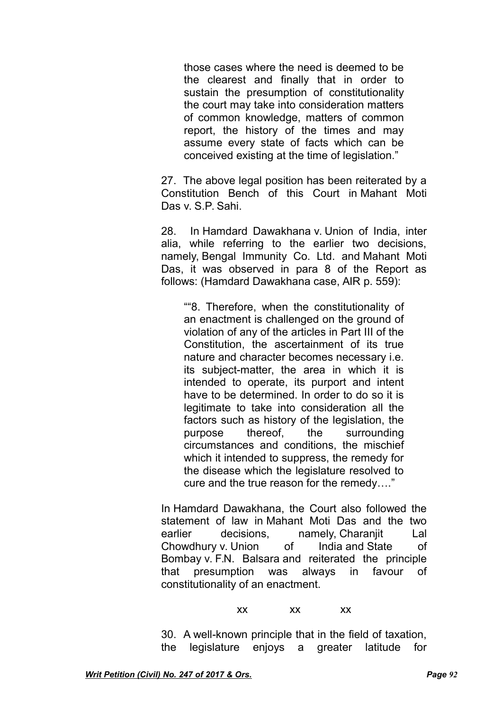those cases where the need is deemed to be the clearest and finally that in order to sustain the presumption of constitutionality the court may take into consideration matters of common knowledge, matters of common report, the history of the times and may assume every state of facts which can be conceived existing at the time of legislation."

27. The above legal position has been reiterated by a Constitution Bench of this Court in Mahant Moti Das v. S.P. Sahi.

28. In Hamdard Dawakhana v. Union of India, inter alia, while referring to the earlier two decisions, namely, Bengal Immunity Co. Ltd. and Mahant Moti Das, it was observed in para 8 of the Report as follows: (Hamdard Dawakhana case, AIR p. 559):

""8. Therefore, when the constitutionality of an enactment is challenged on the ground of violation of any of the articles in Part III of the Constitution, the ascertainment of its true nature and character becomes necessary i.e. its subject-matter, the area in which it is intended to operate, its purport and intent have to be determined. In order to do so it is legitimate to take into consideration all the factors such as history of the legislation, the purpose thereof, the surrounding circumstances and conditions, the mischief which it intended to suppress, the remedy for the disease which the legislature resolved to cure and the true reason for the remedy…."

In Hamdard Dawakhana, the Court also followed the statement of law in Mahant Moti Das and the two earlier decisions. namely, Charaniit Lal Chowdhury v. Union of India and State of Bombay v. F.N. Balsara and reiterated the principle that presumption was always in favour of constitutionality of an enactment.

xx xx xx

30. A well-known principle that in the field of taxation, the legislature enjoys a greater latitude for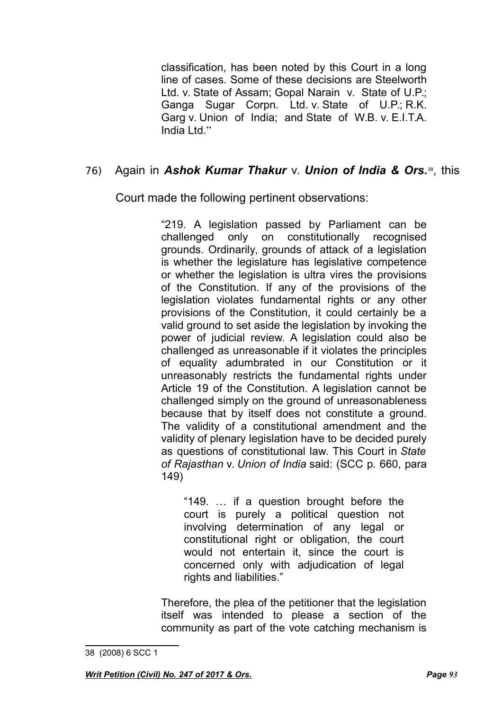classification, has been noted by this Court in a long line of cases. Some of these decisions are Steelworth Ltd. v. State of Assam; Gopal Narain v. State of U.P.; Ganga Sugar Corpn. Ltd. v. State of U.P.; R.K. Garg v. Union of India; and State of W.B. v. E.I.T.A. India  $l$  td."

# 76) Again in *Ashok Kumar Thakur* v. *Union of India & Ors.*[38](#page-92-0), this

Court made the following pertinent observations:

"219. A legislation passed by Parliament can be challenged only on constitutionally recognised grounds. Ordinarily, grounds of attack of a legislation is whether the legislature has legislative competence or whether the legislation is ultra vires the provisions of the Constitution. If any of the provisions of the legislation violates fundamental rights or any other provisions of the Constitution, it could certainly be a valid ground to set aside the legislation by invoking the power of judicial review. A legislation could also be challenged as unreasonable if it violates the principles of equality adumbrated in our Constitution or it unreasonably restricts the fundamental rights under Article 19 of the Constitution. A legislation cannot be challenged simply on the ground of unreasonableness because that by itself does not constitute a ground. The validity of a constitutional amendment and the validity of plenary legislation have to be decided purely as questions of constitutional law. This Court in *State of Rajasthan* v. *Union of India* said: (SCC p. 660, para 149)

"149. … if a question brought before the court is purely a political question not involving determination of any legal or constitutional right or obligation, the court would not entertain it, since the court is concerned only with adjudication of legal rights and liabilities."

Therefore, the plea of the petitioner that the legislation itself was intended to please a section of the community as part of the vote catching mechanism is

<span id="page-92-0"></span><sup>38</sup> (2008) 6 SCC 1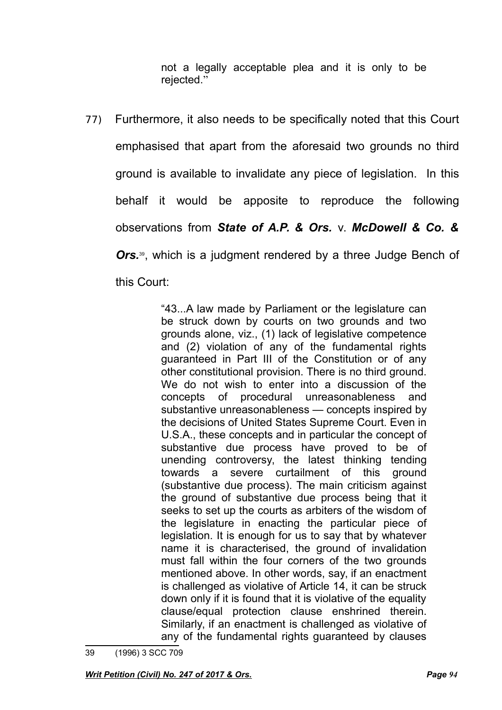not a legally acceptable plea and it is only to be rejected."

77) Furthermore, it also needs to be specifically noted that this Court emphasised that apart from the aforesaid two grounds no third ground is available to invalidate any piece of legislation. In this behalf it would be apposite to reproduce the following observations from *State of A.P. & Ors.* v. *McDowell & Co. &* **Ors.**<sup>[39](#page-93-0)</sup>, which is a judgment rendered by a three Judge Bench of this Court:

> "43...A law made by Parliament or the legislature can be struck down by courts on two grounds and two grounds alone, viz., (1) lack of legislative competence and (2) violation of any of the fundamental rights guaranteed in Part III of the Constitution or of any other constitutional provision. There is no third ground. We do not wish to enter into a discussion of the concepts of procedural unreasonableness and substantive unreasonableness — concepts inspired by the decisions of United States Supreme Court. Even in U.S.A., these concepts and in particular the concept of substantive due process have proved to be of unending controversy, the latest thinking tending towards a severe curtailment of this ground (substantive due process). The main criticism against the ground of substantive due process being that it seeks to set up the courts as arbiters of the wisdom of the legislature in enacting the particular piece of legislation. It is enough for us to say that by whatever name it is characterised, the ground of invalidation must fall within the four corners of the two grounds mentioned above. In other words, say, if an enactment is challenged as violative of Article 14, it can be struck down only if it is found that it is violative of the equality clause/equal protection clause enshrined therein. Similarly, if an enactment is challenged as violative of any of the fundamental rights guaranteed by clauses

<span id="page-93-0"></span><sup>39</sup> (1996) 3 SCC 709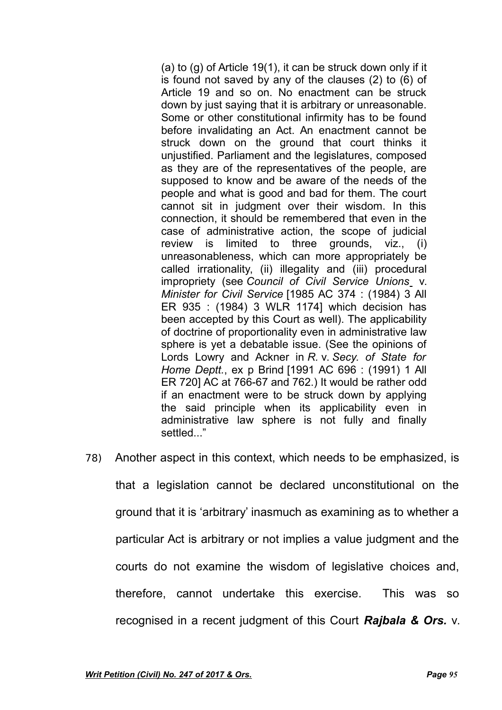(a) to (g) of Article 19(1), it can be struck down only if it is found not saved by any of the clauses (2) to (6) of Article 19 and so on. No enactment can be struck down by just saying that it is arbitrary or unreasonable. Some or other constitutional infirmity has to be found before invalidating an Act. An enactment cannot be struck down on the ground that court thinks it unjustified. Parliament and the legislatures, composed as they are of the representatives of the people, are supposed to know and be aware of the needs of the people and what is good and bad for them. The court cannot sit in judgment over their wisdom. In this connection, it should be remembered that even in the case of administrative action, the scope of judicial review is limited to three grounds, viz., (i) unreasonableness, which can more appropriately be called irrationality, (ii) illegality and (iii) procedural impropriety (see *Council of Civil Service Unions* v. *Minister for Civil Service* [1985 AC 374 : (1984) 3 All ER 935 : (1984) 3 WLR 1174] which decision has been accepted by this Court as well). The applicability of doctrine of proportionality even in administrative law sphere is yet a debatable issue. (See the opinions of Lords Lowry and Ackner in *R.* v. *Secy. of State for Home Deptt.*, ex p Brind [1991 AC 696 : (1991) 1 All ER 720] AC at 766-67 and 762.) It would be rather odd if an enactment were to be struck down by applying the said principle when its applicability even in administrative law sphere is not fully and finally settled..."

78) Another aspect in this context, which needs to be emphasized, is that a legislation cannot be declared unconstitutional on the ground that it is 'arbitrary' inasmuch as examining as to whether a particular Act is arbitrary or not implies a value judgment and the courts do not examine the wisdom of legislative choices and, therefore, cannot undertake this exercise. This was so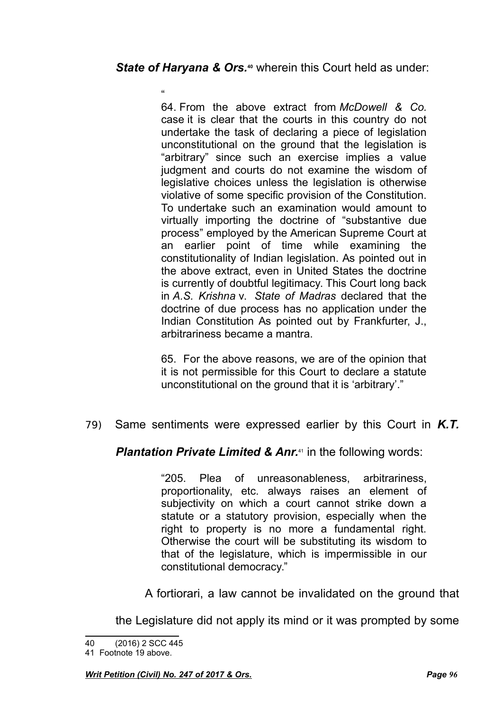" 64. From the above extract from *McDowell & Co.* case it is clear that the courts in this country do not undertake the task of declaring a piece of legislation unconstitutional on the ground that the legislation is "arbitrary" since such an exercise implies a value judgment and courts do not examine the wisdom of legislative choices unless the legislation is otherwise violative of some specific provision of the Constitution. To undertake such an examination would amount to virtually importing the doctrine of "substantive due process" employed by the American Supreme Court at an earlier point of time while examining the constitutionality of Indian legislation. As pointed out in the above extract, even in United States the doctrine is currently of doubtful legitimacy. This Court long back in *A.S. Krishna* v. *State of Madras* declared that the doctrine of due process has no application under the Indian Constitution As pointed out by Frankfurter, J., arbitrariness became a mantra.

65. For the above reasons, we are of the opinion that it is not permissible for this Court to declare a statute unconstitutional on the ground that it is 'arbitrary'."

79) Same sentiments were expressed earlier by this Court in *K.T.*

**Plantation Private Limited & Anr.<sup>[41](#page-95-1)</sup>** in the following words:

"205. Plea of unreasonableness, arbitrariness, proportionality, etc. always raises an element of subjectivity on which a court cannot strike down a statute or a statutory provision, especially when the right to property is no more a fundamental right. Otherwise the court will be substituting its wisdom to that of the legislature, which is impermissible in our constitutional democracy."

A fortiorari, a law cannot be invalidated on the ground that

the Legislature did not apply its mind or it was prompted by some

*Writ Petition (Civil) No. 247 of 2017 & Ors. Page 96*

<span id="page-95-0"></span><sup>40</sup> (2016) 2 SCC 445

<span id="page-95-1"></span><sup>41</sup> Footnote 19 above.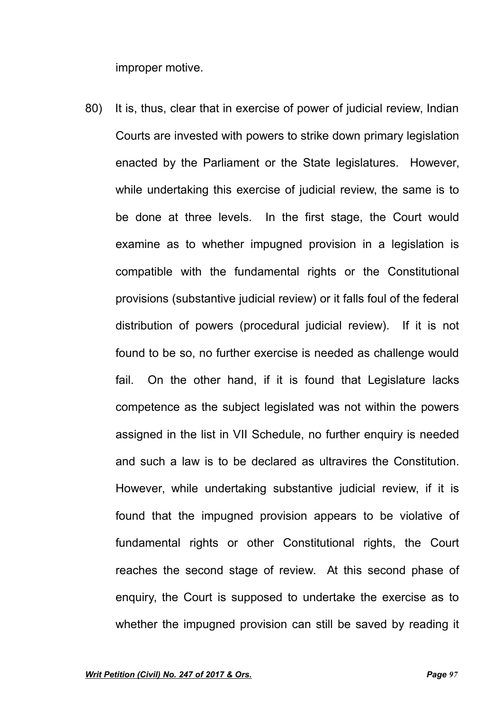improper motive.

80) It is, thus, clear that in exercise of power of judicial review, Indian Courts are invested with powers to strike down primary legislation enacted by the Parliament or the State legislatures. However, while undertaking this exercise of judicial review, the same is to be done at three levels. In the first stage, the Court would examine as to whether impugned provision in a legislation is compatible with the fundamental rights or the Constitutional provisions (substantive judicial review) or it falls foul of the federal distribution of powers (procedural judicial review). If it is not found to be so, no further exercise is needed as challenge would fail. On the other hand, if it is found that Legislature lacks competence as the subject legislated was not within the powers assigned in the list in VII Schedule, no further enquiry is needed and such a law is to be declared as ultravires the Constitution. However, while undertaking substantive judicial review, if it is found that the impugned provision appears to be violative of fundamental rights or other Constitutional rights, the Court reaches the second stage of review. At this second phase of enquiry, the Court is supposed to undertake the exercise as to whether the impugned provision can still be saved by reading it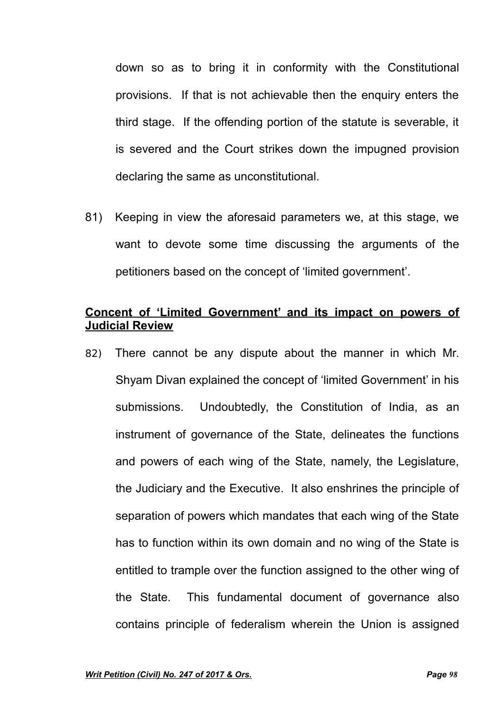down so as to bring it in conformity with the Constitutional provisions. If that is not achievable then the enquiry enters the third stage. If the offending portion of the statute is severable, it is severed and the Court strikes down the impugned provision declaring the same as unconstitutional.

81) Keeping in view the aforesaid parameters we, at this stage, we want to devote some time discussing the arguments of the petitioners based on the concept of 'limited government'.

## **Concent of 'Limited Government' and its impact on powers of Judicial Review**

82) There cannot be any dispute about the manner in which Mr. Shyam Divan explained the concept of 'limited Government' in his submissions. Undoubtedly, the Constitution of India, as an instrument of governance of the State, delineates the functions and powers of each wing of the State, namely, the Legislature, the Judiciary and the Executive. It also enshrines the principle of separation of powers which mandates that each wing of the State has to function within its own domain and no wing of the State is entitled to trample over the function assigned to the other wing of the State. This fundamental document of governance also contains principle of federalism wherein the Union is assigned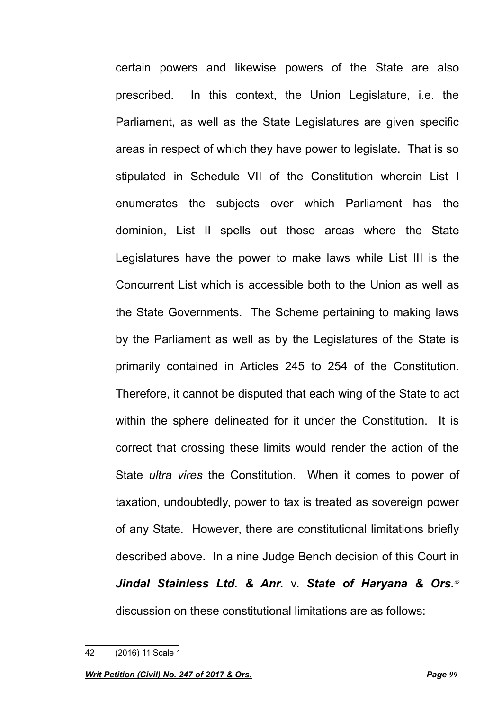certain powers and likewise powers of the State are also prescribed. In this context, the Union Legislature, i.e. the Parliament, as well as the State Legislatures are given specific areas in respect of which they have power to legislate. That is so stipulated in Schedule VII of the Constitution wherein List I enumerates the subjects over which Parliament has the dominion, List II spells out those areas where the State Legislatures have the power to make laws while List III is the Concurrent List which is accessible both to the Union as well as the State Governments. The Scheme pertaining to making laws by the Parliament as well as by the Legislatures of the State is primarily contained in Articles 245 to 254 of the Constitution. Therefore, it cannot be disputed that each wing of the State to act within the sphere delineated for it under the Constitution. It is correct that crossing these limits would render the action of the State *ultra vires* the Constitution. When it comes to power of taxation, undoubtedly, power to tax is treated as sovereign power of any State. However, there are constitutional limitations briefly described above. In a nine Judge Bench decision of this Court in *Jindal Stainless Ltd. & Anr.* v. *State of Haryana & Ors.*[42](#page-98-0) discussion on these constitutional limitations are as follows:

<span id="page-98-0"></span><sup>42</sup> (2016) 11 Scale 1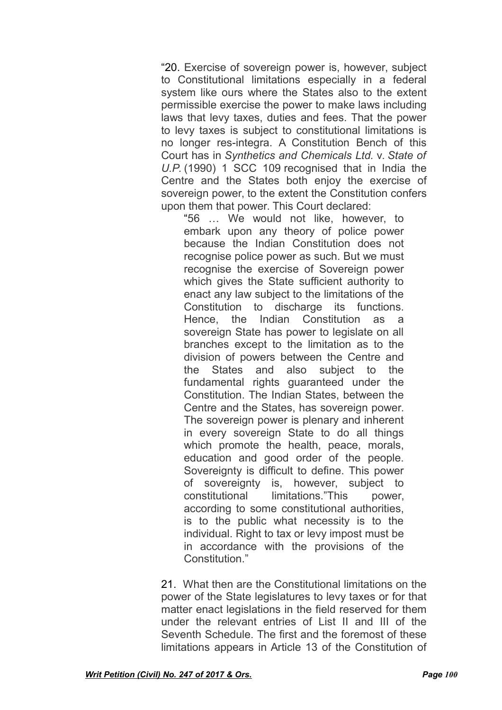"20. Exercise of sovereign power is, however, subject to Constitutional limitations especially in a federal system like ours where the States also to the extent permissible exercise the power to make laws including laws that levy taxes, duties and fees. That the power to levy taxes is subject to constitutional limitations is no longer res-integra. A Constitution Bench of this Court has in *Synthetics and Chemicals Ltd.* v. *State of U.P.* (1990) 1 SCC 109 recognised that in India the Centre and the States both enjoy the exercise of sovereign power, to the extent the Constitution confers upon them that power. This Court declared:

"56 … We would not like, however, to embark upon any theory of police power because the Indian Constitution does not recognise police power as such. But we must recognise the exercise of Sovereign power which gives the State sufficient authority to enact any law subject to the limitations of the Constitution to discharge its functions. Hence, the Indian Constitution as sovereign State has power to legislate on all branches except to the limitation as to the division of powers between the Centre and the States and also subject to the fundamental rights guaranteed under the Constitution. The Indian States, between the Centre and the States, has sovereign power. The sovereign power is plenary and inherent in every sovereign State to do all things which promote the health, peace, morals, education and good order of the people. Sovereignty is difficult to define. This power of sovereignty is, however, subject to constitutional limitations."This power, according to some constitutional authorities, is to the public what necessity is to the individual. Right to tax or levy impost must be in accordance with the provisions of the Constitution."

21. What then are the Constitutional limitations on the power of the State legislatures to levy taxes or for that matter enact legislations in the field reserved for them under the relevant entries of List II and III of the Seventh Schedule. The first and the foremost of these limitations appears in Article 13 of the Constitution of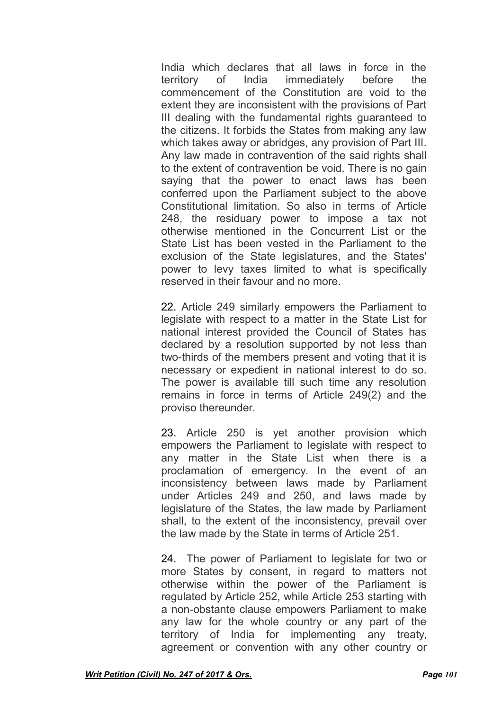India which declares that all laws in force in the territory of India immediately before the commencement of the Constitution are void to the extent they are inconsistent with the provisions of Part III dealing with the fundamental rights guaranteed to the citizens. It forbids the States from making any law which takes away or abridges, any provision of Part III. Any law made in contravention of the said rights shall to the extent of contravention be void. There is no gain saying that the power to enact laws has been conferred upon the Parliament subject to the above Constitutional limitation. So also in terms of Article 248, the residuary power to impose a tax not otherwise mentioned in the Concurrent List or the State List has been vested in the Parliament to the exclusion of the State legislatures, and the States' power to levy taxes limited to what is specifically reserved in their favour and no more.

22. Article 249 similarly empowers the Parliament to legislate with respect to a matter in the State List for national interest provided the Council of States has declared by a resolution supported by not less than two-thirds of the members present and voting that it is necessary or expedient in national interest to do so. The power is available till such time any resolution remains in force in terms of Article 249(2) and the proviso thereunder.

23. Article 250 is yet another provision which empowers the Parliament to legislate with respect to any matter in the State List when there is a proclamation of emergency. In the event of an inconsistency between laws made by Parliament under Articles 249 and 250, and laws made by legislature of the States, the law made by Parliament shall, to the extent of the inconsistency, prevail over the law made by the State in terms of Article 251.

24. The power of Parliament to legislate for two or more States by consent, in regard to matters not otherwise within the power of the Parliament is regulated by Article 252, while Article 253 starting with a non-obstante clause empowers Parliament to make any law for the whole country or any part of the territory of India for implementing any treaty, agreement or convention with any other country or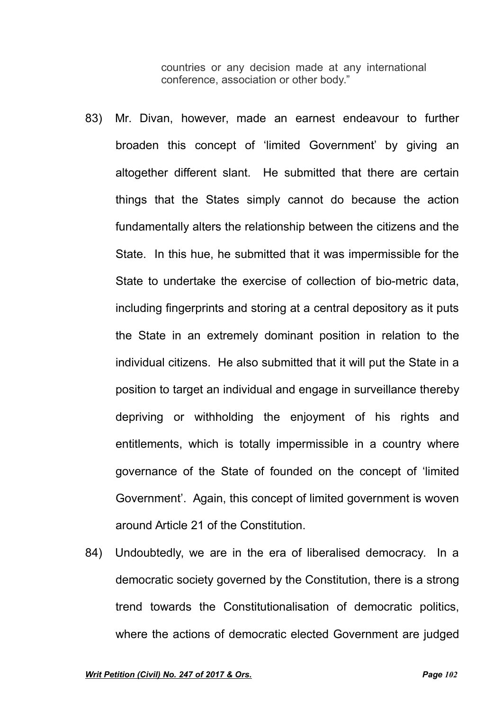countries or any decision made at any international conference, association or other body."

- 83) Mr. Divan, however, made an earnest endeavour to further broaden this concept of 'limited Government' by giving an altogether different slant. He submitted that there are certain things that the States simply cannot do because the action fundamentally alters the relationship between the citizens and the State. In this hue, he submitted that it was impermissible for the State to undertake the exercise of collection of bio-metric data, including fingerprints and storing at a central depository as it puts the State in an extremely dominant position in relation to the individual citizens. He also submitted that it will put the State in a position to target an individual and engage in surveillance thereby depriving or withholding the enjoyment of his rights and entitlements, which is totally impermissible in a country where governance of the State of founded on the concept of 'limited Government'. Again, this concept of limited government is woven around Article 21 of the Constitution.
- 84) Undoubtedly, we are in the era of liberalised democracy. In a democratic society governed by the Constitution, there is a strong trend towards the Constitutionalisation of democratic politics, where the actions of democratic elected Government are judged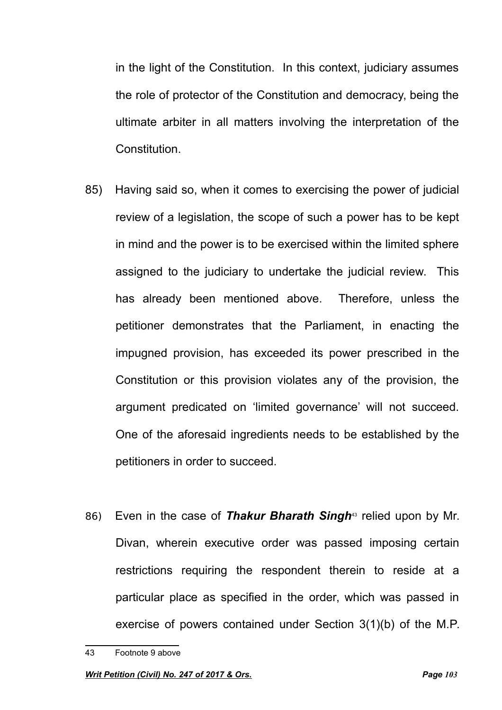in the light of the Constitution. In this context, judiciary assumes the role of protector of the Constitution and democracy, being the ultimate arbiter in all matters involving the interpretation of the **Constitution** 

- 85) Having said so, when it comes to exercising the power of judicial review of a legislation, the scope of such a power has to be kept in mind and the power is to be exercised within the limited sphere assigned to the judiciary to undertake the judicial review. This has already been mentioned above. Therefore, unless the petitioner demonstrates that the Parliament, in enacting the impugned provision, has exceeded its power prescribed in the Constitution or this provision violates any of the provision, the argument predicated on 'limited governance' will not succeed. One of the aforesaid ingredients needs to be established by the petitioners in order to succeed.
- 86) Even in the case of *Thakur Bharath Singh*[43](#page-102-0) relied upon by Mr. Divan, wherein executive order was passed imposing certain restrictions requiring the respondent therein to reside at a particular place as specified in the order, which was passed in exercise of powers contained under Section 3(1)(b) of the M.P.

<span id="page-102-0"></span><sup>43</sup> Footnote 9 above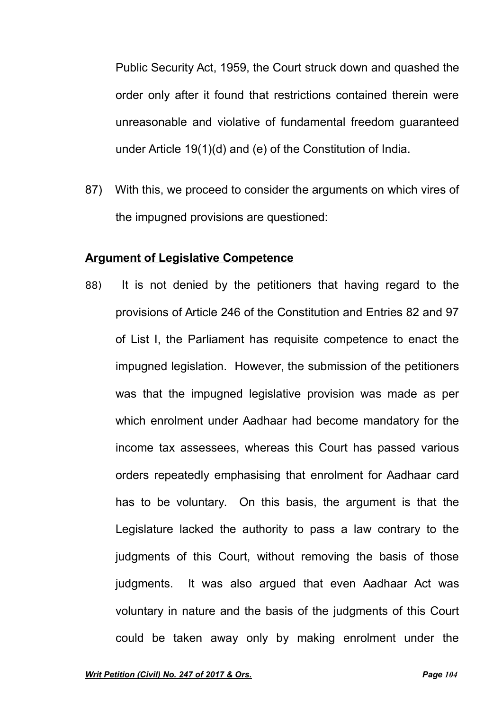Public Security Act, 1959, the Court struck down and quashed the order only after it found that restrictions contained therein were unreasonable and violative of fundamental freedom guaranteed under Article 19(1)(d) and (e) of the Constitution of India.

87) With this, we proceed to consider the arguments on which vires of the impugned provisions are questioned:

## **Argument of Legislative Competence**

88) It is not denied by the petitioners that having regard to the provisions of Article 246 of the Constitution and Entries 82 and 97 of List I, the Parliament has requisite competence to enact the impugned legislation. However, the submission of the petitioners was that the impugned legislative provision was made as per which enrolment under Aadhaar had become mandatory for the income tax assessees, whereas this Court has passed various orders repeatedly emphasising that enrolment for Aadhaar card has to be voluntary. On this basis, the argument is that the Legislature lacked the authority to pass a law contrary to the judgments of this Court, without removing the basis of those judgments. It was also argued that even Aadhaar Act was voluntary in nature and the basis of the judgments of this Court could be taken away only by making enrolment under the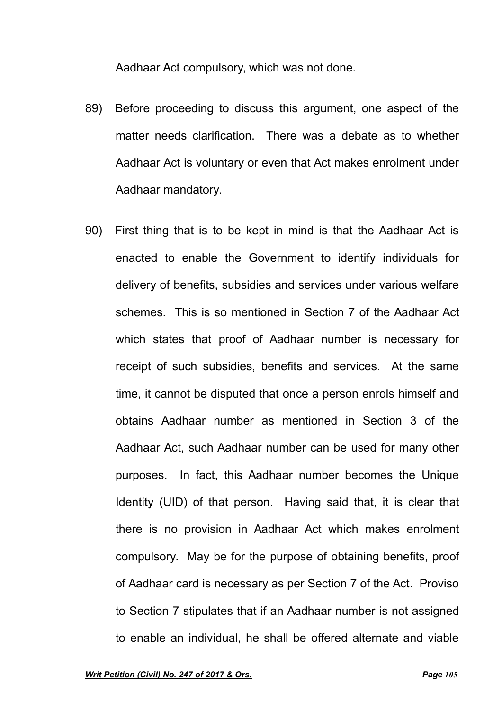Aadhaar Act compulsory, which was not done.

- 89) Before proceeding to discuss this argument, one aspect of the matter needs clarification. There was a debate as to whether Aadhaar Act is voluntary or even that Act makes enrolment under Aadhaar mandatory.
- 90) First thing that is to be kept in mind is that the Aadhaar Act is enacted to enable the Government to identify individuals for delivery of benefits, subsidies and services under various welfare schemes. This is so mentioned in Section 7 of the Aadhaar Act which states that proof of Aadhaar number is necessary for receipt of such subsidies, benefits and services. At the same time, it cannot be disputed that once a person enrols himself and obtains Aadhaar number as mentioned in Section 3 of the Aadhaar Act, such Aadhaar number can be used for many other purposes. In fact, this Aadhaar number becomes the Unique Identity (UID) of that person. Having said that, it is clear that there is no provision in Aadhaar Act which makes enrolment compulsory. May be for the purpose of obtaining benefits, proof of Aadhaar card is necessary as per Section 7 of the Act. Proviso to Section 7 stipulates that if an Aadhaar number is not assigned to enable an individual, he shall be offered alternate and viable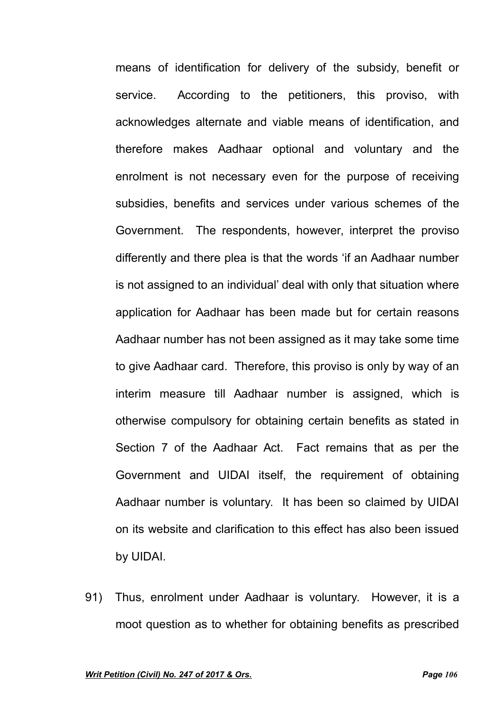means of identification for delivery of the subsidy, benefit or service. According to the petitioners, this proviso, with acknowledges alternate and viable means of identification, and therefore makes Aadhaar optional and voluntary and the enrolment is not necessary even for the purpose of receiving subsidies, benefits and services under various schemes of the Government. The respondents, however, interpret the proviso differently and there plea is that the words 'if an Aadhaar number is not assigned to an individual' deal with only that situation where application for Aadhaar has been made but for certain reasons Aadhaar number has not been assigned as it may take some time to give Aadhaar card. Therefore, this proviso is only by way of an interim measure till Aadhaar number is assigned, which is otherwise compulsory for obtaining certain benefits as stated in Section 7 of the Aadhaar Act. Fact remains that as per the Government and UIDAI itself, the requirement of obtaining Aadhaar number is voluntary. It has been so claimed by UIDAI on its website and clarification to this effect has also been issued by UIDAI.

91) Thus, enrolment under Aadhaar is voluntary. However, it is a moot question as to whether for obtaining benefits as prescribed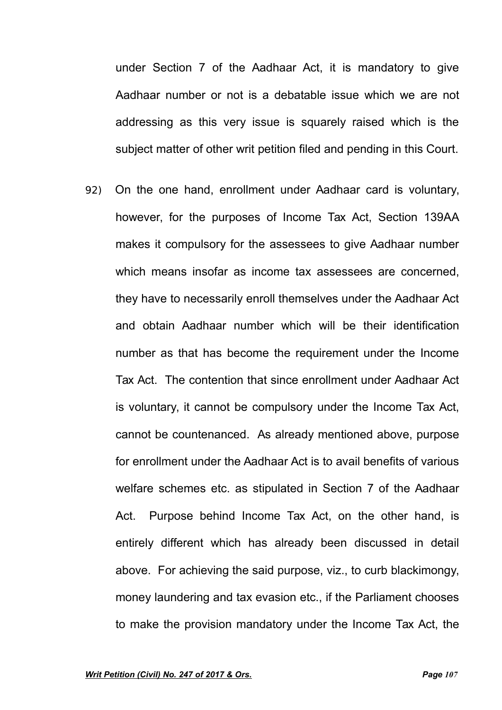under Section 7 of the Aadhaar Act, it is mandatory to give Aadhaar number or not is a debatable issue which we are not addressing as this very issue is squarely raised which is the subject matter of other writ petition filed and pending in this Court.

92) On the one hand, enrollment under Aadhaar card is voluntary, however, for the purposes of Income Tax Act, Section 139AA makes it compulsory for the assessees to give Aadhaar number which means insofar as income tax assessees are concerned, they have to necessarily enroll themselves under the Aadhaar Act and obtain Aadhaar number which will be their identification number as that has become the requirement under the Income Tax Act. The contention that since enrollment under Aadhaar Act is voluntary, it cannot be compulsory under the Income Tax Act, cannot be countenanced. As already mentioned above, purpose for enrollment under the Aadhaar Act is to avail benefits of various welfare schemes etc. as stipulated in Section 7 of the Aadhaar Act. Purpose behind Income Tax Act, on the other hand, is entirely different which has already been discussed in detail above. For achieving the said purpose, viz., to curb blackimongy, money laundering and tax evasion etc., if the Parliament chooses to make the provision mandatory under the Income Tax Act, the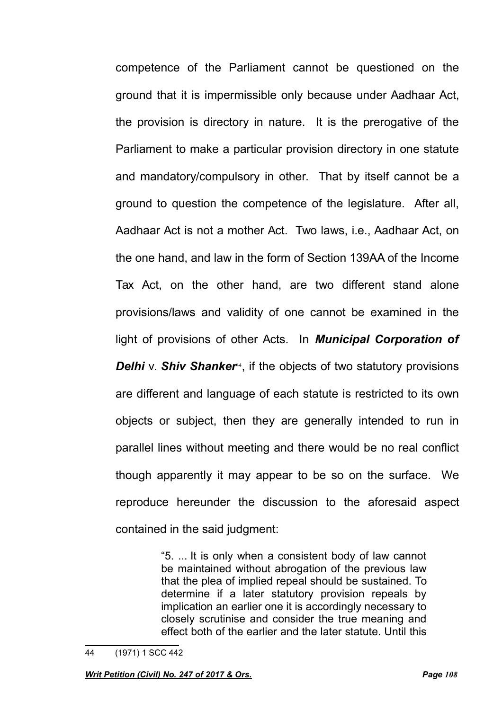competence of the Parliament cannot be questioned on the ground that it is impermissible only because under Aadhaar Act, the provision is directory in nature. It is the prerogative of the Parliament to make a particular provision directory in one statute and mandatory/compulsory in other. That by itself cannot be a ground to question the competence of the legislature. After all, Aadhaar Act is not a mother Act. Two laws, i.e., Aadhaar Act, on the one hand, and law in the form of Section 139AA of the Income Tax Act, on the other hand, are two different stand alone provisions/laws and validity of one cannot be examined in the light of provisions of other Acts. In *Municipal Corporation of Delhi* v. **Shiv Shanker<sup>[44](#page-107-0)</sup>**, if the objects of two statutory provisions are different and language of each statute is restricted to its own objects or subject, then they are generally intended to run in parallel lines without meeting and there would be no real conflict though apparently it may appear to be so on the surface. We reproduce hereunder the discussion to the aforesaid aspect contained in the said judgment:

> "5. ... It is only when a consistent body of law cannot be maintained without abrogation of the previous law that the plea of implied repeal should be sustained. To determine if a later statutory provision repeals by implication an earlier one it is accordingly necessary to closely scrutinise and consider the true meaning and effect both of the earlier and the later statute. Until this

<span id="page-107-0"></span><sup>44</sup> (1971) 1 SCC 442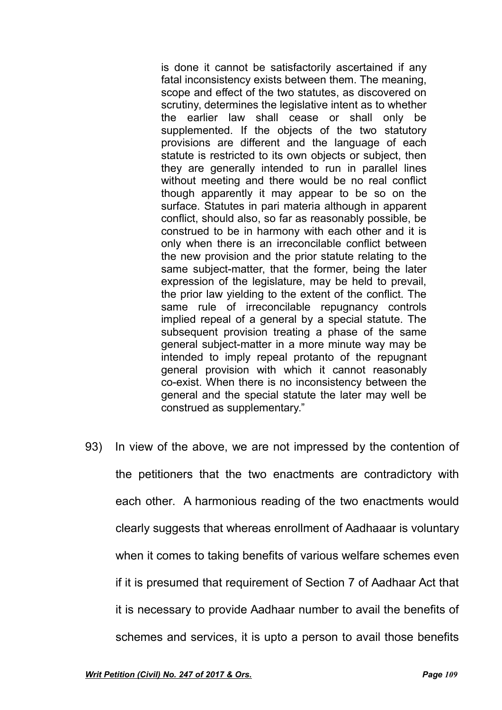is done it cannot be satisfactorily ascertained if any fatal inconsistency exists between them. The meaning, scope and effect of the two statutes, as discovered on scrutiny, determines the legislative intent as to whether the earlier law shall cease or shall only be supplemented. If the objects of the two statutory provisions are different and the language of each statute is restricted to its own objects or subject, then they are generally intended to run in parallel lines without meeting and there would be no real conflict though apparently it may appear to be so on the surface. Statutes in pari materia although in apparent conflict, should also, so far as reasonably possible, be construed to be in harmony with each other and it is only when there is an irreconcilable conflict between the new provision and the prior statute relating to the same subject-matter, that the former, being the later expression of the legislature, may be held to prevail, the prior law yielding to the extent of the conflict. The same rule of irreconcilable repugnancy controls implied repeal of a general by a special statute. The subsequent provision treating a phase of the same general subject-matter in a more minute way may be intended to imply repeal protanto of the repugnant general provision with which it cannot reasonably co-exist. When there is no inconsistency between the general and the special statute the later may well be construed as supplementary."

93) In view of the above, we are not impressed by the contention of the petitioners that the two enactments are contradictory with each other. A harmonious reading of the two enactments would clearly suggests that whereas enrollment of Aadhaaar is voluntary when it comes to taking benefits of various welfare schemes even if it is presumed that requirement of Section 7 of Aadhaar Act that it is necessary to provide Aadhaar number to avail the benefits of schemes and services, it is upto a person to avail those benefits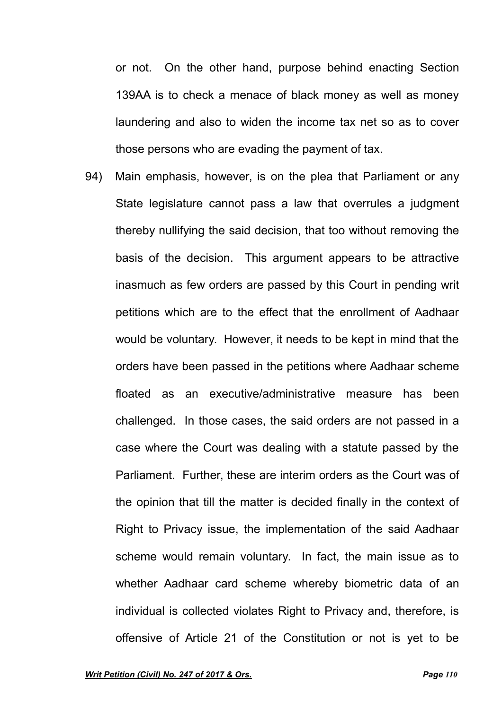or not. On the other hand, purpose behind enacting Section 139AA is to check a menace of black money as well as money laundering and also to widen the income tax net so as to cover those persons who are evading the payment of tax.

94) Main emphasis, however, is on the plea that Parliament or any State legislature cannot pass a law that overrules a judgment thereby nullifying the said decision, that too without removing the basis of the decision. This argument appears to be attractive inasmuch as few orders are passed by this Court in pending writ petitions which are to the effect that the enrollment of Aadhaar would be voluntary. However, it needs to be kept in mind that the orders have been passed in the petitions where Aadhaar scheme floated as an executive/administrative measure has been challenged. In those cases, the said orders are not passed in a case where the Court was dealing with a statute passed by the Parliament. Further, these are interim orders as the Court was of the opinion that till the matter is decided finally in the context of Right to Privacy issue, the implementation of the said Aadhaar scheme would remain voluntary. In fact, the main issue as to whether Aadhaar card scheme whereby biometric data of an individual is collected violates Right to Privacy and, therefore, is offensive of Article 21 of the Constitution or not is yet to be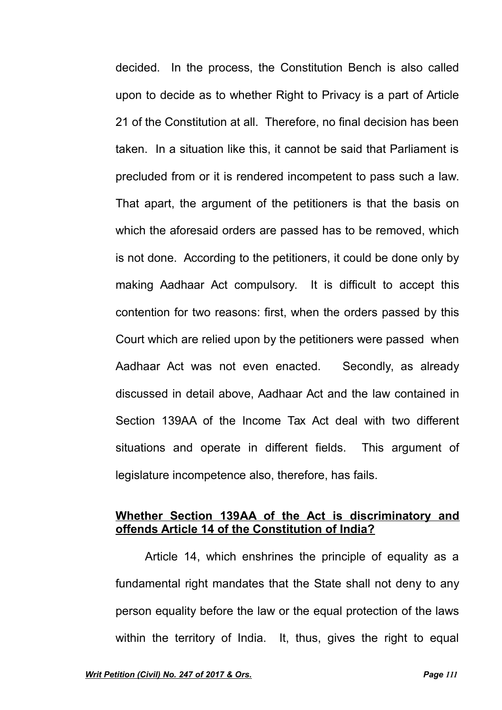decided. In the process, the Constitution Bench is also called upon to decide as to whether Right to Privacy is a part of Article 21 of the Constitution at all. Therefore, no final decision has been taken. In a situation like this, it cannot be said that Parliament is precluded from or it is rendered incompetent to pass such a law. That apart, the argument of the petitioners is that the basis on which the aforesaid orders are passed has to be removed, which is not done. According to the petitioners, it could be done only by making Aadhaar Act compulsory. It is difficult to accept this contention for two reasons: first, when the orders passed by this Court which are relied upon by the petitioners were passed when Aadhaar Act was not even enacted. Secondly, as already discussed in detail above, Aadhaar Act and the law contained in Section 139AA of the Income Tax Act deal with two different situations and operate in different fields. This argument of legislature incompetence also, therefore, has fails.

## **Whether Section 139AA of the Act is discriminatory and offends Article 14 of the Constitution of India?**

Article 14, which enshrines the principle of equality as a fundamental right mandates that the State shall not deny to any person equality before the law or the equal protection of the laws within the territory of India. It, thus, gives the right to equal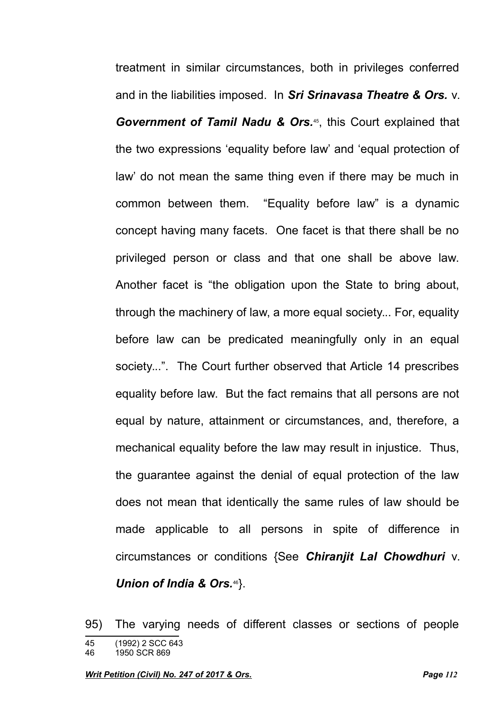treatment in similar circumstances, both in privileges conferred and in the liabilities imposed. In *Sri Srinavasa Theatre & Ors.* v. *Government of Tamil Nadu & Ors.*[45](#page-111-0), this Court explained that the two expressions 'equality before law' and 'equal protection of law' do not mean the same thing even if there may be much in common between them. "Equality before law" is a dynamic concept having many facets. One facet is that there shall be no privileged person or class and that one shall be above law. Another facet is "the obligation upon the State to bring about, through the machinery of law, a more equal society... For, equality before law can be predicated meaningfully only in an equal society...". The Court further observed that Article 14 prescribes equality before law. But the fact remains that all persons are not equal by nature, attainment or circumstances, and, therefore, a mechanical equality before the law may result in injustice. Thus, the guarantee against the denial of equal protection of the law does not mean that identically the same rules of law should be made applicable to all persons in spite of difference in circumstances or conditions {See *Chiranjit Lal Chowdhuri* v. *Union of India & Ors.*[46](#page-111-1)}.

<sup>95)</sup> The varying needs of different classes or sections of people

<span id="page-111-0"></span><sup>45</sup> (1992) 2 SCC 643

<span id="page-111-1"></span><sup>46</sup> 1950 SCR 869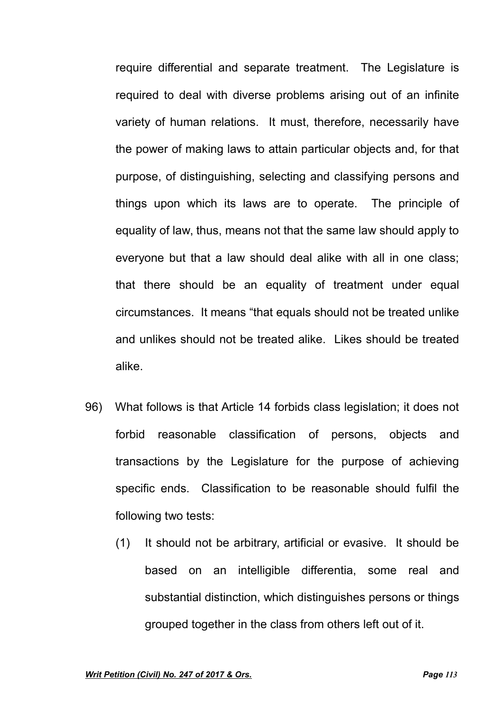require differential and separate treatment. The Legislature is required to deal with diverse problems arising out of an infinite variety of human relations. It must, therefore, necessarily have the power of making laws to attain particular objects and, for that purpose, of distinguishing, selecting and classifying persons and things upon which its laws are to operate. The principle of equality of law, thus, means not that the same law should apply to everyone but that a law should deal alike with all in one class; that there should be an equality of treatment under equal circumstances. It means "that equals should not be treated unlike and unlikes should not be treated alike. Likes should be treated alike.

- 96) What follows is that Article 14 forbids class legislation; it does not forbid reasonable classification of persons, objects and transactions by the Legislature for the purpose of achieving specific ends. Classification to be reasonable should fulfil the following two tests:
	- (1) It should not be arbitrary, artificial or evasive. It should be based on an intelligible differentia, some real and substantial distinction, which distinguishes persons or things grouped together in the class from others left out of it.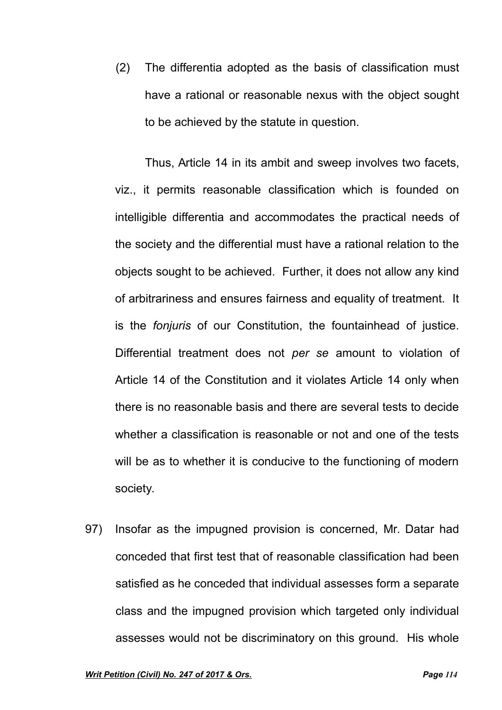(2) The differentia adopted as the basis of classification must have a rational or reasonable nexus with the object sought to be achieved by the statute in question.

Thus, Article 14 in its ambit and sweep involves two facets, viz., it permits reasonable classification which is founded on intelligible differentia and accommodates the practical needs of the society and the differential must have a rational relation to the objects sought to be achieved. Further, it does not allow any kind of arbitrariness and ensures fairness and equality of treatment. It is the *fonjuris* of our Constitution, the fountainhead of justice. Differential treatment does not *per se* amount to violation of Article 14 of the Constitution and it violates Article 14 only when there is no reasonable basis and there are several tests to decide whether a classification is reasonable or not and one of the tests will be as to whether it is conducive to the functioning of modern society.

97) Insofar as the impugned provision is concerned, Mr. Datar had conceded that first test that of reasonable classification had been satisfied as he conceded that individual assesses form a separate class and the impugned provision which targeted only individual assesses would not be discriminatory on this ground. His whole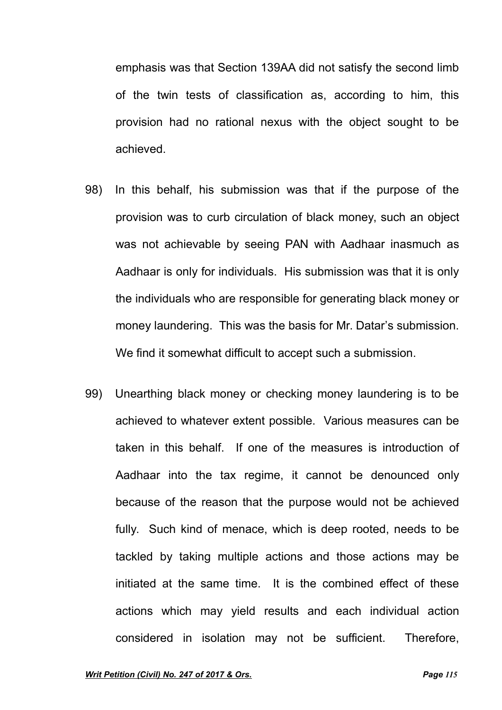emphasis was that Section 139AA did not satisfy the second limb of the twin tests of classification as, according to him, this provision had no rational nexus with the object sought to be achieved.

- 98) In this behalf, his submission was that if the purpose of the provision was to curb circulation of black money, such an object was not achievable by seeing PAN with Aadhaar inasmuch as Aadhaar is only for individuals. His submission was that it is only the individuals who are responsible for generating black money or money laundering. This was the basis for Mr. Datar's submission. We find it somewhat difficult to accept such a submission.
- 99) Unearthing black money or checking money laundering is to be achieved to whatever extent possible. Various measures can be taken in this behalf. If one of the measures is introduction of Aadhaar into the tax regime, it cannot be denounced only because of the reason that the purpose would not be achieved fully. Such kind of menace, which is deep rooted, needs to be tackled by taking multiple actions and those actions may be initiated at the same time. It is the combined effect of these actions which may yield results and each individual action considered in isolation may not be sufficient. Therefore,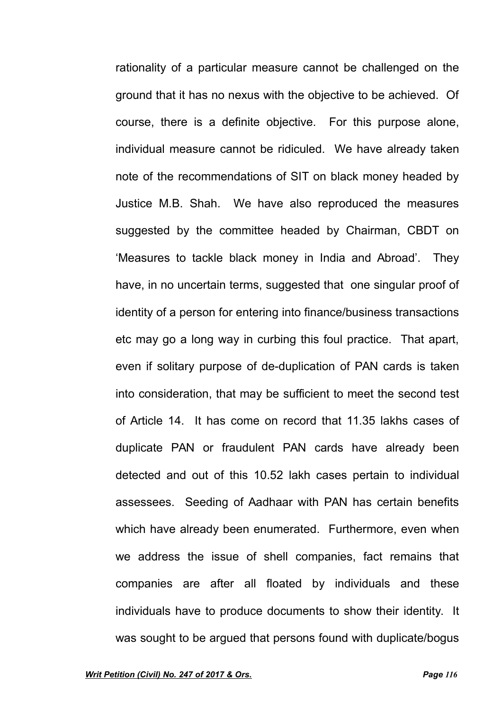rationality of a particular measure cannot be challenged on the ground that it has no nexus with the objective to be achieved. Of course, there is a definite objective. For this purpose alone, individual measure cannot be ridiculed. We have already taken note of the recommendations of SIT on black money headed by Justice M.B. Shah. We have also reproduced the measures suggested by the committee headed by Chairman, CBDT on 'Measures to tackle black money in India and Abroad'. They have, in no uncertain terms, suggested that one singular proof of identity of a person for entering into finance/business transactions etc may go a long way in curbing this foul practice. That apart, even if solitary purpose of de-duplication of PAN cards is taken into consideration, that may be sufficient to meet the second test of Article 14. It has come on record that 11.35 lakhs cases of duplicate PAN or fraudulent PAN cards have already been detected and out of this 10.52 lakh cases pertain to individual assessees. Seeding of Aadhaar with PAN has certain benefits which have already been enumerated. Furthermore, even when we address the issue of shell companies, fact remains that companies are after all floated by individuals and these individuals have to produce documents to show their identity. It was sought to be argued that persons found with duplicate/bogus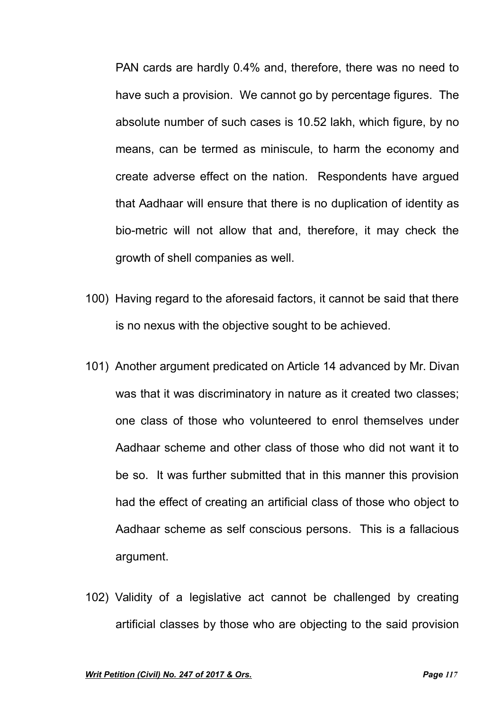PAN cards are hardly 0.4% and, therefore, there was no need to have such a provision. We cannot go by percentage figures. The absolute number of such cases is 10.52 lakh, which figure, by no means, can be termed as miniscule, to harm the economy and create adverse effect on the nation. Respondents have argued that Aadhaar will ensure that there is no duplication of identity as bio-metric will not allow that and, therefore, it may check the growth of shell companies as well.

- 100) Having regard to the aforesaid factors, it cannot be said that there is no nexus with the objective sought to be achieved.
- 101) Another argument predicated on Article 14 advanced by Mr. Divan was that it was discriminatory in nature as it created two classes; one class of those who volunteered to enrol themselves under Aadhaar scheme and other class of those who did not want it to be so. It was further submitted that in this manner this provision had the effect of creating an artificial class of those who object to Aadhaar scheme as self conscious persons. This is a fallacious argument.
- 102) Validity of a legislative act cannot be challenged by creating artificial classes by those who are objecting to the said provision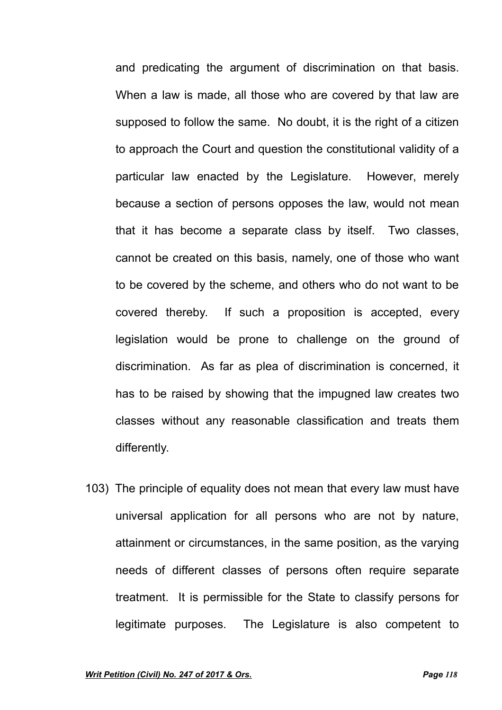and predicating the argument of discrimination on that basis. When a law is made, all those who are covered by that law are supposed to follow the same. No doubt, it is the right of a citizen to approach the Court and question the constitutional validity of a particular law enacted by the Legislature. However, merely because a section of persons opposes the law, would not mean that it has become a separate class by itself. Two classes, cannot be created on this basis, namely, one of those who want to be covered by the scheme, and others who do not want to be covered thereby. If such a proposition is accepted, every legislation would be prone to challenge on the ground of discrimination. As far as plea of discrimination is concerned, it has to be raised by showing that the impugned law creates two classes without any reasonable classification and treats them differently.

103) The principle of equality does not mean that every law must have universal application for all persons who are not by nature, attainment or circumstances, in the same position, as the varying needs of different classes of persons often require separate treatment. It is permissible for the State to classify persons for legitimate purposes. The Legislature is also competent to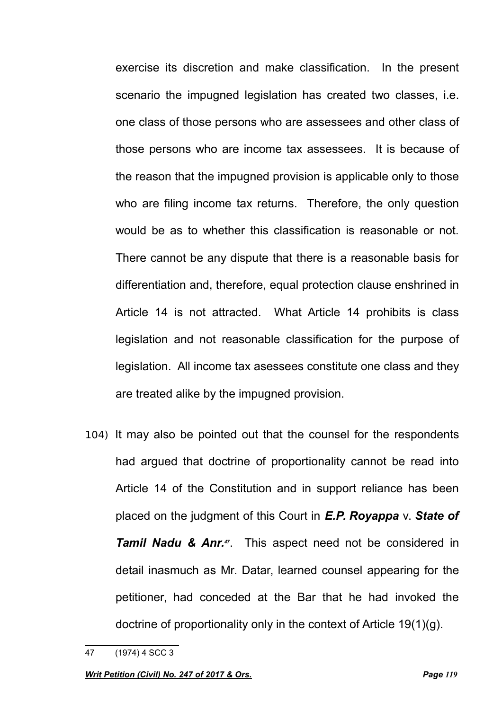exercise its discretion and make classification. In the present scenario the impugned legislation has created two classes, i.e. one class of those persons who are assessees and other class of those persons who are income tax assessees. It is because of the reason that the impugned provision is applicable only to those who are filing income tax returns. Therefore, the only question would be as to whether this classification is reasonable or not. There cannot be any dispute that there is a reasonable basis for differentiation and, therefore, equal protection clause enshrined in Article 14 is not attracted. What Article 14 prohibits is class legislation and not reasonable classification for the purpose of legislation. All income tax asessees constitute one class and they are treated alike by the impugned provision.

104) It may also be pointed out that the counsel for the respondents had argued that doctrine of proportionality cannot be read into Article 14 of the Constitution and in support reliance has been placed on the judgment of this Court in *E.P. Royappa* v. *State of Tamil Nadu & Anr.[47](#page-118-0)*. This aspect need not be considered in detail inasmuch as Mr. Datar, learned counsel appearing for the petitioner, had conceded at the Bar that he had invoked the doctrine of proportionality only in the context of Article 19(1)(g).

<span id="page-118-0"></span><sup>47</sup> (1974) 4 SCC 3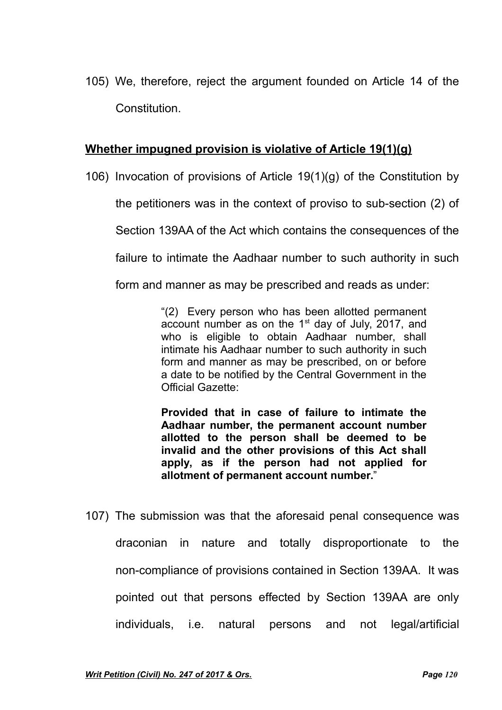105) We, therefore, reject the argument founded on Article 14 of the Constitution.

## **Whether impugned provision is violative of Article 19(1)(g)**

106) Invocation of provisions of Article 19(1)(g) of the Constitution by

the petitioners was in the context of proviso to sub-section (2) of

Section 139AA of the Act which contains the consequences of the

failure to intimate the Aadhaar number to such authority in such

form and manner as may be prescribed and reads as under:

"(2) Every person who has been allotted permanent account number as on the  $1<sup>st</sup>$  day of July, 2017, and who is eligible to obtain Aadhaar number, shall intimate his Aadhaar number to such authority in such form and manner as may be prescribed, on or before a date to be notified by the Central Government in the Official Gazette:

**Provided that in case of failure to intimate the Aadhaar number, the permanent account number allotted to the person shall be deemed to be invalid and the other provisions of this Act shall apply, as if the person had not applied for allotment of permanent account number.**"

107) The submission was that the aforesaid penal consequence was draconian in nature and totally disproportionate to the non-compliance of provisions contained in Section 139AA. It was pointed out that persons effected by Section 139AA are only individuals, i.e. natural persons and not legal/artificial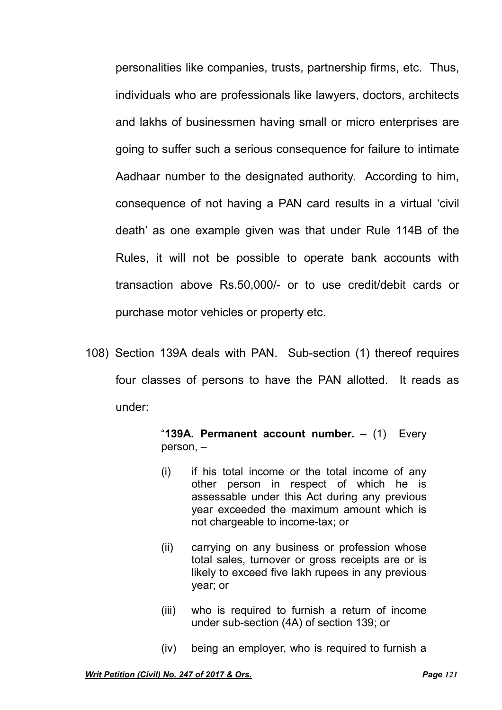personalities like companies, trusts, partnership firms, etc. Thus, individuals who are professionals like lawyers, doctors, architects and lakhs of businessmen having small or micro enterprises are going to suffer such a serious consequence for failure to intimate Aadhaar number to the designated authority. According to him, consequence of not having a PAN card results in a virtual 'civil death' as one example given was that under Rule 114B of the Rules, it will not be possible to operate bank accounts with transaction above Rs.50,000/- or to use credit/debit cards or purchase motor vehicles or property etc.

108) Section 139A deals with PAN. Sub-section (1) thereof requires four classes of persons to have the PAN allotted. It reads as under:

> "**139A. Permanent account number. –** (1) Every person, –

- (i) if his total income or the total income of any other person in respect of which he is assessable under this Act during any previous year exceeded the maximum amount which is not chargeable to income-tax; or
- (ii) carrying on any business or profession whose total sales, turnover or gross receipts are or is likely to exceed five lakh rupees in any previous year; or
- (iii) who is required to furnish a return of income under sub-section (4A) of section 139; or
- (iv) being an employer, who is required to furnish a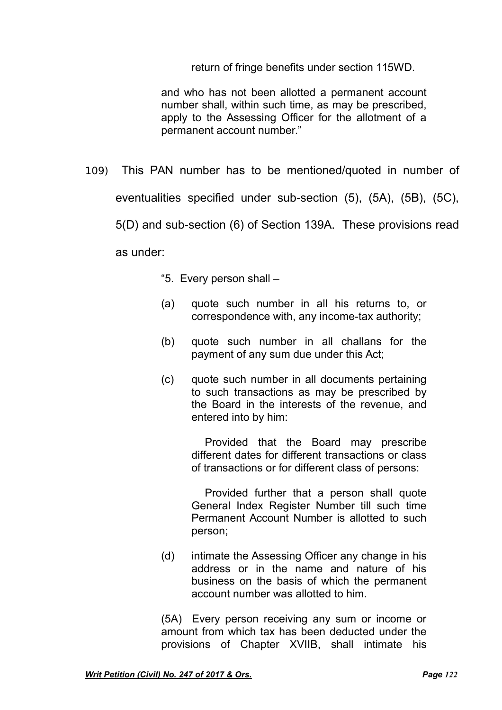return of fringe benefits under section 115WD.

and who has not been allotted a permanent account number shall, within such time, as may be prescribed, apply to the Assessing Officer for the allotment of a permanent account number."

- 109) This PAN number has to be mentioned/quoted in number of eventualities specified under sub-section (5), (5A), (5B), (5C), 5(D) and sub-section (6) of Section 139A. These provisions read as under:
	- "5. Every person shall –
	- (a) quote such number in all his returns to, or correspondence with, any income-tax authority;
	- (b) quote such number in all challans for the payment of any sum due under this Act;
	- (c) quote such number in all documents pertaining to such transactions as may be prescribed by the Board in the interests of the revenue, and entered into by him:

Provided that the Board may prescribe different dates for different transactions or class of transactions or for different class of persons:

Provided further that a person shall quote General Index Register Number till such time Permanent Account Number is allotted to such person;

(d) intimate the Assessing Officer any change in his address or in the name and nature of his business on the basis of which the permanent account number was allotted to him.

(5A) Every person receiving any sum or income or amount from which tax has been deducted under the provisions of Chapter XVIIB, shall intimate his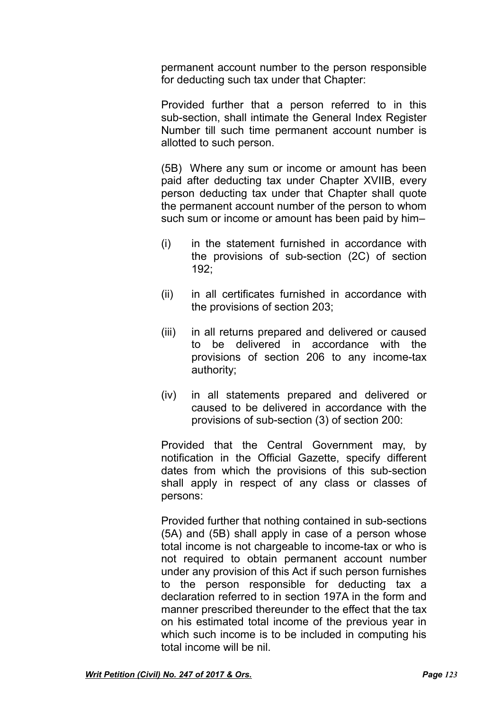permanent account number to the person responsible for deducting such tax under that Chapter:

Provided further that a person referred to in this sub-section, shall intimate the General Index Register Number till such time permanent account number is allotted to such person.

(5B) Where any sum or income or amount has been paid after deducting tax under Chapter XVIIB, every person deducting tax under that Chapter shall quote the permanent account number of the person to whom such sum or income or amount has been paid by him–

- (i) in the statement furnished in accordance with the provisions of sub-section (2C) of section 192;
- (ii) in all certificates furnished in accordance with the provisions of section 203;
- (iii) in all returns prepared and delivered or caused to be delivered in accordance with the provisions of section 206 to any income-tax authority;
- (iv) in all statements prepared and delivered or caused to be delivered in accordance with the provisions of sub-section (3) of section 200:

Provided that the Central Government may, by notification in the Official Gazette, specify different dates from which the provisions of this sub-section shall apply in respect of any class or classes of persons:

Provided further that nothing contained in sub-sections (5A) and (5B) shall apply in case of a person whose total income is not chargeable to income-tax or who is not required to obtain permanent account number under any provision of this Act if such person furnishes to the person responsible for deducting tax a declaration referred to in section 197A in the form and manner prescribed thereunder to the effect that the tax on his estimated total income of the previous year in which such income is to be included in computing his total income will be nil.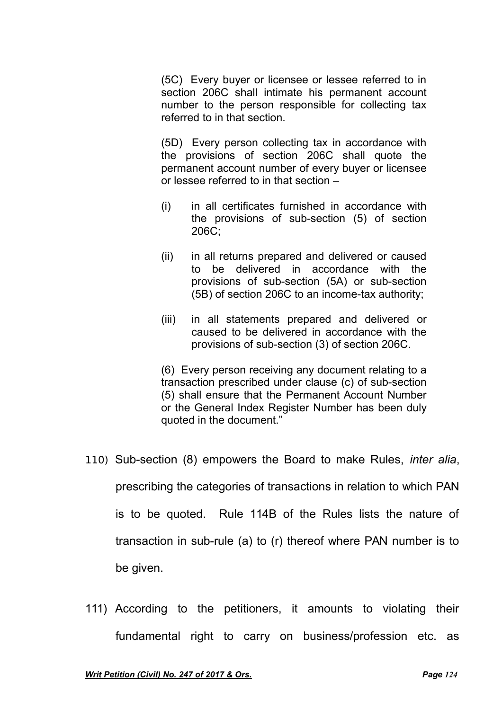(5C) Every buyer or licensee or lessee referred to in section 206C shall intimate his permanent account number to the person responsible for collecting tax referred to in that section.

(5D) Every person collecting tax in accordance with the provisions of section 206C shall quote the permanent account number of every buyer or licensee or lessee referred to in that section –

- (i) in all certificates furnished in accordance with the provisions of sub-section (5) of section 206C;
- (ii) in all returns prepared and delivered or caused to be delivered in accordance with the provisions of sub-section (5A) or sub-section (5B) of section 206C to an income-tax authority;
- (iii) in all statements prepared and delivered or caused to be delivered in accordance with the provisions of sub-section (3) of section 206C.

(6) Every person receiving any document relating to a transaction prescribed under clause (c) of sub-section (5) shall ensure that the Permanent Account Number or the General Index Register Number has been duly quoted in the document."

- 110) Sub-section (8) empowers the Board to make Rules, *inter alia*, prescribing the categories of transactions in relation to which PAN is to be quoted. Rule 114B of the Rules lists the nature of transaction in sub-rule (a) to (r) thereof where PAN number is to be given.
- 111) According to the petitioners, it amounts to violating their fundamental right to carry on business/profession etc. as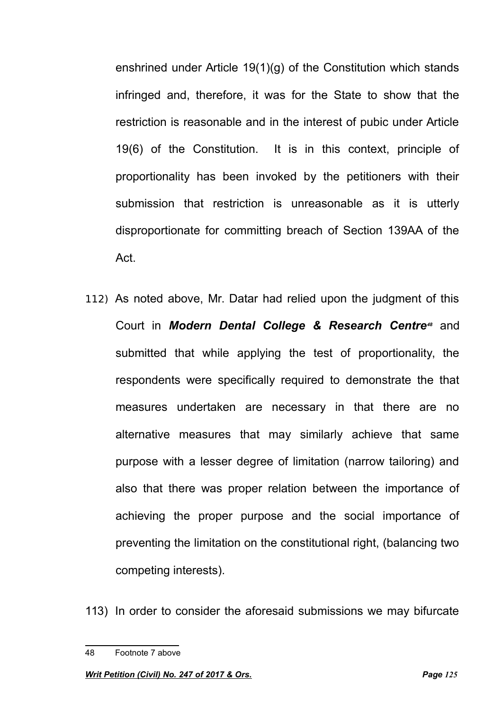enshrined under Article 19(1)(g) of the Constitution which stands infringed and, therefore, it was for the State to show that the restriction is reasonable and in the interest of pubic under Article 19(6) of the Constitution. It is in this context, principle of proportionality has been invoked by the petitioners with their submission that restriction is unreasonable as it is utterly disproportionate for committing breach of Section 139AA of the Act.

- 112) As noted above, Mr. Datar had relied upon the judgment of this Court in *Modern Dental College & Research Centre[48](#page-124-0)* and submitted that while applying the test of proportionality, the respondents were specifically required to demonstrate the that measures undertaken are necessary in that there are no alternative measures that may similarly achieve that same purpose with a lesser degree of limitation (narrow tailoring) and also that there was proper relation between the importance of achieving the proper purpose and the social importance of preventing the limitation on the constitutional right, (balancing two competing interests).
- 113) In order to consider the aforesaid submissions we may bifurcate

<span id="page-124-0"></span><sup>48</sup> Footnote 7 above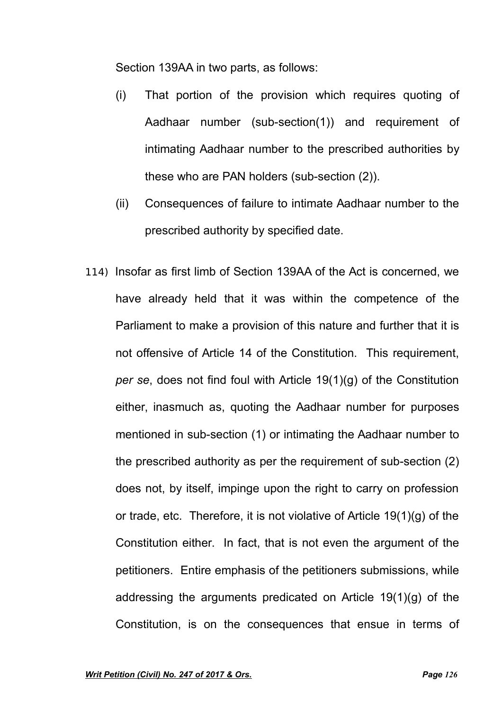Section 139AA in two parts, as follows:

- (i) That portion of the provision which requires quoting of Aadhaar number (sub-section(1)) and requirement of intimating Aadhaar number to the prescribed authorities by these who are PAN holders (sub-section (2)).
- (ii) Consequences of failure to intimate Aadhaar number to the prescribed authority by specified date.
- 114) Insofar as first limb of Section 139AA of the Act is concerned, we have already held that it was within the competence of the Parliament to make a provision of this nature and further that it is not offensive of Article 14 of the Constitution. This requirement, *per se*, does not find foul with Article 19(1)(g) of the Constitution either, inasmuch as, quoting the Aadhaar number for purposes mentioned in sub-section (1) or intimating the Aadhaar number to the prescribed authority as per the requirement of sub-section (2) does not, by itself, impinge upon the right to carry on profession or trade, etc. Therefore, it is not violative of Article 19(1)(g) of the Constitution either. In fact, that is not even the argument of the petitioners. Entire emphasis of the petitioners submissions, while addressing the arguments predicated on Article 19(1)(g) of the Constitution, is on the consequences that ensue in terms of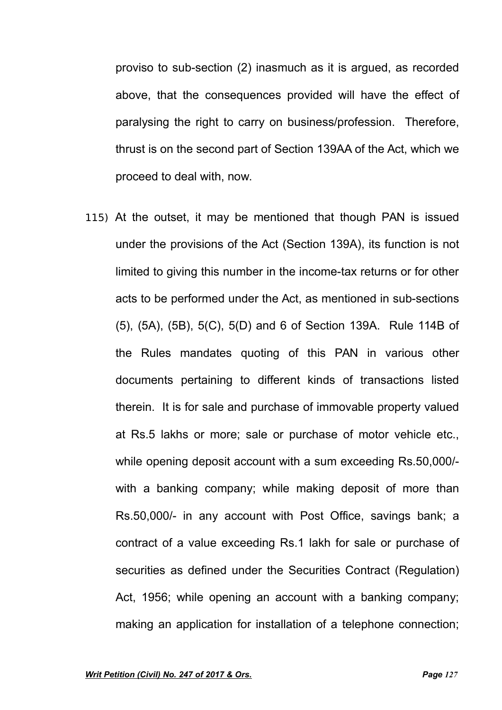proviso to sub-section (2) inasmuch as it is argued, as recorded above, that the consequences provided will have the effect of paralysing the right to carry on business/profession. Therefore, thrust is on the second part of Section 139AA of the Act, which we proceed to deal with, now.

115) At the outset, it may be mentioned that though PAN is issued under the provisions of the Act (Section 139A), its function is not limited to giving this number in the income-tax returns or for other acts to be performed under the Act, as mentioned in sub-sections (5), (5A), (5B), 5(C), 5(D) and 6 of Section 139A. Rule 114B of the Rules mandates quoting of this PAN in various other documents pertaining to different kinds of transactions listed therein. It is for sale and purchase of immovable property valued at Rs.5 lakhs or more; sale or purchase of motor vehicle etc., while opening deposit account with a sum exceeding Rs.50,000/ with a banking company; while making deposit of more than Rs.50,000/- in any account with Post Office, savings bank; a contract of a value exceeding Rs.1 lakh for sale or purchase of securities as defined under the Securities Contract (Regulation) Act, 1956; while opening an account with a banking company; making an application for installation of a telephone connection;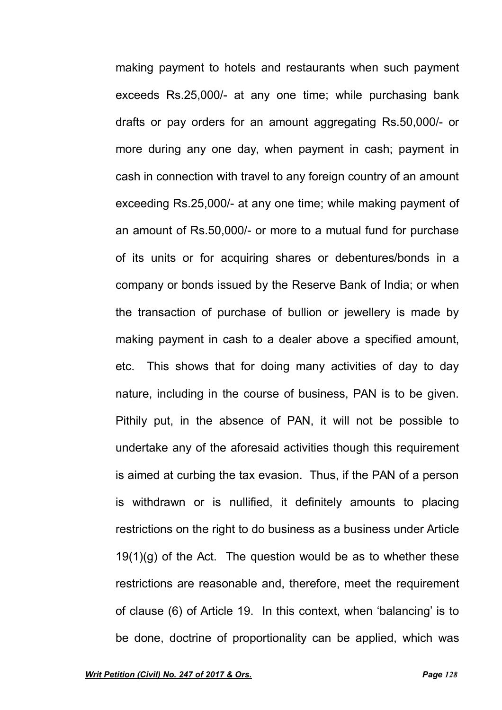making payment to hotels and restaurants when such payment exceeds Rs.25,000/- at any one time; while purchasing bank drafts or pay orders for an amount aggregating Rs.50,000/- or more during any one day, when payment in cash; payment in cash in connection with travel to any foreign country of an amount exceeding Rs.25,000/- at any one time; while making payment of an amount of Rs.50,000/- or more to a mutual fund for purchase of its units or for acquiring shares or debentures/bonds in a company or bonds issued by the Reserve Bank of India; or when the transaction of purchase of bullion or jewellery is made by making payment in cash to a dealer above a specified amount, etc. This shows that for doing many activities of day to day nature, including in the course of business, PAN is to be given. Pithily put, in the absence of PAN, it will not be possible to undertake any of the aforesaid activities though this requirement is aimed at curbing the tax evasion. Thus, if the PAN of a person is withdrawn or is nullified, it definitely amounts to placing restrictions on the right to do business as a business under Article  $19(1)(g)$  of the Act. The question would be as to whether these restrictions are reasonable and, therefore, meet the requirement of clause (6) of Article 19. In this context, when 'balancing' is to be done, doctrine of proportionality can be applied, which was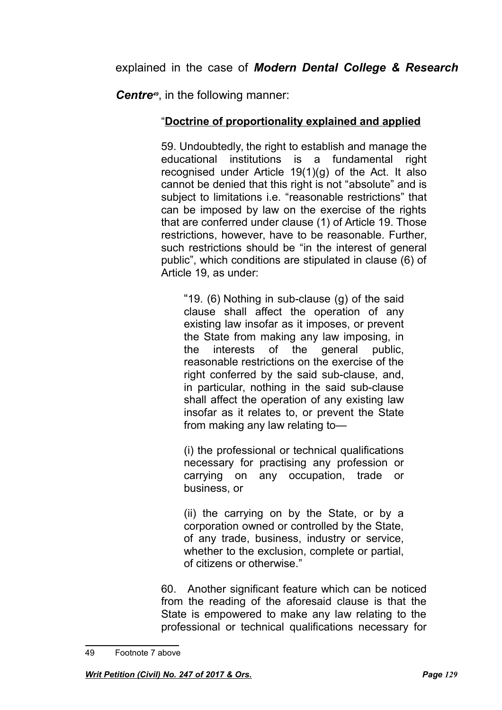explained in the case of *Modern Dental College & Research*

*Centre[49](#page-128-0)*, in the following manner:

## "**Doctrine of proportionality explained and applied**

59. Undoubtedly, the right to establish and manage the educational institutions is a fundamental right recognised under Article 19(1)(g) of the Act. It also cannot be denied that this right is not "absolute" and is subject to limitations i.e. "reasonable restrictions" that can be imposed by law on the exercise of the rights that are conferred under clause (1) of Article 19. Those restrictions, however, have to be reasonable. Further, such restrictions should be "in the interest of general public", which conditions are stipulated in clause (6) of Article 19, as under:

"19. (6) Nothing in sub-clause (g) of the said clause shall affect the operation of any existing law insofar as it imposes, or prevent the State from making any law imposing, in the interests of the general public, reasonable restrictions on the exercise of the right conferred by the said sub-clause, and, in particular, nothing in the said sub-clause shall affect the operation of any existing law insofar as it relates to, or prevent the State from making any law relating to—

(i) the professional or technical qualifications necessary for practising any profession or carrying on any occupation, trade or business, or

(ii) the carrying on by the State, or by a corporation owned or controlled by the State, of any trade, business, industry or service, whether to the exclusion, complete or partial, of citizens or otherwise."

60. Another significant feature which can be noticed from the reading of the aforesaid clause is that the State is empowered to make any law relating to the professional or technical qualifications necessary for

<span id="page-128-0"></span><sup>49</sup> Footnote 7 above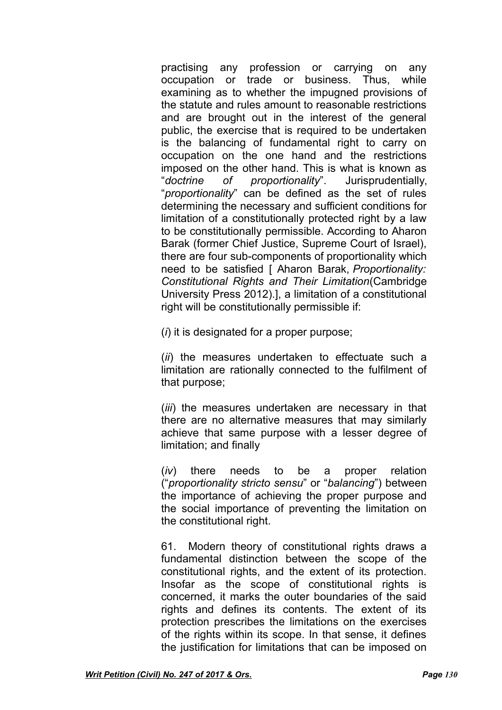practising any profession or carrying on any occupation or trade or business. Thus, while examining as to whether the impugned provisions of the statute and rules amount to reasonable restrictions and are brought out in the interest of the general public, the exercise that is required to be undertaken is the balancing of fundamental right to carry on occupation on the one hand and the restrictions imposed on the other hand. This is what is known as "*doctrine of proportionality*". Jurisprudentially, "*proportionality*" can be defined as the set of rules determining the necessary and sufficient conditions for limitation of a constitutionally protected right by a law to be constitutionally permissible. According to Aharon Barak (former Chief Justice, Supreme Court of Israel), there are four sub-components of proportionality which need to be satisfied [ Aharon Barak, *Proportionality: Constitutional Rights and Their Limitation*(Cambridge University Press 2012).], a limitation of a constitutional right will be constitutionally permissible if:

(*i*) it is designated for a proper purpose;

(*ii*) the measures undertaken to effectuate such a limitation are rationally connected to the fulfilment of that purpose;

(*iii*) the measures undertaken are necessary in that there are no alternative measures that may similarly achieve that same purpose with a lesser degree of limitation; and finally

(*iv*) there needs to be a proper relation ("*proportionality stricto sensu*" or "*balancing*") between the importance of achieving the proper purpose and the social importance of preventing the limitation on the constitutional right.

61. Modern theory of constitutional rights draws a fundamental distinction between the scope of the constitutional rights, and the extent of its protection. Insofar as the scope of constitutional rights is concerned, it marks the outer boundaries of the said rights and defines its contents. The extent of its protection prescribes the limitations on the exercises of the rights within its scope. In that sense, it defines the justification for limitations that can be imposed on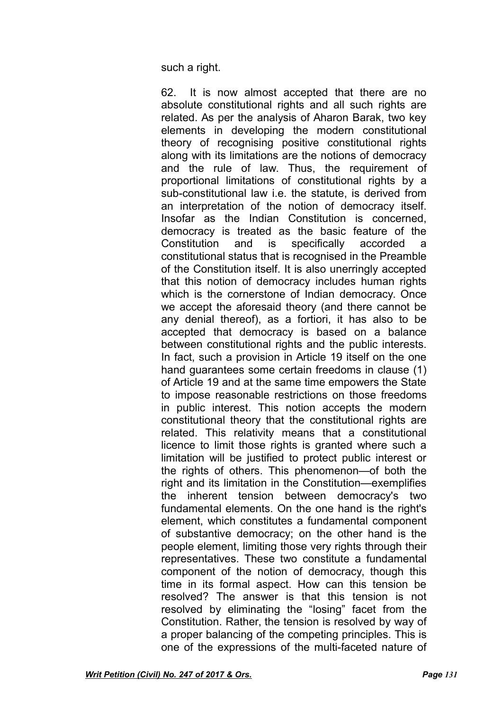such a right.

62. It is now almost accepted that there are no absolute constitutional rights and all such rights are related. As per the analysis of Aharon Barak, two key elements in developing the modern constitutional theory of recognising positive constitutional rights along with its limitations are the notions of democracy and the rule of law. Thus, the requirement of proportional limitations of constitutional rights by a sub-constitutional law i.e. the statute, is derived from an interpretation of the notion of democracy itself. Insofar as the Indian Constitution is concerned, democracy is treated as the basic feature of the Constitution and is specifically accorded a constitutional status that is recognised in the Preamble of the Constitution itself. It is also unerringly accepted that this notion of democracy includes human rights which is the cornerstone of Indian democracy. Once we accept the aforesaid theory (and there cannot be any denial thereof), as a fortiori, it has also to be accepted that democracy is based on a balance between constitutional rights and the public interests. In fact, such a provision in Article 19 itself on the one hand guarantees some certain freedoms in clause (1) of Article 19 and at the same time empowers the State to impose reasonable restrictions on those freedoms in public interest. This notion accepts the modern constitutional theory that the constitutional rights are related. This relativity means that a constitutional licence to limit those rights is granted where such a limitation will be justified to protect public interest or the rights of others. This phenomenon—of both the right and its limitation in the Constitution—exemplifies the inherent tension between democracy's two fundamental elements. On the one hand is the right's element, which constitutes a fundamental component of substantive democracy; on the other hand is the people element, limiting those very rights through their representatives. These two constitute a fundamental component of the notion of democracy, though this time in its formal aspect. How can this tension be resolved? The answer is that this tension is not resolved by eliminating the "losing" facet from the Constitution. Rather, the tension is resolved by way of a proper balancing of the competing principles. This is one of the expressions of the multi-faceted nature of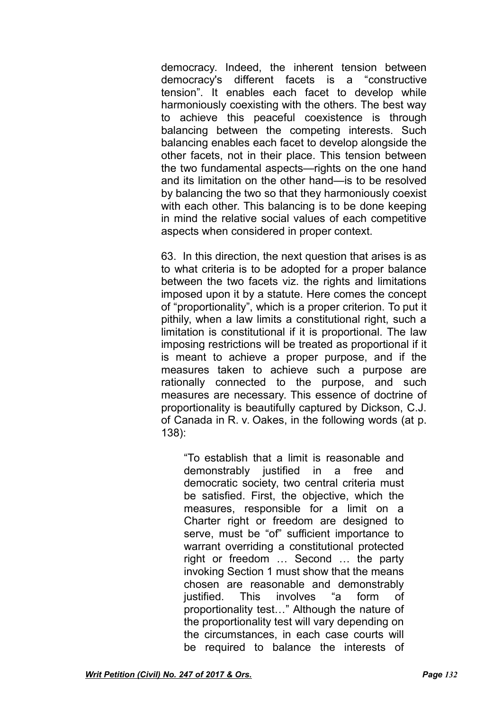democracy. Indeed, the inherent tension between democracy's different facets is a "constructive tension". It enables each facet to develop while harmoniously coexisting with the others. The best way to achieve this peaceful coexistence is through balancing between the competing interests. Such balancing enables each facet to develop alongside the other facets, not in their place. This tension between the two fundamental aspects—rights on the one hand and its limitation on the other hand—is to be resolved by balancing the two so that they harmoniously coexist with each other. This balancing is to be done keeping in mind the relative social values of each competitive aspects when considered in proper context.

63. In this direction, the next question that arises is as to what criteria is to be adopted for a proper balance between the two facets viz. the rights and limitations imposed upon it by a statute. Here comes the concept of "proportionality", which is a proper criterion. To put it pithily, when a law limits a constitutional right, such a limitation is constitutional if it is proportional. The law imposing restrictions will be treated as proportional if it is meant to achieve a proper purpose, and if the measures taken to achieve such a purpose are rationally connected to the purpose, and such measures are necessary. This essence of doctrine of proportionality is beautifully captured by Dickson, C.J. of Canada in R. v. Oakes, in the following words (at p. 138):

"To establish that a limit is reasonable and demonstrably justified in a free and democratic society, two central criteria must be satisfied. First, the objective, which the measures, responsible for a limit on a Charter right or freedom are designed to serve, must be "of" sufficient importance to warrant overriding a constitutional protected right or freedom … Second … the party invoking Section 1 must show that the means chosen are reasonable and demonstrably justified. This involves "a form of proportionality test…" Although the nature of the proportionality test will vary depending on the circumstances, in each case courts will be required to balance the interests of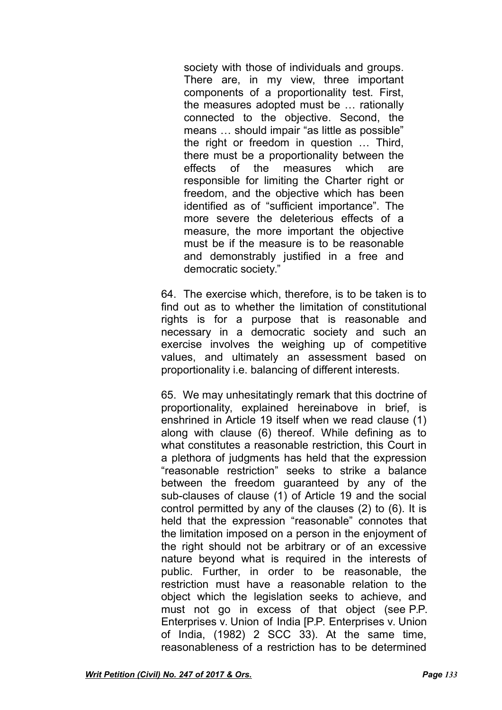society with those of individuals and groups. There are, in my view, three important components of a proportionality test. First, the measures adopted must be … rationally connected to the objective. Second, the means … should impair "as little as possible" the right or freedom in question … Third, there must be a proportionality between the effects of the measures which are responsible for limiting the Charter right or freedom, and the objective which has been identified as of "sufficient importance". The more severe the deleterious effects of a measure, the more important the objective must be if the measure is to be reasonable and demonstrably justified in a free and democratic society."

64. The exercise which, therefore, is to be taken is to find out as to whether the limitation of constitutional rights is for a purpose that is reasonable and necessary in a democratic society and such an exercise involves the weighing up of competitive values, and ultimately an assessment based on proportionality i.e. balancing of different interests.

65. We may unhesitatingly remark that this doctrine of proportionality, explained hereinabove in brief, is enshrined in Article 19 itself when we read clause (1) along with clause (6) thereof. While defining as to what constitutes a reasonable restriction, this Court in a plethora of judgments has held that the expression "reasonable restriction" seeks to strike a balance between the freedom guaranteed by any of the sub-clauses of clause (1) of Article 19 and the social control permitted by any of the clauses (2) to (6). It is held that the expression "reasonable" connotes that the limitation imposed on a person in the enjoyment of the right should not be arbitrary or of an excessive nature beyond what is required in the interests of public. Further, in order to be reasonable, the restriction must have a reasonable relation to the object which the legislation seeks to achieve, and must not go in excess of that object (see P.P. Enterprises v. Union of India [P.P. Enterprises v. Union of India, (1982) 2 SCC 33). At the same time, reasonableness of a restriction has to be determined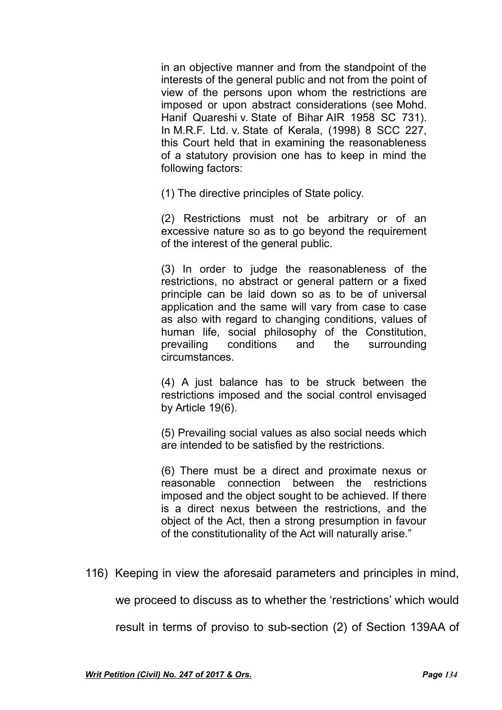in an objective manner and from the standpoint of the interests of the general public and not from the point of view of the persons upon whom the restrictions are imposed or upon abstract considerations (see Mohd. Hanif Quareshi v. State of Bihar AIR 1958 SC 731). In M.R.F. Ltd. v. State of Kerala, (1998) 8 SCC 227, this Court held that in examining the reasonableness of a statutory provision one has to keep in mind the following factors:

(1) The directive principles of State policy.

(2) Restrictions must not be arbitrary or of an excessive nature so as to go beyond the requirement of the interest of the general public.

(3) In order to judge the reasonableness of the restrictions, no abstract or general pattern or a fixed principle can be laid down so as to be of universal application and the same will vary from case to case as also with regard to changing conditions, values of human life, social philosophy of the Constitution, prevailing conditions and the surrounding circumstances.

(4) A just balance has to be struck between the restrictions imposed and the social control envisaged by Article 19(6).

(5) Prevailing social values as also social needs which are intended to be satisfied by the restrictions.

(6) There must be a direct and proximate nexus or reasonable connection between the restrictions imposed and the object sought to be achieved. If there is a direct nexus between the restrictions, and the object of the Act, then a strong presumption in favour of the constitutionality of the Act will naturally arise."

116) Keeping in view the aforesaid parameters and principles in mind,

we proceed to discuss as to whether the 'restrictions' which would

result in terms of proviso to sub-section (2) of Section 139AA of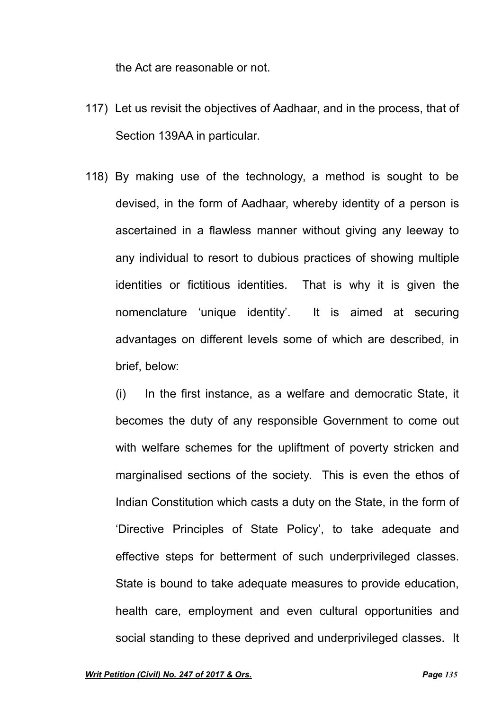the Act are reasonable or not.

- 117) Let us revisit the objectives of Aadhaar, and in the process, that of Section 139AA in particular.
- 118) By making use of the technology, a method is sought to be devised, in the form of Aadhaar, whereby identity of a person is ascertained in a flawless manner without giving any leeway to any individual to resort to dubious practices of showing multiple identities or fictitious identities. That is why it is given the nomenclature 'unique identity'. It is aimed at securing advantages on different levels some of which are described, in brief, below:

(i) In the first instance, as a welfare and democratic State, it becomes the duty of any responsible Government to come out with welfare schemes for the upliftment of poverty stricken and marginalised sections of the society. This is even the ethos of Indian Constitution which casts a duty on the State, in the form of 'Directive Principles of State Policy', to take adequate and effective steps for betterment of such underprivileged classes. State is bound to take adequate measures to provide education, health care, employment and even cultural opportunities and social standing to these deprived and underprivileged classes. It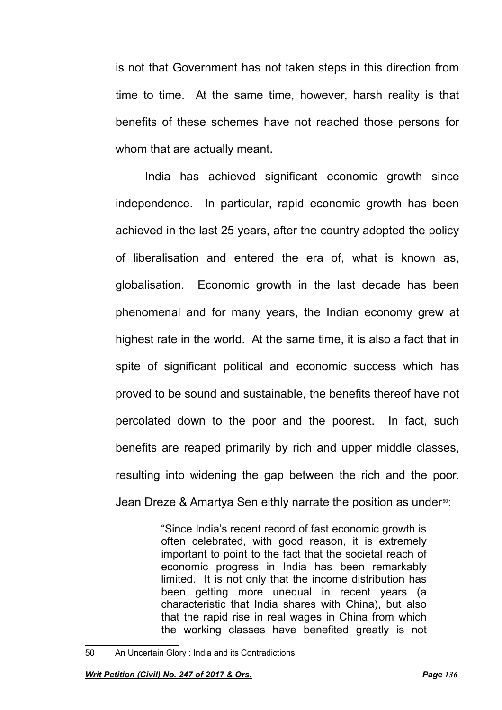is not that Government has not taken steps in this direction from time to time. At the same time, however, harsh reality is that benefits of these schemes have not reached those persons for whom that are actually meant.

India has achieved significant economic growth since independence. In particular, rapid economic growth has been achieved in the last 25 years, after the country adopted the policy of liberalisation and entered the era of, what is known as, globalisation. Economic growth in the last decade has been phenomenal and for many years, the Indian economy grew at highest rate in the world. At the same time, it is also a fact that in spite of significant political and economic success which has proved to be sound and sustainable, the benefits thereof have not percolated down to the poor and the poorest. In fact, such benefits are reaped primarily by rich and upper middle classes, resulting into widening the gap between the rich and the poor. Jean Dreze & Amartya Sen eithly narrate the position as under<sup>[50](#page-135-0)</sup>:

> "Since India's recent record of fast economic growth is often celebrated, with good reason, it is extremely important to point to the fact that the societal reach of economic progress in India has been remarkably limited. It is not only that the income distribution has been getting more unequal in recent years (a characteristic that India shares with China), but also that the rapid rise in real wages in China from which the working classes have benefited greatly is not

<span id="page-135-0"></span><sup>50</sup> An Uncertain Glory : India and its Contradictions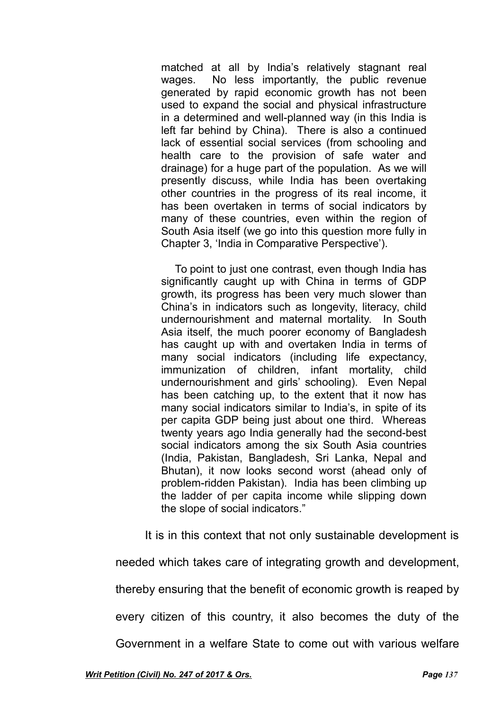matched at all by India's relatively stagnant real wages. No less importantly, the public revenue generated by rapid economic growth has not been used to expand the social and physical infrastructure in a determined and well-planned way (in this India is left far behind by China). There is also a continued lack of essential social services (from schooling and health care to the provision of safe water and drainage) for a huge part of the population. As we will presently discuss, while India has been overtaking other countries in the progress of its real income, it has been overtaken in terms of social indicators by many of these countries, even within the region of South Asia itself (we go into this question more fully in Chapter 3, 'India in Comparative Perspective').

To point to just one contrast, even though India has significantly caught up with China in terms of GDP growth, its progress has been very much slower than China's in indicators such as longevity, literacy, child undernourishment and maternal mortality. In South Asia itself, the much poorer economy of Bangladesh has caught up with and overtaken India in terms of many social indicators (including life expectancy, immunization of children, infant mortality, child undernourishment and girls' schooling). Even Nepal has been catching up, to the extent that it now has many social indicators similar to India's, in spite of its per capita GDP being just about one third. Whereas twenty years ago India generally had the second-best social indicators among the six South Asia countries (India, Pakistan, Bangladesh, Sri Lanka, Nepal and Bhutan), it now looks second worst (ahead only of problem-ridden Pakistan). India has been climbing up the ladder of per capita income while slipping down the slope of social indicators."

It is in this context that not only sustainable development is needed which takes care of integrating growth and development, thereby ensuring that the benefit of economic growth is reaped by every citizen of this country, it also becomes the duty of the Government in a welfare State to come out with various welfare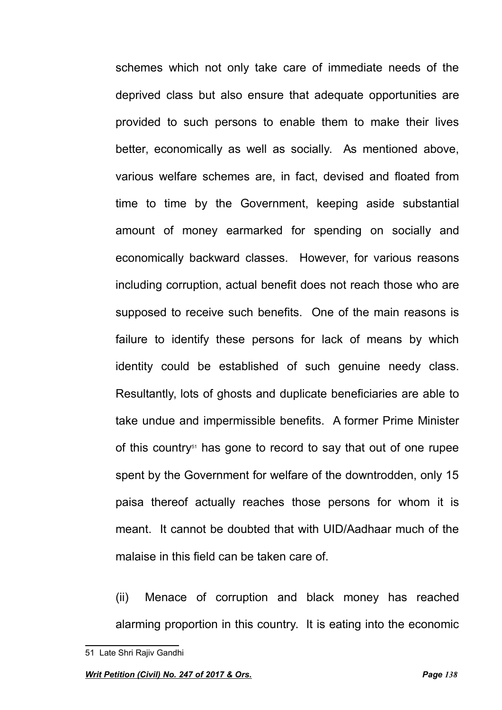schemes which not only take care of immediate needs of the deprived class but also ensure that adequate opportunities are provided to such persons to enable them to make their lives better, economically as well as socially. As mentioned above, various welfare schemes are, in fact, devised and floated from time to time by the Government, keeping aside substantial amount of money earmarked for spending on socially and economically backward classes. However, for various reasons including corruption, actual benefit does not reach those who are supposed to receive such benefits. One of the main reasons is failure to identify these persons for lack of means by which identity could be established of such genuine needy class. Resultantly, lots of ghosts and duplicate beneficiaries are able to take undue and impermissible benefits. A former Prime Minister of this country<sup>[51](#page-137-0)</sup> has gone to record to say that out of one rupee spent by the Government for welfare of the downtrodden, only 15 paisa thereof actually reaches those persons for whom it is meant. It cannot be doubted that with UID/Aadhaar much of the malaise in this field can be taken care of.

(ii) Menace of corruption and black money has reached alarming proportion in this country. It is eating into the economic

<span id="page-137-0"></span><sup>51</sup> Late Shri Rajiv Gandhi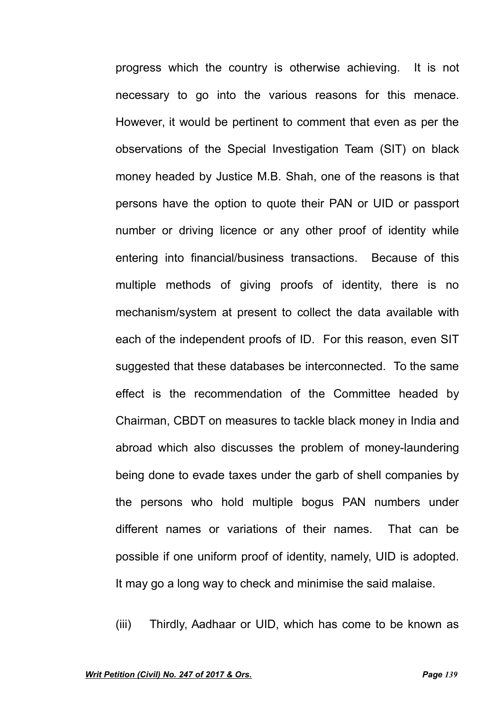progress which the country is otherwise achieving. It is not necessary to go into the various reasons for this menace. However, it would be pertinent to comment that even as per the observations of the Special Investigation Team (SIT) on black money headed by Justice M.B. Shah, one of the reasons is that persons have the option to quote their PAN or UID or passport number or driving licence or any other proof of identity while entering into financial/business transactions. Because of this multiple methods of giving proofs of identity, there is no mechanism/system at present to collect the data available with each of the independent proofs of ID. For this reason, even SIT suggested that these databases be interconnected. To the same effect is the recommendation of the Committee headed by Chairman, CBDT on measures to tackle black money in India and abroad which also discusses the problem of money-laundering being done to evade taxes under the garb of shell companies by the persons who hold multiple bogus PAN numbers under different names or variations of their names. That can be possible if one uniform proof of identity, namely, UID is adopted. It may go a long way to check and minimise the said malaise.

(iii) Thirdly, Aadhaar or UID, which has come to be known as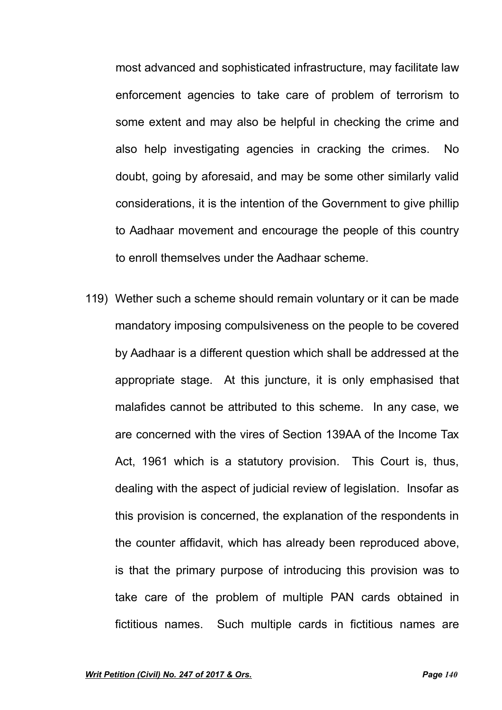most advanced and sophisticated infrastructure, may facilitate law enforcement agencies to take care of problem of terrorism to some extent and may also be helpful in checking the crime and also help investigating agencies in cracking the crimes. No doubt, going by aforesaid, and may be some other similarly valid considerations, it is the intention of the Government to give phillip to Aadhaar movement and encourage the people of this country to enroll themselves under the Aadhaar scheme.

119) Wether such a scheme should remain voluntary or it can be made mandatory imposing compulsiveness on the people to be covered by Aadhaar is a different question which shall be addressed at the appropriate stage. At this juncture, it is only emphasised that malafides cannot be attributed to this scheme. In any case, we are concerned with the vires of Section 139AA of the Income Tax Act, 1961 which is a statutory provision. This Court is, thus, dealing with the aspect of judicial review of legislation. Insofar as this provision is concerned, the explanation of the respondents in the counter affidavit, which has already been reproduced above, is that the primary purpose of introducing this provision was to take care of the problem of multiple PAN cards obtained in fictitious names. Such multiple cards in fictitious names are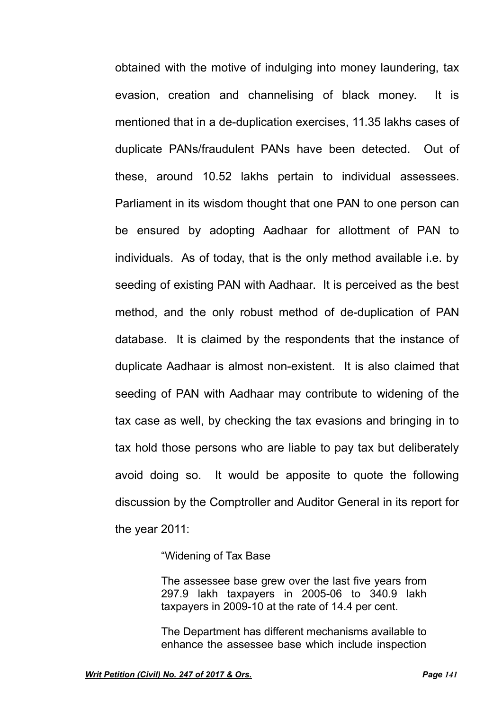obtained with the motive of indulging into money laundering, tax evasion, creation and channelising of black money. It is mentioned that in a de-duplication exercises, 11.35 lakhs cases of duplicate PANs/fraudulent PANs have been detected. Out of these, around 10.52 lakhs pertain to individual assessees. Parliament in its wisdom thought that one PAN to one person can be ensured by adopting Aadhaar for allottment of PAN to individuals. As of today, that is the only method available i.e. by seeding of existing PAN with Aadhaar. It is perceived as the best method, and the only robust method of de-duplication of PAN database. It is claimed by the respondents that the instance of duplicate Aadhaar is almost non-existent. It is also claimed that seeding of PAN with Aadhaar may contribute to widening of the tax case as well, by checking the tax evasions and bringing in to tax hold those persons who are liable to pay tax but deliberately avoid doing so. It would be apposite to quote the following discussion by the Comptroller and Auditor General in its report for the year 2011:

"Widening of Tax Base

The assessee base grew over the last five years from 297.9 lakh taxpayers in 2005-06 to 340.9 lakh taxpayers in 2009-10 at the rate of 14.4 per cent.

The Department has different mechanisms available to enhance the assessee base which include inspection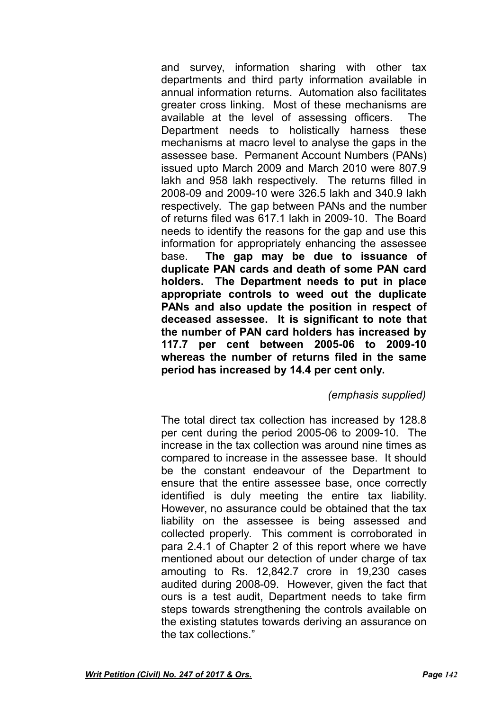and survey, information sharing with other tax departments and third party information available in annual information returns. Automation also facilitates greater cross linking. Most of these mechanisms are available at the level of assessing officers. The Department needs to holistically harness these mechanisms at macro level to analyse the gaps in the assessee base. Permanent Account Numbers (PANs) issued upto March 2009 and March 2010 were 807.9 lakh and 958 lakh respectively. The returns filled in 2008-09 and 2009-10 were 326.5 lakh and 340.9 lakh respectively. The gap between PANs and the number of returns filed was 617.1 lakh in 2009-10. The Board needs to identify the reasons for the gap and use this information for appropriately enhancing the assessee base. **The gap may be due to issuance of duplicate PAN cards and death of some PAN card holders. The Department needs to put in place appropriate controls to weed out the duplicate PANs and also update the position in respect of deceased assessee. It is significant to note that the number of PAN card holders has increased by 117.7 per cent between 2005-06 to 2009-10 whereas the number of returns filed in the same period has increased by 14.4 per cent only.**

## *(emphasis supplied)*

The total direct tax collection has increased by 128.8 per cent during the period 2005-06 to 2009-10. The increase in the tax collection was around nine times as compared to increase in the assessee base. It should be the constant endeavour of the Department to ensure that the entire assessee base, once correctly identified is duly meeting the entire tax liability. However, no assurance could be obtained that the tax liability on the assessee is being assessed and collected properly. This comment is corroborated in para 2.4.1 of Chapter 2 of this report where we have mentioned about our detection of under charge of tax amouting to Rs. 12,842.7 crore in 19,230 cases audited during 2008-09. However, given the fact that ours is a test audit, Department needs to take firm steps towards strengthening the controls available on the existing statutes towards deriving an assurance on the tax collections."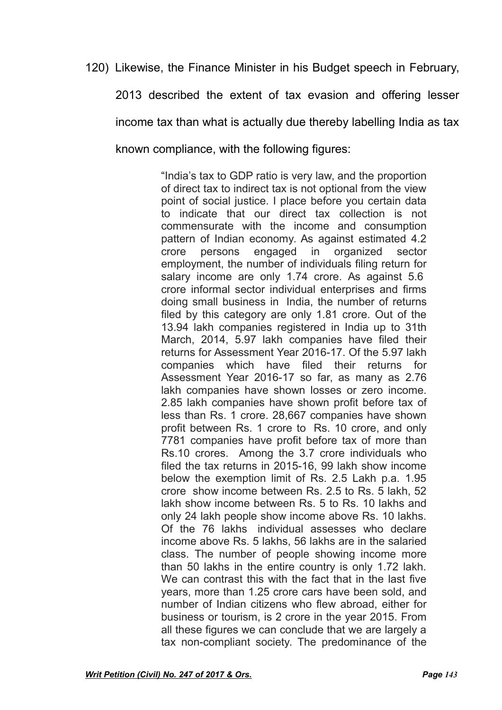120) Likewise, the Finance Minister in his Budget speech in February,

2013 described the extent of tax evasion and offering lesser income tax than what is actually due thereby labelling India as tax known compliance, with the following figures:

> "India's tax to GDP ratio is very law, and the proportion of direct tax to indirect tax is not optional from the view point of social justice. I place before you certain data to indicate that our direct tax collection is not commensurate with the income and consumption pattern of Indian economy. As against estimated 4.2 crore persons engaged in organized sector employment, the number of individuals filing return for salary income are only 1.74 crore. As against 5.6 crore informal sector individual enterprises and firms doing small business in India, the number of returns filed by this category are only 1.81 crore. Out of the 13.94 lakh companies registered in India up to 31th March, 2014, 5.97 lakh companies have filed their returns for Assessment Year 2016-17. Of the 5.97 lakh companies which have filed their returns for Assessment Year 2016-17 so far, as many as 2.76 lakh companies have shown losses or zero income. 2.85 lakh companies have shown profit before tax of less than Rs. 1 crore. 28,667 companies have shown profit between Rs. 1 crore to Rs. 10 crore, and only 7781 companies have profit before tax of more than Rs.10 crores. Among the 3.7 crore individuals who filed the tax returns in 2015-16, 99 lakh show income below the exemption limit of Rs. 2.5 Lakh p.a. 1.95 crore show income between Rs. 2.5 to Rs. 5 lakh, 52 lakh show income between Rs. 5 to Rs. 10 lakhs and only 24 lakh people show income above Rs. 10 lakhs. Of the 76 lakhs individual assesses who declare income above Rs. 5 lakhs, 56 lakhs are in the salaried class. The number of people showing income more than 50 lakhs in the entire country is only 1.72 lakh. We can contrast this with the fact that in the last five years, more than 1.25 crore cars have been sold, and number of Indian citizens who flew abroad, either for business or tourism, is 2 crore in the year 2015. From all these figures we can conclude that we are largely a tax non-compliant society. The predominance of the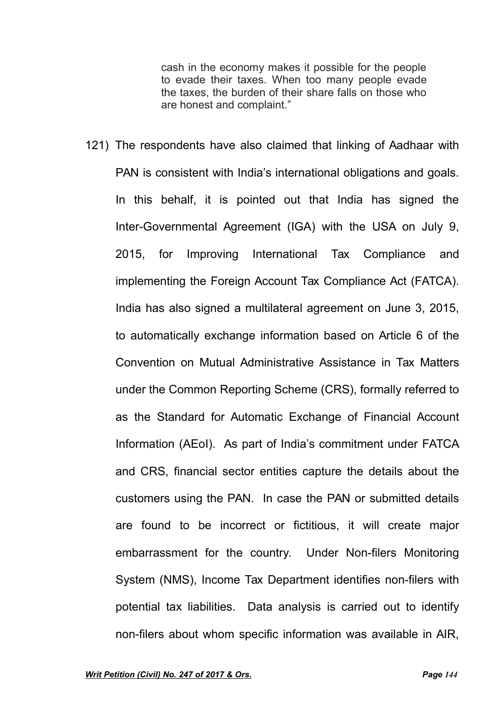cash in the economy makes it possible for the people to evade their taxes. When too many people evade the taxes, the burden of their share falls on those who are honest and complaint."

121) The respondents have also claimed that linking of Aadhaar with PAN is consistent with India's international obligations and goals. In this behalf, it is pointed out that India has signed the Inter-Governmental Agreement (IGA) with the USA on July 9, 2015, for Improving International Tax Compliance and implementing the Foreign Account Tax Compliance Act (FATCA). India has also signed a multilateral agreement on June 3, 2015, to automatically exchange information based on Article 6 of the Convention on Mutual Administrative Assistance in Tax Matters under the Common Reporting Scheme (CRS), formally referred to as the Standard for Automatic Exchange of Financial Account Information (AEoI). As part of India's commitment under FATCA and CRS, financial sector entities capture the details about the customers using the PAN. In case the PAN or submitted details are found to be incorrect or fictitious, it will create major embarrassment for the country. Under Non-filers Monitoring System (NMS), Income Tax Department identifies non-filers with potential tax liabilities. Data analysis is carried out to identify non-filers about whom specific information was available in AIR,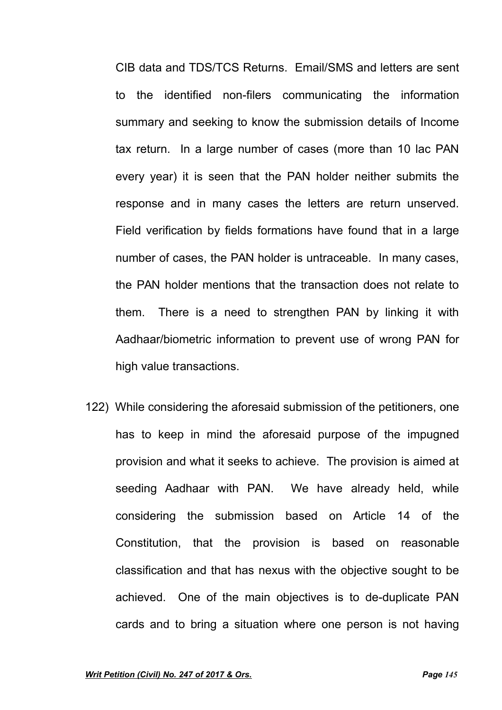CIB data and TDS/TCS Returns. Email/SMS and letters are sent to the identified non-filers communicating the information summary and seeking to know the submission details of Income tax return. In a large number of cases (more than 10 lac PAN every year) it is seen that the PAN holder neither submits the response and in many cases the letters are return unserved. Field verification by fields formations have found that in a large number of cases, the PAN holder is untraceable. In many cases, the PAN holder mentions that the transaction does not relate to them. There is a need to strengthen PAN by linking it with Aadhaar/biometric information to prevent use of wrong PAN for high value transactions.

122) While considering the aforesaid submission of the petitioners, one has to keep in mind the aforesaid purpose of the impugned provision and what it seeks to achieve. The provision is aimed at seeding Aadhaar with PAN. We have already held, while considering the submission based on Article 14 of the Constitution, that the provision is based on reasonable classification and that has nexus with the objective sought to be achieved. One of the main objectives is to de-duplicate PAN cards and to bring a situation where one person is not having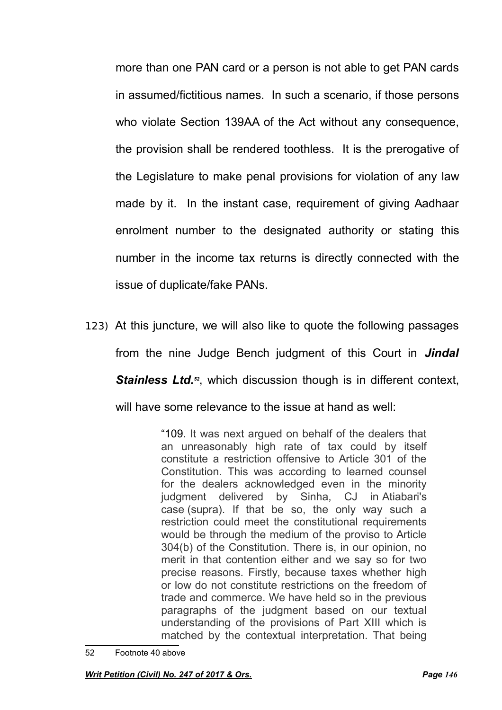more than one PAN card or a person is not able to get PAN cards in assumed/fictitious names. In such a scenario, if those persons who violate Section 139AA of the Act without any consequence, the provision shall be rendered toothless. It is the prerogative of the Legislature to make penal provisions for violation of any law made by it. In the instant case, requirement of giving Aadhaar enrolment number to the designated authority or stating this number in the income tax returns is directly connected with the issue of duplicate/fake PANs.

123) At this juncture, we will also like to quote the following passages from the nine Judge Bench judgment of this Court in *Jindal* **Stainless Ltd.**<sup>[52](#page-145-0)</sup>, which discussion though is in different context, will have some relevance to the issue at hand as well:

> "109. It was next argued on behalf of the dealers that an unreasonably high rate of tax could by itself constitute a restriction offensive to Article 301 of the Constitution. This was according to learned counsel for the dealers acknowledged even in the minority judgment delivered by Sinha, CJ in Atiabari's case (supra). If that be so, the only way such a restriction could meet the constitutional requirements would be through the medium of the proviso to Article 304(b) of the Constitution. There is, in our opinion, no merit in that contention either and we say so for two precise reasons. Firstly, because taxes whether high or low do not constitute restrictions on the freedom of trade and commerce. We have held so in the previous paragraphs of the judgment based on our textual understanding of the provisions of Part XIII which is matched by the contextual interpretation. That being

<span id="page-145-0"></span><sup>52</sup> Footnote 40 above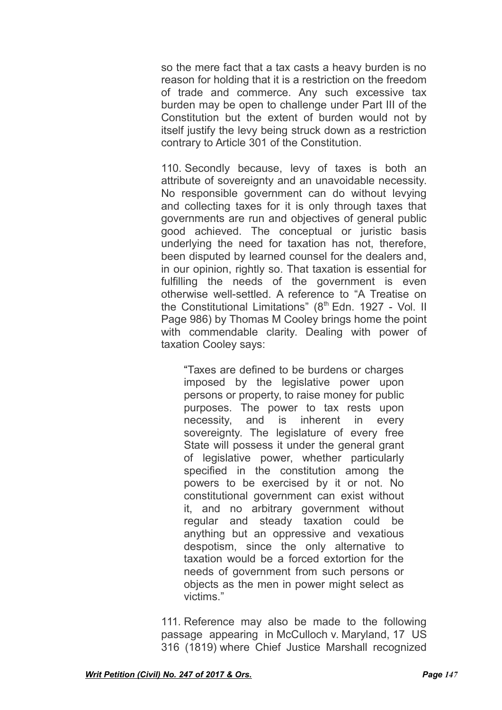so the mere fact that a tax casts a heavy burden is no reason for holding that it is a restriction on the freedom of trade and commerce. Any such excessive tax burden may be open to challenge under Part III of the Constitution but the extent of burden would not by itself justify the levy being struck down as a restriction contrary to Article 301 of the Constitution.

110. Secondly because, levy of taxes is both an attribute of sovereignty and an unavoidable necessity. No responsible government can do without levying and collecting taxes for it is only through taxes that governments are run and objectives of general public good achieved. The conceptual or juristic basis underlying the need for taxation has not, therefore, been disputed by learned counsel for the dealers and, in our opinion, rightly so. That taxation is essential for fulfilling the needs of the government is even otherwise well-settled. A reference to "A Treatise on the Constitutional Limitations" (8<sup>th</sup> Edn. 1927 - Vol. II Page 986) by Thomas M Cooley brings home the point with commendable clarity. Dealing with power of taxation Cooley says:

"Taxes are defined to be burdens or charges imposed by the legislative power upon persons or property, to raise money for public purposes. The power to tax rests upon necessity, and is inherent in every sovereignty. The legislature of every free State will possess it under the general grant of legislative power, whether particularly specified in the constitution among the powers to be exercised by it or not. No constitutional government can exist without it, and no arbitrary government without regular and steady taxation could be anything but an oppressive and vexatious despotism, since the only alternative to taxation would be a forced extortion for the needs of government from such persons or objects as the men in power might select as victims."

111. Reference may also be made to the following passage appearing in McCulloch v. Maryland, 17 US 316 (1819) where Chief Justice Marshall recognized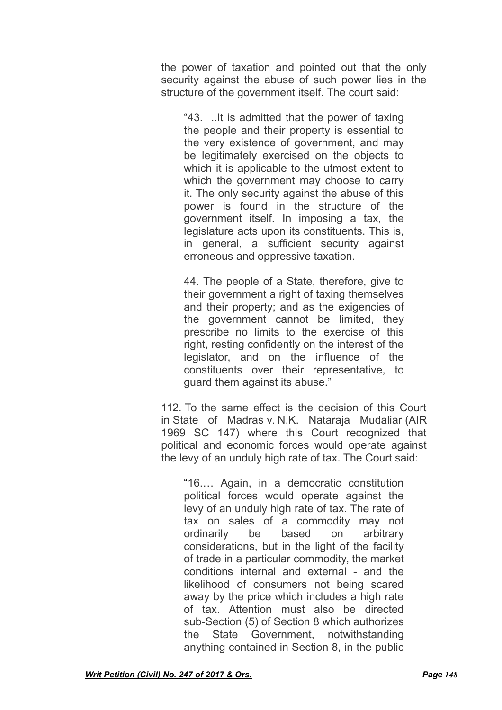the power of taxation and pointed out that the only security against the abuse of such power lies in the structure of the government itself. The court said:

"43. ..It is admitted that the power of taxing the people and their property is essential to the very existence of government, and may be legitimately exercised on the objects to which it is applicable to the utmost extent to which the government may choose to carry it. The only security against the abuse of this power is found in the structure of the government itself. In imposing a tax, the legislature acts upon its constituents. This is, in general, a sufficient security against erroneous and oppressive taxation.

44. The people of a State, therefore, give to their government a right of taxing themselves and their property; and as the exigencies of the government cannot be limited, they prescribe no limits to the exercise of this right, resting confidently on the interest of the legislator, and on the influence of the constituents over their representative, to guard them against its abuse."

112. To the same effect is the decision of this Court in State of Madras v. N.K. Nataraja Mudaliar (AIR 1969 SC 147) where this Court recognized that political and economic forces would operate against the levy of an unduly high rate of tax. The Court said:

"16.… Again, in a democratic constitution political forces would operate against the levy of an unduly high rate of tax. The rate of tax on sales of a commodity may not ordinarily be based on arbitrary considerations, but in the light of the facility of trade in a particular commodity, the market conditions internal and external - and the likelihood of consumers not being scared away by the price which includes a high rate of tax. Attention must also be directed sub-Section (5) of Section 8 which authorizes the State Government, notwithstanding anything contained in Section 8, in the public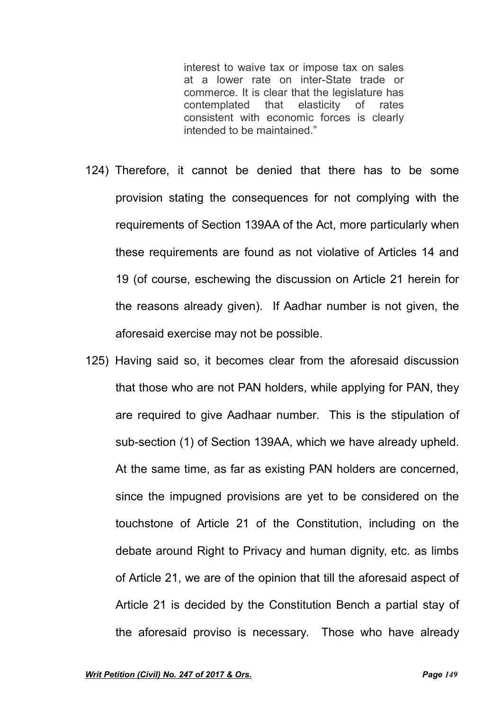interest to waive tax or impose tax on sales at a lower rate on inter-State trade or commerce. It is clear that the legislature has contemplated that elasticity of rates consistent with economic forces is clearly intended to be maintained."

- 124) Therefore, it cannot be denied that there has to be some provision stating the consequences for not complying with the requirements of Section 139AA of the Act, more particularly when these requirements are found as not violative of Articles 14 and 19 (of course, eschewing the discussion on Article 21 herein for the reasons already given). If Aadhar number is not given, the aforesaid exercise may not be possible.
- 125) Having said so, it becomes clear from the aforesaid discussion that those who are not PAN holders, while applying for PAN, they are required to give Aadhaar number. This is the stipulation of sub-section (1) of Section 139AA, which we have already upheld. At the same time, as far as existing PAN holders are concerned, since the impugned provisions are yet to be considered on the touchstone of Article 21 of the Constitution, including on the debate around Right to Privacy and human dignity, etc. as limbs of Article 21, we are of the opinion that till the aforesaid aspect of Article 21 is decided by the Constitution Bench a partial stay of the aforesaid proviso is necessary. Those who have already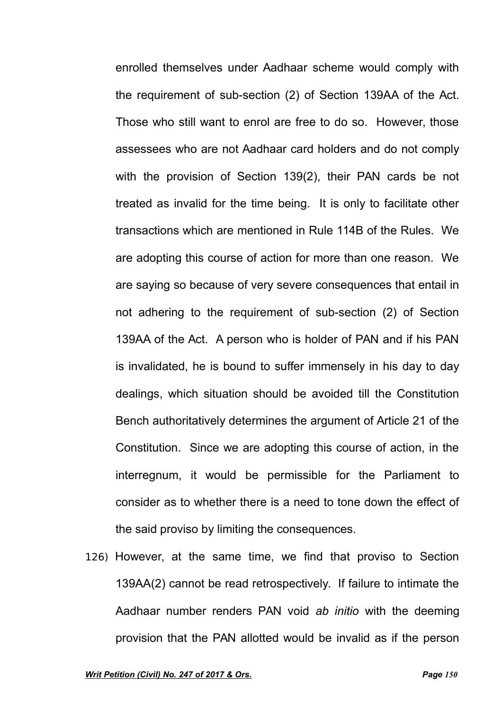enrolled themselves under Aadhaar scheme would comply with the requirement of sub-section (2) of Section 139AA of the Act. Those who still want to enrol are free to do so. However, those assessees who are not Aadhaar card holders and do not comply with the provision of Section 139(2), their PAN cards be not treated as invalid for the time being. It is only to facilitate other transactions which are mentioned in Rule 114B of the Rules. We are adopting this course of action for more than one reason. We are saying so because of very severe consequences that entail in not adhering to the requirement of sub-section (2) of Section 139AA of the Act. A person who is holder of PAN and if his PAN is invalidated, he is bound to suffer immensely in his day to day dealings, which situation should be avoided till the Constitution Bench authoritatively determines the argument of Article 21 of the Constitution. Since we are adopting this course of action, in the interregnum, it would be permissible for the Parliament to consider as to whether there is a need to tone down the effect of the said proviso by limiting the consequences.

126) However, at the same time, we find that proviso to Section 139AA(2) cannot be read retrospectively. If failure to intimate the Aadhaar number renders PAN void *ab initio* with the deeming provision that the PAN allotted would be invalid as if the person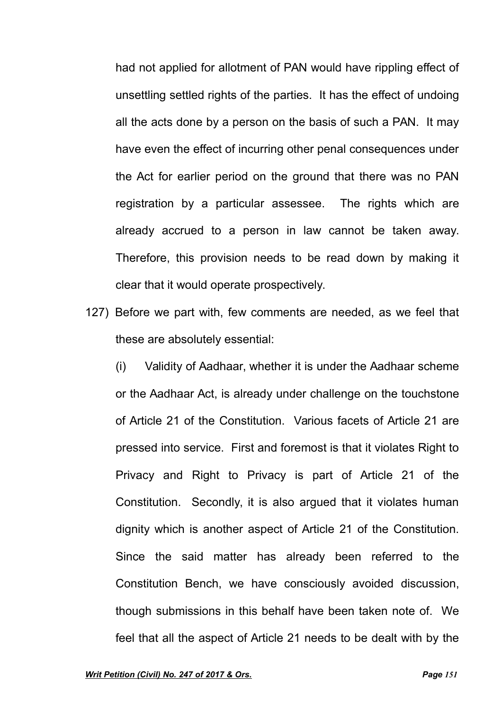had not applied for allotment of PAN would have rippling effect of unsettling settled rights of the parties. It has the effect of undoing all the acts done by a person on the basis of such a PAN. It may have even the effect of incurring other penal consequences under the Act for earlier period on the ground that there was no PAN registration by a particular assessee. The rights which are already accrued to a person in law cannot be taken away. Therefore, this provision needs to be read down by making it clear that it would operate prospectively.

127) Before we part with, few comments are needed, as we feel that these are absolutely essential:

(i) Validity of Aadhaar, whether it is under the Aadhaar scheme or the Aadhaar Act, is already under challenge on the touchstone of Article 21 of the Constitution. Various facets of Article 21 are pressed into service. First and foremost is that it violates Right to Privacy and Right to Privacy is part of Article 21 of the Constitution. Secondly, it is also argued that it violates human dignity which is another aspect of Article 21 of the Constitution. Since the said matter has already been referred to the Constitution Bench, we have consciously avoided discussion, though submissions in this behalf have been taken note of. We feel that all the aspect of Article 21 needs to be dealt with by the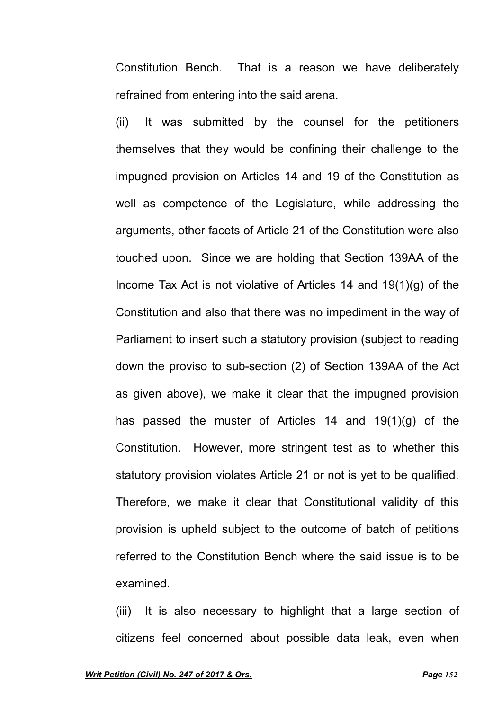Constitution Bench. That is a reason we have deliberately refrained from entering into the said arena.

(ii) It was submitted by the counsel for the petitioners themselves that they would be confining their challenge to the impugned provision on Articles 14 and 19 of the Constitution as well as competence of the Legislature, while addressing the arguments, other facets of Article 21 of the Constitution were also touched upon. Since we are holding that Section 139AA of the Income Tax Act is not violative of Articles 14 and 19(1)(g) of the Constitution and also that there was no impediment in the way of Parliament to insert such a statutory provision (subject to reading down the proviso to sub-section (2) of Section 139AA of the Act as given above), we make it clear that the impugned provision has passed the muster of Articles 14 and 19(1)(g) of the Constitution. However, more stringent test as to whether this statutory provision violates Article 21 or not is yet to be qualified. Therefore, we make it clear that Constitutional validity of this provision is upheld subject to the outcome of batch of petitions referred to the Constitution Bench where the said issue is to be examined.

(iii) It is also necessary to highlight that a large section of citizens feel concerned about possible data leak, even when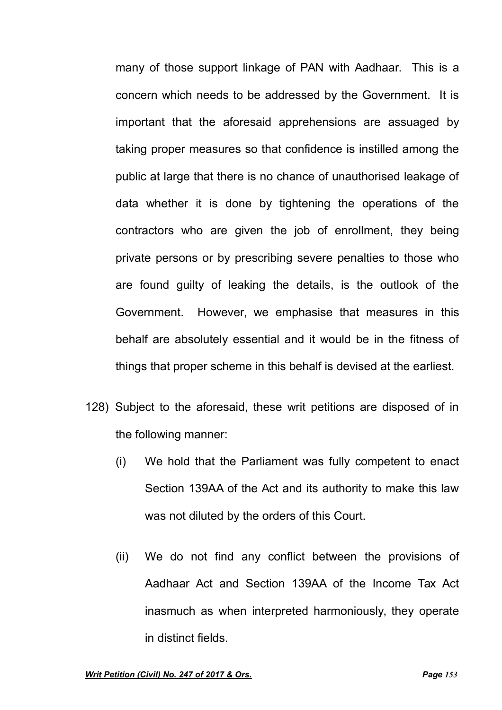many of those support linkage of PAN with Aadhaar. This is a concern which needs to be addressed by the Government. It is important that the aforesaid apprehensions are assuaged by taking proper measures so that confidence is instilled among the public at large that there is no chance of unauthorised leakage of data whether it is done by tightening the operations of the contractors who are given the job of enrollment, they being private persons or by prescribing severe penalties to those who are found guilty of leaking the details, is the outlook of the Government. However, we emphasise that measures in this behalf are absolutely essential and it would be in the fitness of things that proper scheme in this behalf is devised at the earliest.

- 128) Subject to the aforesaid, these writ petitions are disposed of in the following manner:
	- (i) We hold that the Parliament was fully competent to enact Section 139AA of the Act and its authority to make this law was not diluted by the orders of this Court.
	- (ii) We do not find any conflict between the provisions of Aadhaar Act and Section 139AA of the Income Tax Act inasmuch as when interpreted harmoniously, they operate in distinct fields.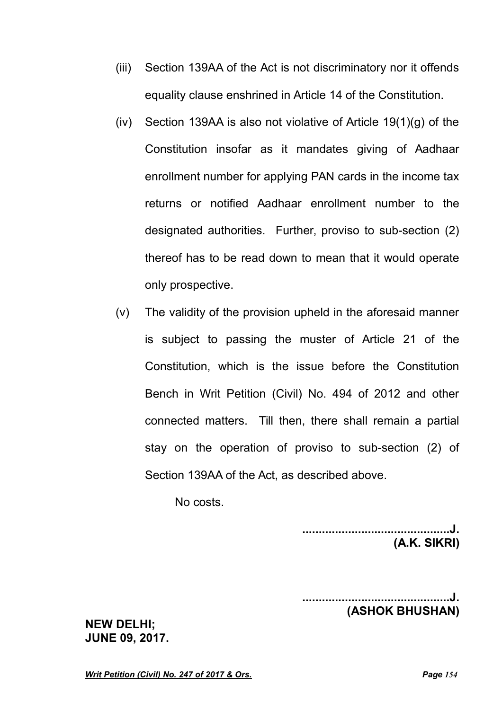- (iii) Section 139AA of the Act is not discriminatory nor it offends equality clause enshrined in Article 14 of the Constitution.
- (iv) Section 139AA is also not violative of Article  $19(1)(g)$  of the Constitution insofar as it mandates giving of Aadhaar enrollment number for applying PAN cards in the income tax returns or notified Aadhaar enrollment number to the designated authorities. Further, proviso to sub-section (2) thereof has to be read down to mean that it would operate only prospective.
- (v) The validity of the provision upheld in the aforesaid manner is subject to passing the muster of Article 21 of the Constitution, which is the issue before the Constitution Bench in Writ Petition (Civil) No. 494 of 2012 and other connected matters. Till then, there shall remain a partial stay on the operation of proviso to sub-section (2) of Section 139AA of the Act, as described above.

No costs.

**.............................................J. (A.K. SIKRI)**

**.............................................J. (ASHOK BHUSHAN)**

## **NEW DELHI; JUNE 09, 2017.**

*Writ Petition (Civil) No. 247 of 2017 & Ors. Page 154*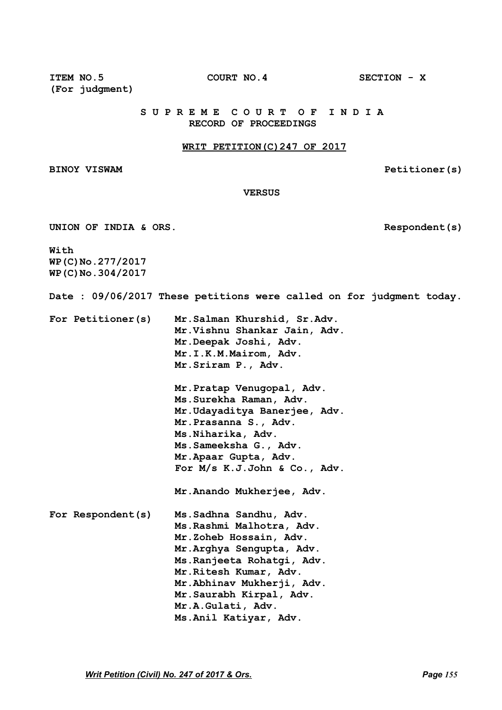*Writ Petition (Civil) No. 247 of 2017 & Ors. Page 155*

**ITEM NO.5 COURT NO.4 SECTION - X (For judgment)**

> **S U P R E M E C O U R T O F I N D I A RECORD OF PROCEEDINGS**

## **WRIT PETITION(C)247 OF 2017**

**BINOY VISWAM Petitioner(s)**

 **VERSUS**

UNION OF INDIA & ORS.

**With WP(C)No.277/2017 WP(C)No.304/2017**

**Date : 09/06/2017 These petitions were called on for judgment today.**

- **For Petitioner(s) Mr.Salman Khurshid, Sr.Adv. Mr.Vishnu Shankar Jain, Adv. Mr.Deepak Joshi, Adv. Mr.I.K.M.Mairom, Adv. Mr.Sriram P., Adv. Mr.Pratap Venugopal, Adv. Ms.Surekha Raman, Adv. Mr.Udayaditya Banerjee, Adv. Mr.Prasanna S., Adv. Ms.Niharika, Adv. Ms.Sameeksha G., Adv. Mr.Apaar Gupta, Adv. For M/s K.J.John & Co., Adv. Mr.Anando Mukherjee, Adv.**
- **For Respondent(s) Ms.Sadhna Sandhu, Adv. Ms.Rashmi Malhotra, Adv. Mr.Zoheb Hossain, Adv. Mr.Arghya Sengupta, Adv. Ms.Ranjeeta Rohatgi, Adv. Mr.Ritesh Kumar, Adv. Mr.Abhinav Mukherji, Adv. Mr.Saurabh Kirpal, Adv. Mr.A.Gulati, Adv. Ms.Anil Katiyar, Adv.**